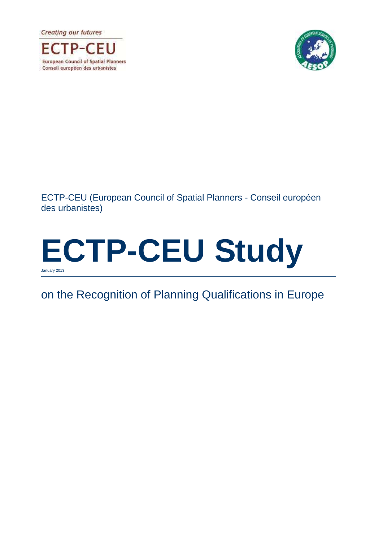**Creating our futures** 





ECTP-CEU (European Council of Spatial Planners - Conseil européen des urbanistes)

# **ECTP-CEU Study** January 2013

# on the Recognition of Planning Qualifications in Europe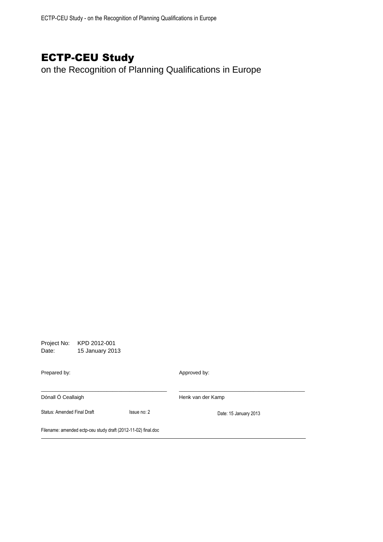# ECTP-CEU Study

on the Recognition of Planning Qualifications in Europe

Project No: KPD 2012-001 Date: 15 January 2013 Prepared by: Approved by: \_\_\_\_\_\_\_\_\_\_\_\_\_\_\_\_\_\_\_\_\_\_\_\_\_\_\_\_\_\_\_\_\_\_\_\_\_\_\_\_\_\_\_\_ \_\_\_\_\_\_\_\_\_\_\_\_\_\_\_\_\_\_\_\_\_\_\_\_\_\_\_\_\_\_\_\_\_\_\_\_\_\_\_\_\_\_\_\_ Dónall Ó Ceallaigh **Henk van der Kamp** Status: Amended Final Draft Issue no: 2 Date: 15 January 2013 Filename: amended ectp-ceu study draft (2012-11-02) final.doc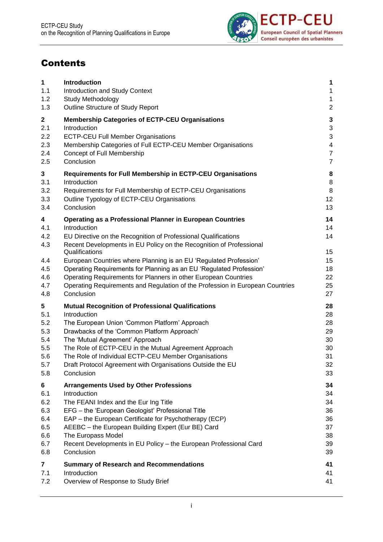

# **Contents**

| $\mathbf{1}$                                              | Introduction                                                                                                                                                                                                                                                                                                                                                                                                                                                                                                                                              | 1                                                  |
|-----------------------------------------------------------|-----------------------------------------------------------------------------------------------------------------------------------------------------------------------------------------------------------------------------------------------------------------------------------------------------------------------------------------------------------------------------------------------------------------------------------------------------------------------------------------------------------------------------------------------------------|----------------------------------------------------|
| 1.1                                                       | Introduction and Study Context                                                                                                                                                                                                                                                                                                                                                                                                                                                                                                                            | 1                                                  |
| 1.2                                                       | Study Methodology                                                                                                                                                                                                                                                                                                                                                                                                                                                                                                                                         | $\mathbf 1$                                        |
| 1.3                                                       | Outline Structure of Study Report                                                                                                                                                                                                                                                                                                                                                                                                                                                                                                                         | $\overline{2}$                                     |
| $\mathbf 2$                                               | <b>Membership Categories of ECTP-CEU Organisations</b>                                                                                                                                                                                                                                                                                                                                                                                                                                                                                                    | $\mathbf{3}$                                       |
| 2.1                                                       | Introduction                                                                                                                                                                                                                                                                                                                                                                                                                                                                                                                                              | 3                                                  |
| 2.2                                                       | <b>ECTP-CEU Full Member Organisations</b>                                                                                                                                                                                                                                                                                                                                                                                                                                                                                                                 | $\mathfrak{S}$                                     |
| 2.3                                                       | Membership Categories of Full ECTP-CEU Member Organisations                                                                                                                                                                                                                                                                                                                                                                                                                                                                                               | $\overline{\mathbf{4}}$                            |
| 2.4                                                       | Concept of Full Membership                                                                                                                                                                                                                                                                                                                                                                                                                                                                                                                                | $\overline{7}$                                     |
| 2.5                                                       | Conclusion                                                                                                                                                                                                                                                                                                                                                                                                                                                                                                                                                | $\overline{7}$                                     |
| 3                                                         | Requirements for Full Membership in ECTP-CEU Organisations                                                                                                                                                                                                                                                                                                                                                                                                                                                                                                | 8                                                  |
| 3.1                                                       | Introduction                                                                                                                                                                                                                                                                                                                                                                                                                                                                                                                                              | 8                                                  |
| 3.2                                                       | Requirements for Full Membership of ECTP-CEU Organisations                                                                                                                                                                                                                                                                                                                                                                                                                                                                                                | 8                                                  |
| 3.3                                                       | Outline Typology of ECTP-CEU Organisations                                                                                                                                                                                                                                                                                                                                                                                                                                                                                                                | 12                                                 |
| 3.4                                                       | Conclusion                                                                                                                                                                                                                                                                                                                                                                                                                                                                                                                                                | 13                                                 |
| 4<br>4.1<br>4.2<br>4.3<br>4.4<br>4.5<br>4.6<br>4.7<br>4.8 | <b>Operating as a Professional Planner in European Countries</b><br>Introduction<br>EU Directive on the Recognition of Professional Qualifications<br>Recent Developments in EU Policy on the Recognition of Professional<br>Qualifications<br>European Countries where Planning is an EU 'Regulated Profession'<br>Operating Requirements for Planning as an EU 'Regulated Profession'<br>Operating Requirements for Planners in other European Countries<br>Operating Requirements and Regulation of the Profession in European Countries<br>Conclusion | 14<br>14<br>14<br>15<br>15<br>18<br>22<br>25<br>27 |
| 5                                                         | <b>Mutual Recognition of Professional Qualifications</b>                                                                                                                                                                                                                                                                                                                                                                                                                                                                                                  | 28                                                 |
| 5.1                                                       | Introduction                                                                                                                                                                                                                                                                                                                                                                                                                                                                                                                                              | 28                                                 |
| 5.2                                                       | The European Union 'Common Platform' Approach                                                                                                                                                                                                                                                                                                                                                                                                                                                                                                             | 28                                                 |
| 5.3                                                       | Drawbacks of the 'Common Platform Approach'                                                                                                                                                                                                                                                                                                                                                                                                                                                                                                               | 29                                                 |
| 5.4                                                       | The 'Mutual Agreement' Approach                                                                                                                                                                                                                                                                                                                                                                                                                                                                                                                           | 30                                                 |
| 5.5                                                       | The Role of ECTP-CEU in the Mutual Agreement Approach                                                                                                                                                                                                                                                                                                                                                                                                                                                                                                     | 30                                                 |
| 5.6                                                       | The Role of Individual ECTP-CEU Member Organisations                                                                                                                                                                                                                                                                                                                                                                                                                                                                                                      | 31                                                 |
| 5.7                                                       | Draft Protocol Agreement with Organisations Outside the EU                                                                                                                                                                                                                                                                                                                                                                                                                                                                                                | 32                                                 |
| 5.8                                                       | Conclusion                                                                                                                                                                                                                                                                                                                                                                                                                                                                                                                                                | 33                                                 |
| 6                                                         | <b>Arrangements Used by Other Professions</b>                                                                                                                                                                                                                                                                                                                                                                                                                                                                                                             | 34                                                 |
| 6.1                                                       | Introduction                                                                                                                                                                                                                                                                                                                                                                                                                                                                                                                                              | 34                                                 |
| 6.2                                                       | The FEANI Index and the Eur Ing Title                                                                                                                                                                                                                                                                                                                                                                                                                                                                                                                     | 34                                                 |
| 6.3                                                       | EFG - the 'European Geologist' Professional Title                                                                                                                                                                                                                                                                                                                                                                                                                                                                                                         | 36                                                 |
| 6.4                                                       | EAP - the European Certificate for Psychotherapy (ECP)                                                                                                                                                                                                                                                                                                                                                                                                                                                                                                    | 36                                                 |
| 6.5                                                       | AEEBC - the European Building Expert (Eur BE) Card                                                                                                                                                                                                                                                                                                                                                                                                                                                                                                        | 37                                                 |
| 6.6                                                       | The Europass Model                                                                                                                                                                                                                                                                                                                                                                                                                                                                                                                                        | 38                                                 |
| 6.7                                                       | Recent Developments in EU Policy - the European Professional Card                                                                                                                                                                                                                                                                                                                                                                                                                                                                                         | 39                                                 |
| 6.8                                                       | Conclusion                                                                                                                                                                                                                                                                                                                                                                                                                                                                                                                                                | 39                                                 |
| $\overline{\mathbf{7}}$                                   | <b>Summary of Research and Recommendations</b>                                                                                                                                                                                                                                                                                                                                                                                                                                                                                                            | 41                                                 |
| 7.1                                                       | Introduction                                                                                                                                                                                                                                                                                                                                                                                                                                                                                                                                              | 41                                                 |
| 7.2                                                       | Overview of Response to Study Brief                                                                                                                                                                                                                                                                                                                                                                                                                                                                                                                       | 41                                                 |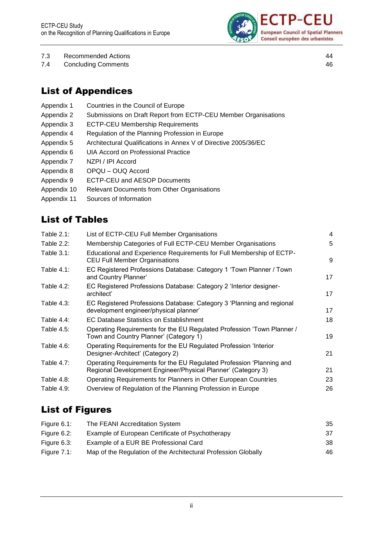

- 7.3 [Recommended Actions](#page-47-0) 44
- 7.4 [Concluding Comments](#page-49-0) 46

# List of Appendices

- Appendix 1 Countries in the Council of Europe
- Appendix 2 Submissions on Draft Report from ECTP-CEU Member Organisations
- Appendix 3 ECTP-CEU Membership Requirements
- Appendix 4 Regulation of the Planning Profession in Europe
- Appendix 5 Architectural Qualifications in Annex V of Directive 2005/36/EC
- Appendix 6 UIA Accord on Professional Practice
- Appendix 7 NZPI / IPI Accord
- Appendix 8 OPQU OUQ Accord
- Appendix 9 ECTP-CEU and AESOP Documents
- Appendix 10 Relevant Documents from Other Organisations
- Appendix 11 Sources of Information

# List of Tables

| Table $2.1$ : | List of ECTP-CEU Full Member Organisations                                                                                           | 4  |
|---------------|--------------------------------------------------------------------------------------------------------------------------------------|----|
| Table $2.2$ : | Membership Categories of Full ECTP-CEU Member Organisations                                                                          | 5  |
| Table $3.1$ : | Educational and Experience Requirements for Full Membership of ECTP-<br><b>CEU Full Member Organisations</b>                         | 9  |
| Table $4.1$ : | EC Registered Professions Database: Category 1 'Town Planner / Town<br>and Country Planner'                                          | 17 |
| Table $4.2$ : | EC Registered Professions Database: Category 2 'Interior designer-<br>architect'                                                     | 17 |
| Table $4.3$ : | EC Registered Professions Database: Category 3 'Planning and regional<br>development engineer/physical planner'                      | 17 |
| Table $4.4$ : | EC Database Statistics on Establishment                                                                                              | 18 |
| Table $4.5$ : | Operating Requirements for the EU Regulated Profession 'Town Planner /<br>Town and Country Planner' (Category 1)                     | 19 |
| Table 4.6:    | Operating Requirements for the EU Regulated Profession 'Interior<br>Designer-Architect' (Category 2)                                 | 21 |
| Table $4.7$ : | Operating Requirements for the EU Regulated Profession 'Planning and<br>Regional Development Engineer/Physical Planner' (Category 3) | 21 |
| Table $4.8$ : | Operating Requirements for Planners in Other European Countries                                                                      | 23 |
| Table 4.9:    | Overview of Regulation of the Planning Profession in Europe                                                                          | 26 |
|               |                                                                                                                                      |    |

## List of Figures

| Figure 6.1: | The FEANI Accreditation System                                 | 35 |
|-------------|----------------------------------------------------------------|----|
| Figure 6.2: | Example of European Certificate of Psychotherapy               | 37 |
| Figure 6.3: | Example of a EUR BE Professional Card                          | 38 |
| Figure 7.1: | Map of the Regulation of the Architectural Profession Globally | 46 |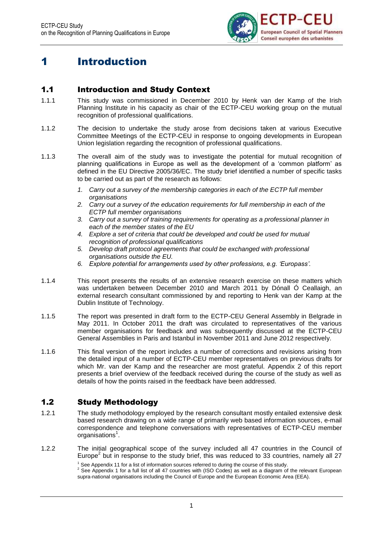

# <span id="page-4-0"></span>1 Introduction

### <span id="page-4-1"></span>1.1 Introduction and Study Context

- 1.1.1 This study was commissioned in December 2010 by Henk van der Kamp of the Irish Planning Institute in his capacity as chair of the ECTP-CEU working group on the mutual recognition of professional qualifications.
- 1.1.2 The decision to undertake the study arose from decisions taken at various Executive Committee Meetings of the ECTP-CEU in response to ongoing developments in European Union legislation regarding the recognition of professional qualifications.
- 1.1.3 The overall aim of the study was to investigate the potential for mutual recognition of planning qualifications in Europe as well as the development of a 'common platform' as defined in the EU Directive 2005/36/EC. The study brief identified a number of specific tasks to be carried out as part of the research as follows:
	- *1. Carry out a survey of the membership categories in each of the ECTP full member organisations*
	- *2. Carry out a survey of the education requirements for full membership in each of the ECTP full member organisations*
	- *3. Carry out a survey of training requirements for operating as a professional planner in each of the member states of the EU*
	- *4. Explore a set of criteria that could be developed and could be used for mutual recognition of professional qualifications*
	- *5. Develop draft protocol agreements that could be exchanged with professional organisations outside the EU.*
	- *6. Explore potential for arrangements used by other professions, e.g. 'Europass'.*
- 1.1.4 This report presents the results of an extensive research exercise on these matters which was undertaken between December 2010 and March 2011 by Dónall Ó Ceallaigh, an external research consultant commissioned by and reporting to Henk van der Kamp at the Dublin Institute of Technology.
- 1.1.5 The report was presented in draft form to the ECTP-CEU General Assembly in Belgrade in May 2011. In October 2011 the draft was circulated to representatives of the various member organisations for feedback and was subsequently discussed at the ECTP-CEU General Assemblies in Paris and Istanbul in November 2011 and June 2012 respectively.
- 1.1.6 This final version of the report includes a number of corrections and revisions arising from the detailed input of a number of ECTP-CEU member representatives on previous drafts for which Mr. van der Kamp and the researcher are most grateful. Appendix 2 of this report presents a brief overview of the feedback received during the course of the study as well as details of how the points raised in the feedback have been addressed.

### <span id="page-4-2"></span>1.2 Study Methodology

- 1.2.1 The study methodology employed by the research consultant mostly entailed extensive desk based research drawing on a wide range of primarily web based information sources, e-mail correspondence and telephone conversations with representatives of ECTP-CEU member organisations<sup>1</sup>.
- 1.2.2 The initial geographical scope of the survey included all 47 countries in the Council of Europe<sup>2</sup> but in response to the study brief, this was reduced to 33 countries, namely all 27

 $1$  See Appendix 11 for a list of information sources referred to during the course of this study.

<sup>2</sup> See Appendix 1 for a full list of all 47 countries with (ISO Codes) as well as a diagram of the relevant European supra-national organisations including the Council of Europe and the European Economic Area (EEA).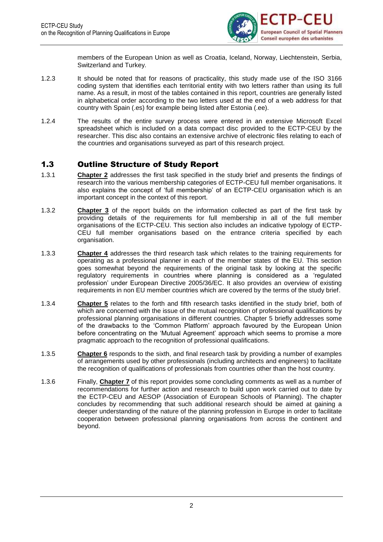

members of the European Union as well as Croatia, Iceland, Norway, Liechtenstein, Serbia, Switzerland and Turkey.

- 1.2.3 It should be noted that for reasons of practicality, this study made use of the ISO 3166 coding system that identifies each territorial entity with two letters rather than using its full name. As a result, in most of the tables contained in this report, countries are generally listed in alphabetical order according to the two letters used at the end of a web address for that country with Spain (.es) for example being listed after Estonia (.ee).
- 1.2.4 The results of the entire survey process were entered in an extensive Microsoft Excel spreadsheet which is included on a data compact disc provided to the ECTP-CEU by the researcher. This disc also contains an extensive archive of electronic files relating to each of the countries and organisations surveyed as part of this research project.

### <span id="page-5-0"></span>1.3 Outline Structure of Study Report

- 1.3.1 **Chapter 2** addresses the first task specified in the study brief and presents the findings of research into the various membership categories of ECTP-CEU full member organisations. It also explains the concept of 'full membership' of an ECTP-CEU organisation which is an important concept in the context of this report.
- 1.3.2 **Chapter 3** of the report builds on the information collected as part of the first task by providing details of the requirements for full membership in all of the full member organisations of the ECTP-CEU. This section also includes an indicative typology of ECTP-CEU full member organisations based on the entrance criteria specified by each organisation.
- 1.3.3 **Chapter 4** addresses the third research task which relates to the training requirements for operating as a professional planner in each of the member states of the EU. This section goes somewhat beyond the requirements of the original task by looking at the specific regulatory requirements in countries where planning is considered as a 'regulated profession' under European Directive 2005/36/EC. It also provides an overview of existing requirements in non EU member countries which are covered by the terms of the study brief.
- 1.3.4 **Chapter 5** relates to the forth and fifth research tasks identified in the study brief, both of which are concerned with the issue of the mutual recognition of professional qualifications by professional planning organisations in different countries. Chapter 5 briefly addresses some of the drawbacks to the 'Common Platform' approach favoured by the European Union before concentrating on the 'Mutual Agreement' approach which seems to promise a more pragmatic approach to the recognition of professional qualifications.
- 1.3.5 **Chapter 6** responds to the sixth, and final research task by providing a number of examples of arrangements used by other professionals (including architects and engineers) to facilitate the recognition of qualifications of professionals from countries other than the host country.
- 1.3.6 Finally, **Chapter 7** of this report provides some concluding comments as well as a number of recommendations for further action and research to build upon work carried out to date by the ECTP-CEU and AESOP (Association of European Schools of Planning). The chapter concludes by recommending that such additional research should be aimed at gaining a deeper understanding of the nature of the planning profession in Europe in order to facilitate cooperation between professional planning organisations from across the continent and beyond.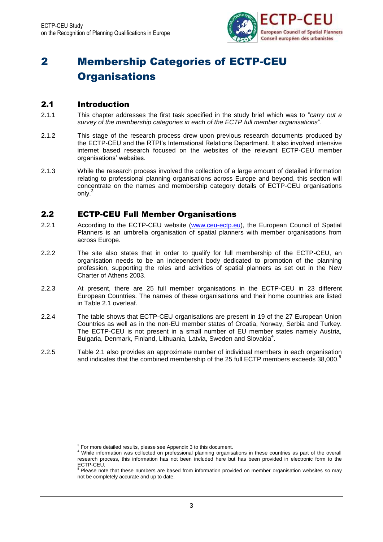

# <span id="page-6-0"></span>2 Membership Categories of ECTP-CEU **Organisations**

### <span id="page-6-1"></span>2.1 Introduction

- 2.1.1 This chapter addresses the first task specified in the study brief which was to "*carry out a survey of the membership categories in each of the ECTP full member organisations*".
- 2.1.2 This stage of the research process drew upon previous research documents produced by the ECTP-CEU and the RTPI's International Relations Department. It also involved intensive internet based research focused on the websites of the relevant ECTP-CEU member organisations' websites.
- 2.1.3 While the research process involved the collection of a large amount of detailed information relating to professional planning organisations across Europe and beyond, this section will concentrate on the names and membership category details of ECTP-CEU organisations only.

### <span id="page-6-2"></span>2.2 ECTP-CEU Full Member Organisations

- 2.2.1 According to the ECTP-CEU website [\(www.ceu-ectp.eu\)](http://www.ceu-ectp.eu/), the European Council of Spatial Planners is an umbrella organisation of spatial planners with member organisations from across Europe.
- 2.2.2 The site also states that in order to qualify for full membership of the ECTP-CEU, an organisation needs to be an independent body dedicated to promotion of the planning profession, supporting the roles and activities of spatial planners as set out in the [New](http://www.ceu-ectp.eu/index.asp?id=108)  [Charter of Athens 2003.](http://www.ceu-ectp.eu/index.asp?id=108)
- 2.2.3 At present, there are 25 full member organisations in the ECTP-CEU in 23 different European Countries. The names of these organisations and their home countries are listed in Table 2.1 overleaf.
- 2.2.4 The table shows that ECTP-CEU organisations are present in 19 of the 27 European Union Countries as well as in the non-EU member states of Croatia, Norway, Serbia and Turkey. The ECTP-CEU is not present in a small number of EU member states namely Austria, Bulgaria, Denmark, Finland, Lithuania, Latvia, Sweden and Slovakia<sup>4</sup>.
- 2.2.5 Table 2.1 also provides an approximate number of individual members in each organisation and indicates that the combined membership of the 25 full ECTP members exceeds 38,000.<sup>5</sup>

 $3$  For more detailed results, please see Appendix 3 to this document.

<sup>&</sup>lt;sup>4</sup> While information was collected on professional planning organisations in these countries as part of the overall research process, this information has not been included here but has been provided in electronic form to the ECTP-CEU.

<sup>&</sup>lt;sup>5</sup> Please note that these numbers are based from information provided on member organisation websites so may not be completely accurate and up to date.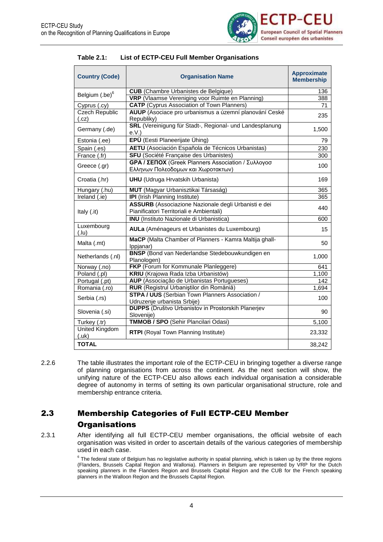

#### <span id="page-7-1"></span>**Table 2.1: List of ECTP-CEU Full Member Organisations**

| <b>Country (Code)</b>         | <b>Organisation Name</b>                                                                         | <b>Approximate</b><br><b>Membership</b> |
|-------------------------------|--------------------------------------------------------------------------------------------------|-----------------------------------------|
| Belgium (.be) <sup>6</sup>    | <b>CUB</b> (Chambre Urbanistes de Belgique)                                                      | 136                                     |
|                               | VRP (Vlaamse Vereniging voor Ruimte en Planning)                                                 | 388                                     |
| Cyprus (.cy)                  | <b>CATP</b> (Cyprus Association of Town Planners)                                                | 71                                      |
| <b>Czech Republic</b><br>(cz) | AUUP (Asociace pro urbanismus a územní planování Ceské<br>Republiky)                             | 235                                     |
| Germany (.de)                 | SRL (Vereinigung für Stadt-, Regional- und Landesplanung<br>e.V.)                                | 1,500                                   |
| Estonia (.ee)                 | EPÜ (Eesti Planeerijate Ühing)                                                                   | 79                                      |
| Spain (.es)                   | AETU (Asociación Española de Técnicos Urbanistas)                                                | 230                                     |
| France (.fr)                  | SFU (Société Française des Urbanistes)                                                           | 300                                     |
| Greece (.gr)                  | GPA / ΣΕΠΟΧ (Greek Planners Association / Συλλογοσ<br>Ελληνων Πολεοδομων και Χωροτακτων)         | 100                                     |
| Croatia (.hr)                 | <b>UHU</b> (Udruga Hrvatskih Urbanista)                                                          | 169                                     |
| Hungary (.hu)                 | MUT (Magyar Urbanisztikai Társaság)                                                              | 365                                     |
| Ireland (.ie)                 | <b>IPI</b> (Irish Planning Institute)                                                            | 365                                     |
| Italy (.it)                   | ASSURB (Associazione Nazionale degli Urbanisti e dei<br>Pianificatori Territoriali e Ambientali) | 440                                     |
|                               | <b>INU</b> (Instituto Nazionale di Urbanistica)                                                  | 600                                     |
| Luxembourg<br>(l.u)           | AULa (Aménageurs et Urbanistes du Luxembourg)                                                    | 15                                      |
| Malta (.mt)                   | MaCP (Malta Chamber of Planners - Kamra Maltija ghall-<br>Ippjanar)                              | 50                                      |
| Netherlands (.nl)             | <b>BNSP</b> (Bond van Nederlandse Stedebouwkundigen en<br>Planologen)                            | 1,000                                   |
| Norway (.no)                  | FKP (Forum for Kommunale Planleggere)                                                            | 641                                     |
| Poland (.pl)                  | KRIU (Krajowa Rada Izba Urbanistów)                                                              | 1,100                                   |
| Portugal (.pt)                | AUP (Associação de Urbanistas Portugueses)                                                       | 142                                     |
| Romania (.ro)                 | RUR (Registrul Urbaniştilor din Romăniă)                                                         | 1,694                                   |
| Serbia (.rs)                  | STPA / UUS (Serbian Town Planners Association /<br>Udruzenje urbanista Srbije)                   | 100                                     |
| Slovenia (.si)                | <b>DUPPS</b> (Društvo Urbanistov in Prostorskih Planerjev<br>Slovenije)                          |                                         |
| Turkey (.tr)                  | <b>TMMOB / SPO (Sehir Plancilari Odasi)</b>                                                      | 5,100                                   |
| United Kingdom<br>(uk)        | <b>RTPI</b> (Royal Town Planning Institute)                                                      | 23,332                                  |
| <b>TOTAL</b>                  |                                                                                                  | 38,242                                  |

2.2.6 The table illustrates the important role of the ECTP-CEU in bringing together a diverse range of planning organisations from across the continent. As the next section will show, the unifying nature of the ECTP-CEU also allows each individual organisation a considerable degree of autonomy in terms of setting its own particular organisational structure, role and membership entrance criteria.

### <span id="page-7-0"></span>2.3 Membership Categories of Full ECTP-CEU Member **Organisations**

2.3.1 After identifying all full ECTP-CEU member organisations, the official website of each organisation was visited in order to ascertain details of the various categories of membership used in each case.

> $^6$  The federal state of Belgium has no legislative authority in spatial planning, which is taken up by the three regions (Flanders, Brussels Capital Region and Wallonia). Planners in Belgium are represented by VRP for the Dutch speaking planners in the Flanders Region and Brussels Capital Region and the CUB for the French speaking planners in the Walloon Region and the Brussels Capital Region.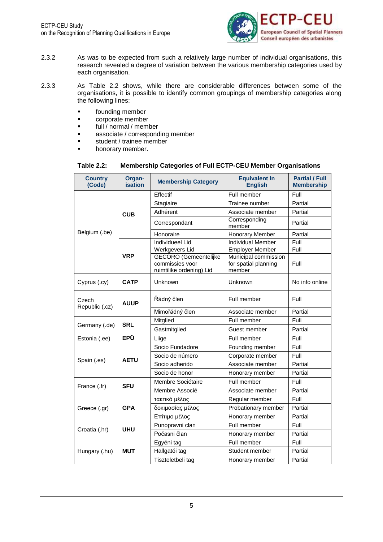

- 2.3.2 As was to be expected from such a relatively large number of individual organisations, this research revealed a degree of variation between the various membership categories used by each organisation.
- 2.3.3 As Table 2.2 shows, while there are considerable differences between some of the organisations, it is possible to identify common groupings of membership categories along the following lines:
	- **founding member**
	- corporate member
	- full / normal / member
	- associate / corresponding member
	- student / trainee member
	- honorary member.

#### **Table 2.2: Membership Categories of Full ECTP-CEU Member Organisations**

<span id="page-8-0"></span>

| <b>Country</b><br>(Code) | Organ-<br><b>isation</b> | <b>Membership Category</b>                                                  | <b>Equivalent In</b><br><b>English</b>                 | <b>Partial / Full</b><br><b>Membership</b> |
|--------------------------|--------------------------|-----------------------------------------------------------------------------|--------------------------------------------------------|--------------------------------------------|
|                          |                          | Effectif                                                                    | Full member                                            | Full                                       |
|                          |                          | Stagiaire                                                                   | Trainee number                                         | Partial                                    |
|                          | <b>CUB</b>               | Adhérent                                                                    | Associate member                                       | Partial                                    |
|                          |                          | Correspondant                                                               | Corresponding<br>member                                | Partial                                    |
| Belgium (.be)            |                          | Honoraire                                                                   | Honorary Member                                        | Partial                                    |
|                          |                          | <b>Individueel Lid</b>                                                      | <b>Individual Member</b>                               | Full                                       |
|                          |                          | Werkgevers Lid                                                              | <b>Employer Member</b>                                 | Full                                       |
|                          | <b>VRP</b>               | <b>GECORO</b> (Gemeentelijke<br>commissies voor<br>ruimtilike ordening) Lid | Municipal commission<br>for spatial planning<br>member | Full                                       |
| Cyprus (.cy)             | <b>CATP</b>              | Unknown                                                                     | Unknown                                                | No info online                             |
| Czech<br>Republic (.cz)  | <b>AUUP</b>              | Řádný člen                                                                  | Full member                                            | Full                                       |
|                          |                          | Mimořádný člen                                                              | Associate member                                       | Partial                                    |
|                          | <b>SRL</b>               | Mitglied                                                                    | Full member                                            | Full                                       |
| Germany (.de)            |                          | Gastmitglied                                                                | Guest member                                           | Partial                                    |
| Estonia (.ee)            | <b>EPÜ</b>               | Liige                                                                       | Full member                                            | Full                                       |
|                          |                          | Socio Fundadore                                                             | Founding member                                        | Full                                       |
|                          | <b>AETU</b>              | Socio de número                                                             | Corporate member                                       | Full                                       |
| Spain (.es)              |                          | Socio adherido                                                              | Associate member                                       | Partial                                    |
|                          |                          | Socio de honor                                                              | Honorary member                                        | Partial                                    |
|                          | <b>SFU</b>               | Membre Sociétaire                                                           | Full member                                            | Full                                       |
| France (.fr)             |                          | Membre Associé                                                              | Associate member                                       | Partial                                    |
|                          |                          | τακτικό μέλος                                                               | Regular member                                         | Full                                       |
| Greece (.gr)             | <b>GPA</b>               | δοκιμασίας μέλος                                                            | Probationary member                                    | Partial                                    |
|                          |                          | Επίτιμο μέλος                                                               | Honorary member                                        | Partial                                    |
| Croatia (.hr)            | <b>UHU</b>               | Punopravni clan                                                             | Full member                                            | Full                                       |
|                          |                          | Počasni član                                                                | Honorary member                                        | Partial                                    |
|                          |                          | Egyéni tag                                                                  | Full member                                            | Full                                       |
| Hungary (.hu)            | <b>MUT</b>               | Hallgatói tag                                                               | Student member                                         | Partial                                    |
|                          |                          | Tiszteletbeli tag                                                           | Honorary member                                        | Partial                                    |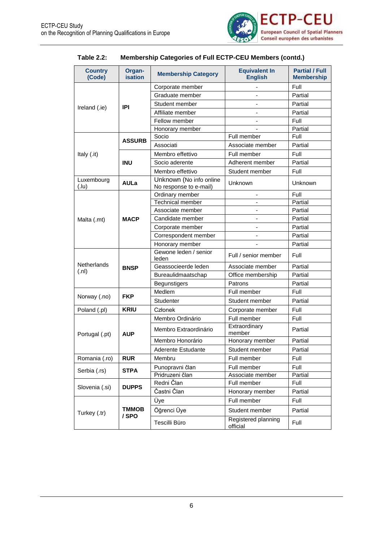

| Table 2.2: | <b>Membership Categories of Full ECTP-CEU Members (contd.)</b> |
|------------|----------------------------------------------------------------|
|------------|----------------------------------------------------------------|

| <b>Country</b><br>(Code) | Organ-<br><b>isation</b> | <b>Membership Category</b>                | <b>Equivalent In</b><br><b>English</b> | <b>Partial / Full</b><br><b>Membership</b> |
|--------------------------|--------------------------|-------------------------------------------|----------------------------------------|--------------------------------------------|
|                          |                          | Corporate member                          |                                        | Full                                       |
|                          |                          | Graduate member                           |                                        | Partial                                    |
| Ireland (.ie)            | IPI                      | Student member                            |                                        | Partial                                    |
|                          |                          | Affiliate member                          |                                        | Partial                                    |
|                          |                          | Fellow member                             | $\overline{\phantom{a}}$               | Full                                       |
|                          |                          | Honorary member                           |                                        | Partial                                    |
|                          | <b>ASSURB</b>            | Socio                                     | Full member                            | Full                                       |
|                          |                          | Associati                                 | Associate member                       | Partial                                    |
| Italy (.it)              |                          | Membro effettivo                          | Full member                            | Full                                       |
|                          | <b>INU</b>               | Socio aderente                            | Adherent member                        | Partial                                    |
|                          |                          | Membro effettivo                          | Student member                         | Full                                       |
| Luxembourg<br>(lu)       | <b>AULa</b>              | Unknown (No info online                   | Unknown                                | Unknown                                    |
|                          |                          | No response to e-mail)<br>Ordinary member |                                        | Full                                       |
|                          |                          | <b>Technical member</b>                   |                                        | Partial                                    |
|                          |                          | Associate member                          |                                        | Partial                                    |
| Malta (.mt)              | <b>MACP</b>              | Candidate member                          |                                        | Partial                                    |
|                          |                          | Corporate member                          |                                        | Partial                                    |
|                          |                          | Correspondent member                      |                                        | Partial                                    |
|                          |                          | Honorary member                           |                                        | Partial                                    |
|                          |                          | Gewone leden / senior<br>leden            | Full / senior member                   | Full                                       |
| <b>Netherlands</b>       | <b>BNSP</b>              | Geassocieerde leden                       | Associate member                       | Partial                                    |
| (n!)                     |                          | Bureaulidmaatschap                        | Office membership                      | Partial                                    |
|                          |                          | <b>Begunstigers</b>                       | Patrons                                | Partial                                    |
|                          | <b>FKP</b>               | Medlem                                    | Full member                            | Full                                       |
| Norway (.no)             |                          | Studenter                                 | Student member                         | Partial                                    |
| Poland (.pl)             | <b>KRIU</b>              | Członek                                   | Corporate member                       | Full                                       |
|                          |                          | Membro Ordinário                          | Full member                            | Full                                       |
| Portugal (.pt)           | <b>AUP</b>               | Membro Extraordinário                     | Extraordinary<br>member                | Partial                                    |
|                          |                          | Membro Honorário                          | Honorary member                        | Partial                                    |
|                          |                          | Aderente Estudante                        | Student member                         | Partial                                    |
| Romania (.ro)            | <b>RUR</b>               | Membru                                    | Full member                            | Full                                       |
|                          |                          | Punopravni član                           | Full member                            | Full                                       |
| Serbia (.rs)             | <b>STPA</b>              | Pridruzeni član                           | Associate member                       | Partial                                    |
|                          |                          | Redni Član                                | Full member                            | Full                                       |
| Slovenia (.si)           | <b>DUPPS</b>             | Častni Član                               | Honorary member                        | Partial                                    |
|                          |                          | Üye                                       | Full member                            | Full                                       |
| Turkey (.tr)             | <b>TMMOB</b>             | Öğrenci Üye                               | Student member                         | Partial                                    |
|                          | / SPO                    | Tescilli Büro                             | Registered planning<br>official        | Full                                       |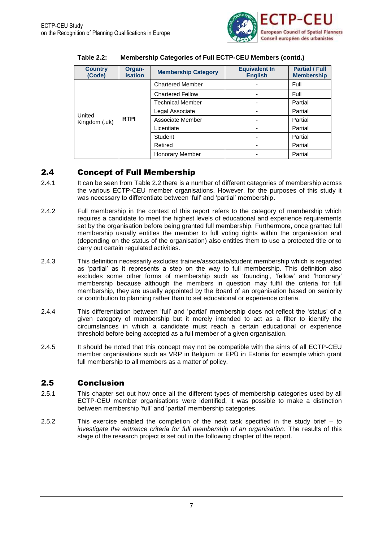

| <b>Country</b><br>(Code) | Organ-<br><b>isation</b> | <b>Membership Category</b> | <b>Equivalent In</b><br><b>English</b> | <b>Partial / Full</b><br><b>Membership</b> |
|--------------------------|--------------------------|----------------------------|----------------------------------------|--------------------------------------------|
|                          |                          | <b>Chartered Member</b>    |                                        | Full                                       |
|                          |                          | <b>Chartered Fellow</b>    |                                        | Full                                       |
|                          |                          | <b>Technical Member</b>    |                                        | Partial                                    |
| United                   |                          | Legal Associate            |                                        | Partial                                    |
| Kingdom (.uk)            | <b>RTPI</b>              | Associate Member           |                                        | Partial                                    |
|                          |                          | Licentiate                 |                                        | Partial                                    |
|                          |                          | Student                    |                                        | Partial                                    |
|                          |                          | Retired                    |                                        | Partial                                    |
|                          |                          | <b>Honorary Member</b>     |                                        | Partial                                    |

#### **Table 2.2: Membership Categories of Full ECTP-CEU Members (contd.)**

### <span id="page-10-0"></span>2.4 Concept of Full Membership

- 2.4.1 It can be seen from Table 2.2 there is a number of different categories of membership across the various ECTP-CEU member organisations. However, for the purposes of this study it was necessary to differentiate between 'full' and 'partial' membership.
- 2.4.2 Full membership in the context of this report refers to the category of membership which requires a candidate to meet the highest levels of educational and experience requirements set by the organisation before being granted full membership. Furthermore, once granted full membership usually entitles the member to full voting rights within the organisation and (depending on the status of the organisation) also entitles them to use a protected title or to carry out certain regulated activities.
- 2.4.3 This definition necessarily excludes trainee/associate/student membership which is regarded as 'partial' as it represents a step on the way to full membership. This definition also excludes some other forms of membership such as 'founding', 'fellow' and 'honorary' membership because although the members in question may fulfil the criteria for full membership, they are usually appointed by the Board of an organisation based on seniority or contribution to planning rather than to set educational or experience criteria.
- 2.4.4 This differentiation between 'full' and 'partial' membership does not reflect the 'status' of a given category of membership but it merely intended to act as a filter to identify the circumstances in which a candidate must reach a certain educational or experience threshold before being accepted as a full member of a given organisation.
- 2.4.5 It should be noted that this concept may not be compatible with the aims of all ECTP-CEU member organisations such as VRP in Belgium or EPÜ in Estonia for example which grant full membership to all members as a matter of policy.

### <span id="page-10-1"></span>2.5 Conclusion

- 2.5.1 This chapter set out how once all the different types of membership categories used by all ECTP-CEU member organisations were identified, it was possible to make a distinction between membership 'full' and 'partial' membership categories.
- 2.5.2 This exercise enabled the completion of the next task specified in the study brief *to investigate the entrance criteria for full membership of an organisation*. The results of this stage of the research project is set out in the following chapter of the report.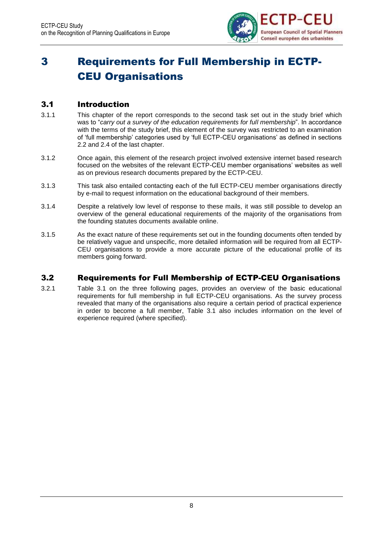

# <span id="page-11-0"></span>3 Requirements for Full Membership in ECTP-CEU Organisations

### <span id="page-11-1"></span>3.1 Introduction

- 3.1.1 This chapter of the report corresponds to the second task set out in the study brief which was to "*carry out a survey of the education requirements for full membership*". In accordance with the terms of the study brief, this element of the survey was restricted to an examination of 'full membership' categories used by 'full ECTP-CEU organisations' as defined in sections 2.2 and 2.4 of the last chapter.
- 3.1.2 Once again, this element of the research project involved extensive internet based research focused on the websites of the relevant ECTP-CEU member organisations' websites as well as on previous research documents prepared by the ECTP-CEU.
- 3.1.3 This task also entailed contacting each of the full ECTP-CEU member organisations directly by e-mail to request information on the educational background of their members.
- 3.1.4 Despite a relatively low level of response to these mails, it was still possible to develop an overview of the general educational requirements of the majority of the organisations from the founding statutes documents available online.
- 3.1.5 As the exact nature of these requirements set out in the founding documents often tended by be relatively vague and unspecific, more detailed information will be required from all ECTP-CEU organisations to provide a more accurate picture of the educational profile of its members going forward.

### <span id="page-11-2"></span>3.2 Requirements for Full Membership of ECTP-CEU Organisations

3.2.1 Table 3.1 on the three following pages, provides an overview of the basic educational requirements for full membership in full ECTP-CEU organisations. As the survey process revealed that many of the organisations also require a certain period of practical experience in order to become a full member, Table 3.1 also includes information on the level of experience required (where specified).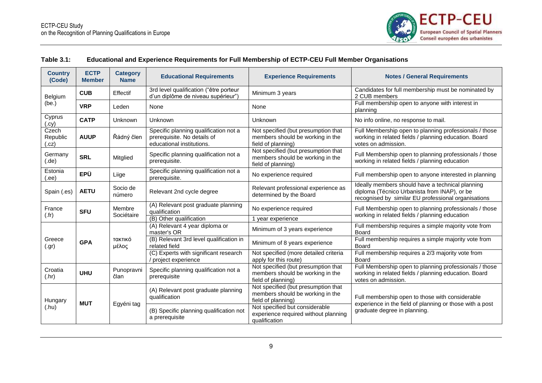

| Table 3.1: |  | Educational and Experience Requirements for Full Membership of ECTP-CEU Full Member Organisations |  |
|------------|--|---------------------------------------------------------------------------------------------------|--|
|------------|--|---------------------------------------------------------------------------------------------------|--|

<span id="page-12-0"></span>

| <b>Country</b><br>(Code)  | <b>ECTP</b><br><b>Member</b> | <b>Category</b><br><b>Name</b> | <b>Educational Requirements</b>                                                                   | <b>Experience Requirements</b>                                                                | <b>Notes / General Requirements</b>                                                                                                                     |                                                                                         |                              |
|---------------------------|------------------------------|--------------------------------|---------------------------------------------------------------------------------------------------|-----------------------------------------------------------------------------------------------|---------------------------------------------------------------------------------------------------------------------------------------------------------|-----------------------------------------------------------------------------------------|------------------------------|
| Belgium                   | <b>CUB</b>                   | Effectif                       | 3rd level qualification ("être porteur<br>d'un diplôme de niveau supérieur")                      | Minimum 3 years                                                                               | Candidates for full membership must be nominated by<br>2 CUB members                                                                                    |                                                                                         |                              |
| (be.)                     | <b>VRP</b>                   | Leden                          | None                                                                                              | None                                                                                          | Full membership open to anyone with interest in<br>planning                                                                                             |                                                                                         |                              |
| Cyprus<br>(.cy)           | <b>CATP</b>                  | Unknown                        | <b>Unknown</b>                                                                                    | Unknown                                                                                       | No info online, no response to mail.                                                                                                                    |                                                                                         |                              |
| Czech<br>Republic<br>(cz) | <b>AUUP</b>                  | Řádný člen                     | Specific planning qualification not a<br>prerequisite. No details of<br>educational institutions. | Not specified (but presumption that<br>members should be working in the<br>field of planning) | Full Membership open to planning professionals / those<br>working in related fields / planning education. Board<br>votes on admission.                  |                                                                                         |                              |
| Germany<br>(.de)          | <b>SRL</b>                   | Mitglied                       | Specific planning qualification not a<br>prerequisite.                                            | Not specified (but presumption that<br>members should be working in the<br>field of planning) | Full Membership open to planning professionals / those<br>working in related fields / planning education                                                |                                                                                         |                              |
| Estonia<br>(.ee)          | <b>EPÜ</b>                   | Liige                          | Specific planning qualification not a<br>prerequisite.                                            | No experience required                                                                        | Full membership open to anyone interested in planning                                                                                                   |                                                                                         |                              |
| Spain (.es)               | <b>AETU</b>                  | Socio de<br>número             | Relevant 2nd cycle degree                                                                         | Relevant professional experience as<br>determined by the Board                                | Ideally members should have a technical planning<br>diploma (Técnico Urbanista from INAP), or be<br>recognised by similar EU professional organisations |                                                                                         |                              |
| France<br>(.fr)           | <b>SFU</b>                   | Membre<br>Sociétaire           | (A) Relevant post graduate planning<br>qualification                                              | No experience required                                                                        | Full Membership open to planning professionals / those<br>working in related fields / planning education                                                |                                                                                         |                              |
|                           |                              |                                | (B) Other qualification<br>(A) Relevant 4 year diploma or                                         | 1 year experience                                                                             | Full membership requires a simple majority vote from                                                                                                    |                                                                                         |                              |
|                           |                              |                                | master's OR                                                                                       | Minimum of 3 years experience                                                                 | <b>Board</b>                                                                                                                                            |                                                                                         |                              |
| Greece<br>(.gr)           | <b>GPA</b>                   | τακτικό<br>μέλος               | (B) Relevant 3rd level qualification in<br>related field                                          | Minimum of 8 years experience                                                                 | Full membership requires a simple majority vote from<br><b>Board</b>                                                                                    |                                                                                         |                              |
|                           |                              |                                | (C) Experts with significant research<br>project experience                                       | Not specified (more detailed criteria<br>apply for this route)                                | Full membership requires a 2/3 majority vote from<br><b>Board</b>                                                                                       |                                                                                         |                              |
| Croatia<br>(.hr)          | <b>UHU</b>                   | Punopravni<br>član             | Specific planning qualification not a<br>prerequisite                                             | Not specified (but presumption that<br>members should be working in the<br>field of planning) | Full Membership open to planning professionals / those<br>working in related fields / planning education. Board<br>votes on admission.                  |                                                                                         |                              |
| Hungary                   |                              |                                | (A) Relevant post graduate planning<br>qualification                                              | Not specified (but presumption that<br>members should be working in the<br>field of planning) | Full membership open to those with considerable<br>experience in the field of planning or those with a post                                             |                                                                                         |                              |
| (.hu)                     |                              |                                | <b>MUT</b>                                                                                        | Egyéni tag                                                                                    | (B) Specific planning qualification not<br>a prerequisite                                                                                               | Not specified but considerable<br>experience required without planning<br>qualification | graduate degree in planning. |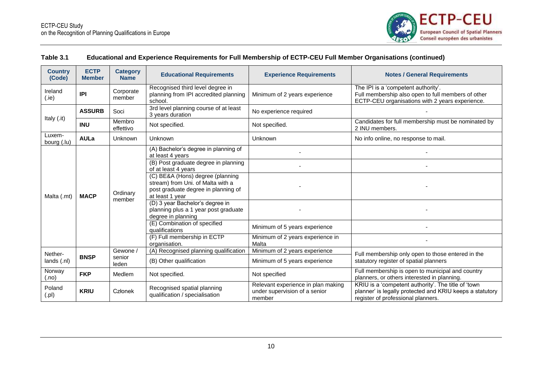

| <b>Country</b><br>(Code) | <b>ECTP</b><br><b>Member</b> | <b>Category</b><br><b>Name</b> | <b>Educational Requirements</b>                                                                              | <b>Experience Requirements</b>                                                | <b>Notes / General Requirements</b>                                                                                                                   |                                              |                                           |
|--------------------------|------------------------------|--------------------------------|--------------------------------------------------------------------------------------------------------------|-------------------------------------------------------------------------------|-------------------------------------------------------------------------------------------------------------------------------------------------------|----------------------------------------------|-------------------------------------------|
| Ireland<br>(i)           | IPI                          | Corporate<br>member            | Recognised third level degree in<br>planning from IPI accredited planning<br>school.                         | Minimum of 2 years experience                                                 | The IPI is a 'competent authority'.<br>Full membership also open to full members of other<br>ECTP-CEU organisations with 2 years experience.          |                                              |                                           |
|                          | <b>ASSURB</b>                | Soci                           | 3rd level planning course of at least<br>3 years duration                                                    | No experience required                                                        |                                                                                                                                                       |                                              |                                           |
| Italy (.it)              | <b>INU</b>                   | Membro<br>effettivo            | Not specified.                                                                                               | Not specified.                                                                | Candidates for full membership must be nominated by<br>2 INU members.                                                                                 |                                              |                                           |
| Luxem-<br>bourg (.lu)    | <b>AULa</b>                  | Unknown                        | Unknown                                                                                                      | <b>Unknown</b>                                                                | No info online, no response to mail.                                                                                                                  |                                              |                                           |
|                          |                              |                                | (A) Bachelor's degree in planning of<br>at least 4 years                                                     |                                                                               |                                                                                                                                                       |                                              |                                           |
|                          | <b>MACP</b>                  |                                | (B) Post graduate degree in planning<br>of at least 4 years                                                  |                                                                               |                                                                                                                                                       |                                              |                                           |
|                          |                              | Ordinary                       | (C) BE&A (Hons) degree (planning<br>stream) from Uni. of Malta with a<br>post graduate degree in planning of |                                                                               |                                                                                                                                                       |                                              |                                           |
| Malta (.mt)              |                              | member                         | at least 1 year<br>(D) 3 year Bachelor's degree in                                                           |                                                                               |                                                                                                                                                       |                                              |                                           |
|                          |                              |                                | planning plus a 1 year post graduate<br>degree in planning                                                   |                                                                               |                                                                                                                                                       |                                              |                                           |
|                          |                              |                                | (E) Combination of specified<br>qualifications                                                               | Minimum of 5 years experience                                                 |                                                                                                                                                       |                                              |                                           |
|                          |                              |                                |                                                                                                              |                                                                               |                                                                                                                                                       | (F) Full membership in ECTP<br>organisation. | Minimum of 2 years experience in<br>Malta |
| Nether-                  |                              | Gewone /                       | (A) Recognised planning qualification                                                                        | Minimum of 2 years experience                                                 | Full membership only open to those entered in the                                                                                                     |                                              |                                           |
| lands (.nl)              | <b>BNSP</b>                  | senior<br>leden                | (B) Other qualification                                                                                      | Minimum of 5 years experience                                                 | statutory register of spatial planners                                                                                                                |                                              |                                           |
| Norway<br>(.no)          | <b>FKP</b>                   | Medlem                         | Not specified.                                                                                               | Not specified                                                                 | Full membership is open to municipal and country<br>planners, or others interested in planning.                                                       |                                              |                                           |
| Poland<br>(.pl)          | <b>KRIU</b>                  | Członek                        | Recognised spatial planning<br>qualification / specialisation                                                | Relevant experience in plan making<br>under supervision of a senior<br>member | KRIU is a 'competent authority'. The title of 'town<br>planner' is legally protected and KRIU keeps a statutory<br>register of professional planners. |                                              |                                           |

#### **Table 3.1 Educational and Experience Requirements for Full Membership of ECTP-CEU Full Member Organisations (continued)**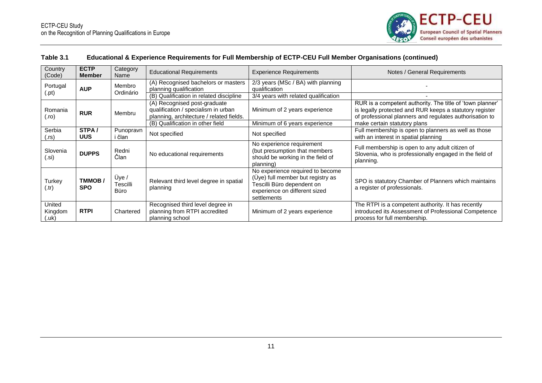

#### **Table 3.1 Educational & Experience Requirements for Full Membership of ECTP-CEU Full Member Organisations (continued)**

| Country<br>(Code)                     | <b>ECTP</b><br><b>Member</b> | Category<br>Name          | <b>Educational Requirements</b>                                                                                 | <b>Experience Requirements</b>                                                                                                                      | Notes / General Requirements                                                                                                                                                    |
|---------------------------------------|------------------------------|---------------------------|-----------------------------------------------------------------------------------------------------------------|-----------------------------------------------------------------------------------------------------------------------------------------------------|---------------------------------------------------------------------------------------------------------------------------------------------------------------------------------|
| Portugal                              | <b>AUP</b>                   | Membro<br>Ordinário       | (A) Recognised bachelors or masters<br>planning qualification                                                   | 2/3 years (MSc / BA) with planning<br>qualification                                                                                                 |                                                                                                                                                                                 |
| (.pt)                                 |                              |                           | (B) Qualification in related discipline                                                                         | 3/4 years with related qualification                                                                                                                |                                                                                                                                                                                 |
| Romania<br>(ro).                      | <b>RUR</b>                   | Membru                    | (A) Recognised post-graduate<br>qualification / specialism in urban<br>planning, architecture / related fields. | Minimum of 2 years experience                                                                                                                       | RUR is a competent authority. The title of 'town planner'<br>is legally protected and RUR keeps a statutory register<br>of professional planners and regulates authorisation to |
|                                       |                              |                           | (B) Qualification in other field                                                                                | Minimum of 6 years experience                                                                                                                       | make certain statutory plans                                                                                                                                                    |
| Serbia<br>(.rs)                       | STPA/<br><b>UUS</b>          | Punopravn<br>i član       | Not specified                                                                                                   | Not specified                                                                                                                                       | Full membership is open to planners as well as those<br>with an interest in spatial planning                                                                                    |
| Slovenia<br>(.si)                     | <b>DUPPS</b>                 | Redni<br>Član             | No educational requirements                                                                                     | No experience requirement<br>(but presumption that members<br>should be working in the field of<br>planning)                                        | Full membership is open to any adult citizen of<br>Slovenia, who is professionally engaged in the field of<br>planning.                                                         |
| Turkey<br>(.tr)                       | TMMOB/<br><b>SPO</b>         | Üye /<br>Tescilli<br>Büro | Relevant third level degree in spatial<br>planning                                                              | No experience required to become<br>(Uye) full member but registry as<br>Tescilli Büro dependent on<br>experience on different sized<br>settlements | SPO is statutory Chamber of Planners which maintains<br>a register of professionals.                                                                                            |
| United<br>Kingdom<br>$(.\mathsf{uk})$ | <b>RTPI</b>                  | Chartered                 | Recognised third level degree in<br>planning from RTPI accredited<br>planning school                            | Minimum of 2 years experience                                                                                                                       | The RTPI is a competent authority. It has recently<br>introduced its Assessment of Professional Competence<br>process for full membership.                                      |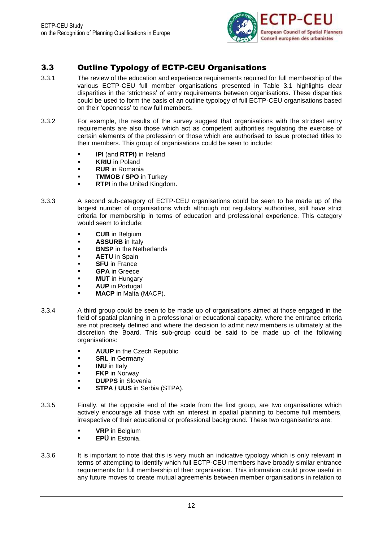

### <span id="page-15-0"></span>3.3 Outline Typology of ECTP-CEU Organisations

- 3.3.1 The review of the education and experience requirements required for full membership of the various ECTP-CEU full member organisations presented in Table 3.1 highlights clear disparities in the 'strictness' of entry requirements between organisations. These disparities could be used to form the basis of an outline typology of full ECTP-CEU organisations based on their 'openness' to new full members.
- 3.3.2 For example, the results of the survey suggest that organisations with the strictest entry requirements are also those which act as competent authorities regulating the exercise of certain elements of the profession or those which are authorised to issue protected titles to their members. This group of organisations could be seen to include:
	- **IPI** (and **RTPI)** in Ireland
	- **KRIU** in Poland
	- **RUR** in Romania
	- **TMMOB / SPO** in Turkey
	- **RTPI** in the United Kingdom.
- 3.3.3 A second sub-category of ECTP-CEU organisations could be seen to be made up of the largest number of organisations which although not regulatory authorities, still have strict criteria for membership in terms of education and professional experience. This category would seem to include:
	- **CUB** in Belgium
	- **ASSURB** in Italy
	- **BNSP** in the Netherlands
	- **AETU** in Spain
	- **SFU** in France
	- **GPA** in Greece
	- **MUT** in Hungary
	- **AUP** in Portugal
	- **MACP** in Malta (MACP).
- 3.3.4 A third group could be seen to be made up of organisations aimed at those engaged in the field of spatial planning in a professional or educational capacity, where the entrance criteria are not precisely defined and where the decision to admit new members is ultimately at the discretion the Board. This sub-group could be said to be made up of the following organisations:
	- **AUUP** in the Czech Republic
	- **SRL** in Germany
	- **INU** in Italy
	- **FKP** in Norway
	- **DUPPS** in Slovenia
	- **STPA / UUS** in Serbia (STPA).
- 3.3.5 Finally, at the opposite end of the scale from the first group, are two organisations which actively encourage all those with an interest in spatial planning to become full members, irrespective of their educational or professional background. These two organisations are:
	- **VRP** in Belgium
		- **EPÜ** in Estonia.
- 3.3.6 It is important to note that this is very much an indicative typology which is only relevant in terms of attempting to identify which full ECTP-CEU members have broadly similar entrance requirements for full membership of their organisation. This information could prove useful in any future moves to create mutual agreements between member organisations in relation to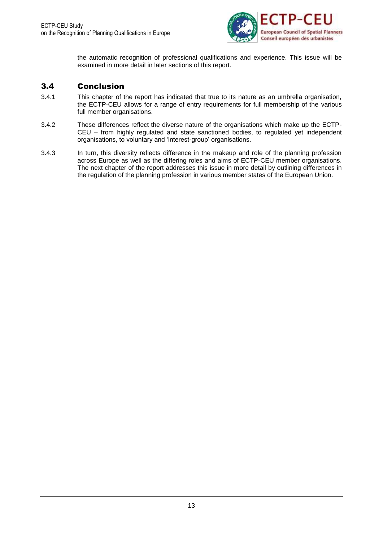

the automatic recognition of professional qualifications and experience. This issue will be examined in more detail in later sections of this report.

### <span id="page-16-0"></span>3.4 Conclusion

- 3.4.1 This chapter of the report has indicated that true to its nature as an umbrella organisation, the ECTP-CEU allows for a range of entry requirements for full membership of the various full member organisations.
- 3.4.2 These differences reflect the diverse nature of the organisations which make up the ECTP-CEU – from highly regulated and state sanctioned bodies, to regulated yet independent organisations, to voluntary and 'interest-group' organisations.
- 3.4.3 In turn, this diversity reflects difference in the makeup and role of the planning profession across Europe as well as the differing roles and aims of ECTP-CEU member organisations. The next chapter of the report addresses this issue in more detail by outlining differences in the regulation of the planning profession in various member states of the European Union.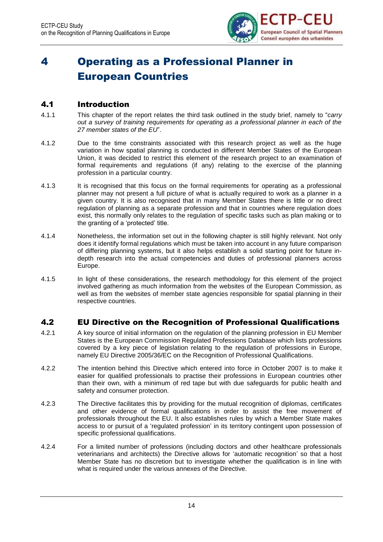

# <span id="page-17-0"></span>4 Operating as a Professional Planner in European Countries

### <span id="page-17-1"></span>4.1 Introduction

- 4.1.1 This chapter of the report relates the third task outlined in the study brief, namely to "*carry out a survey of training requirements for operating as a professional planner in each of the 27 member states of the EU*".
- 4.1.2 Due to the time constraints associated with this research project as well as the huge variation in how spatial planning is conducted in different Member States of the European Union, it was decided to restrict this element of the research project to an examination of formal requirements and regulations (if any) relating to the exercise of the planning profession in a particular country.
- 4.1.3 It is recognised that this focus on the formal requirements for operating as a professional planner may not present a full picture of what is actually required to work as a planner in a given country. It is also recognised that in many Member States there is little or no direct regulation of planning as a separate profession and that in countries where regulation does exist, this normally only relates to the regulation of specific tasks such as plan making or to the granting of a 'protected' title.
- 4.1.4 Nonetheless, the information set out in the following chapter is still highly relevant. Not only does it identify formal regulations which must be taken into account in any future comparison of differing planning systems, but it also helps establish a solid starting point for future indepth research into the actual competencies and duties of professional planners across Europe.
- 4.1.5 In light of these considerations, the research methodology for this element of the project involved gathering as much information from the websites of the European Commission, as well as from the websites of member state agencies responsible for spatial planning in their respective countries.

### <span id="page-17-2"></span>4.2 EU Directive on the Recognition of Professional Qualifications

- 4.2.1 A key source of initial information on the regulation of the planning profession in EU Member States is the European Commission Regulated Professions Database which lists professions covered by a key piece of legislation relating to the regulation of professions in Europe, namely EU Directive 2005/36/EC on the Recognition of Professional Qualifications.
- 4.2.2 The intention behind this Directive which entered into force in October 2007 is to make it easier for qualified professionals to practise their professions in European countries other than their own, with a minimum of red tape but with due safeguards for public health and safety and consumer protection.
- 4.2.3 The Directive facilitates this by providing for the mutual recognition of diplomas, certificates and other evidence of formal qualifications in order to assist the free movement of professionals throughout the EU. It also establishes rules by which a Member State makes access to or pursuit of a 'regulated profession' in its territory contingent upon possession of specific professional qualifications.
- 4.2.4 For a limited number of professions (including doctors and other healthcare professionals veterinarians and architects) the Directive allows for 'automatic recognition' so that a host Member State has no discretion but to investigate whether the qualification is in line with what is required under the various annexes of the Directive.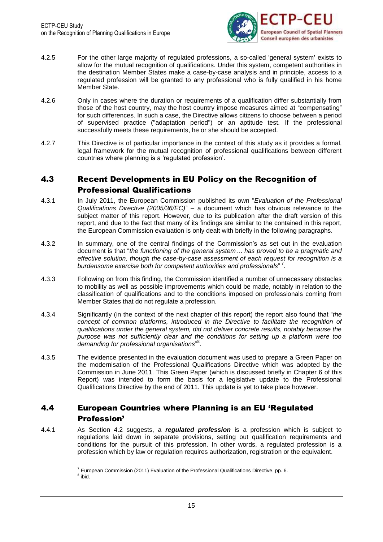

- 4.2.5 For the other large majority of regulated professions, a so-called 'general system' exists to allow for the mutual recognition of qualifications. Under this system, competent authorities in the destination Member States make a case-by-case analysis and in principle, access to a regulated profession will be granted to any professional who is fully qualified in his home Member State.
- 4.2.6 Only in cases where the duration or requirements of a qualification differ substantially from those of the host country, may the host country impose measures aimed at "compensating" for such differences. In such a case, the Directive allows citizens to choose between a period of supervised practice ("adaptation period") or an aptitude test. If the professional successfully meets these requirements, he or she should be accepted.
- 4.2.7 This Directive is of particular importance in the context of this study as it provides a formal, legal framework for the mutual recognition of professional qualifications between different countries where planning is a 'regulated profession'.

### <span id="page-18-0"></span>4.3 Recent Developments in EU Policy on the Recognition of Professional Qualifications

- 4.3.1 In July 2011, the European Commission published its own "*Evaluation of the Professional Qualifications Directive (2005/36/EC)*" – a document which has obvious relevance to the subject matter of this report. However, due to its publication after the draft version of this report, and due to the fact that many of its findings are similar to the contained in this report, the European Commission evaluation is only dealt with briefly in the following paragraphs.
- 4.3.2 In summary, one of the central findings of the Commission's as set out in the evaluation document is that "*the functioning of the general system… has proved to be a pragmatic and effective solution, though the case-by-case assessment of each request for recognition is a burdensome exercise both for competent authorities and professionals*" 7 .
- 4.3.3 Following on from this finding, the Commission identified a number of unnecessary obstacles to mobility as well as possible improvements which could be made, notably in relation to the classification of qualifications and to the conditions imposed on professionals coming from Member States that do not regulate a profession.
- 4.3.4 Significantly (in the context of the next chapter of this report) the report also found that "*the*  concept of common platforms, introduced in the Directive to facilitate the recognition of *qualifications under the general system, did not deliver concrete results, notably because the purpose was not sufficiently clear and the conditions for setting up a platform were too demanding for professional organisations*" 8 .
- 4.3.5 The evidence presented in the evaluation document was used to prepare a Green Paper on the modernisation of the Professional Qualifications Directive which was adopted by the Commission in June 2011. This Green Paper (which is discussed briefly in Chapter 6 of this Report) was intended to form the basis for a legislative update to the Professional Qualifications Directive by the end of 2011. This update is yet to take place however.

### <span id="page-18-1"></span>4.4 European Countries where Planning is an EU 'Regulated Profession'

4.4.1 As Section 4.2 suggests, a *regulated profession* is a profession which is subject to regulations laid down in separate provisions, setting out qualification requirements and conditions for the pursuit of this profession. In other words, a regulated profession is a profession which by law or regulation requires authorization, registration or the equivalent.

 $7$  European Commission (2011) Evaluation of the Professional Qualifications Directive, pp. 6. <sup>8</sup> ibid.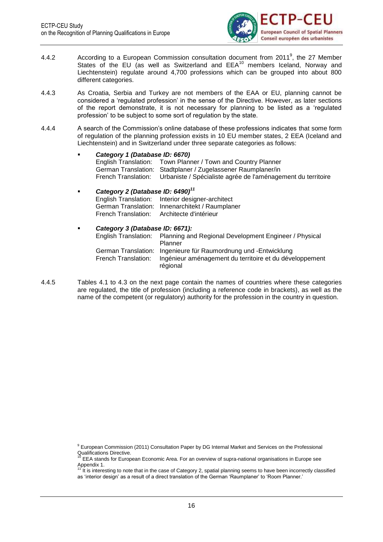

- 4.4.2 According to a European Commission consultation document from 2011<sup>9</sup>, the 27 Member According to a European Commission consulation according to ECT 3 and States of the EU (as well as Switzerland and EEA<sup>10</sup> members Iceland, Norway and Liechtenstein) regulate around 4,700 professions which can be grouped into about 800 different categories.
- 4.4.3 As Croatia, Serbia and Turkey are not members of the EAA or EU, planning cannot be considered a 'regulated profession' in the sense of the Directive. However, as later sections of the report demonstrate, it is not necessary for planning to be listed as a 'regulated profession' to be subject to some sort of regulation by the state.
- 4.4.4 A search of the Commission's online database of these professions indicates that some form of regulation of the planning profession exists in 10 EU member states, 2 EEA (Iceland and Liechtenstein) and in Switzerland under three separate categories as follows:

| $\blacksquare$ | Category 1 (Database ID: 6670)               |                                                                                  |  |  |  |
|----------------|----------------------------------------------|----------------------------------------------------------------------------------|--|--|--|
|                |                                              | English Translation: Town Planner / Town and Country Planner                     |  |  |  |
|                |                                              | German Translation: Stadtplaner / Zugelassener Raumplaner/in                     |  |  |  |
|                |                                              | French Translation: Urbaniste / Spécialiste agrée de l'aménagement du territoire |  |  |  |
|                | Category 2 (Database ID: 6490) <sup>11</sup> |                                                                                  |  |  |  |
|                |                                              | English Translation: Interior designer-architect                                 |  |  |  |
|                |                                              | German Translation: Innenarchitekt / Raumplaner                                  |  |  |  |
|                |                                              | French Translation: Architecte d'intérieur                                       |  |  |  |
| $\blacksquare$ | Category 3 (Database ID: 6671):              |                                                                                  |  |  |  |
|                |                                              | English Translation: Planning and Regional Development Engineer / Physical       |  |  |  |

| English Translation: | - Planning and Regional Development Engineer / Physical         |
|----------------------|-----------------------------------------------------------------|
|                      | Planner                                                         |
|                      | German Translation: Ingenieure für Raumordnung und -Entwicklung |
| French Translation:  | Ingénieur aménagement du territoire et du développement         |
|                      | régional                                                        |

4.4.5 Tables 4.1 to 4.3 on the next page contain the names of countries where these categories are regulated, the title of profession (including a reference code in brackets), as well as the name of the competent (or regulatory) authority for the profession in the country in question.

<sup>9</sup> European Commission (2011) Consultation Paper by DG Internal Market and Services on the Professional Qualifications Directive.

EEA stands for European Economic Area. For an overview of supra-national organisations in Europe see

Appendix 1. <sup>11</sup> It is interesting to note that in the case of Category 2, spatial planning seems to have been incorrectly classified as 'interior design' as a result of a direct translation of the German 'Raumplaner' to 'Room Planner.'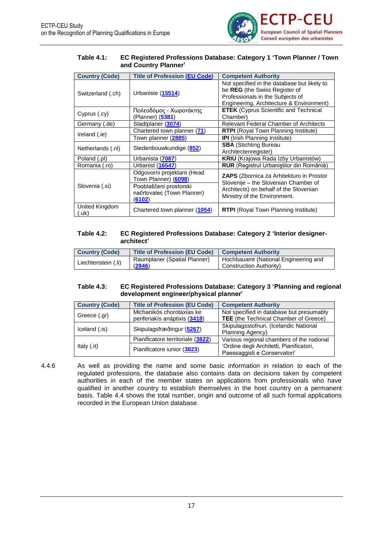![](_page_20_Picture_1.jpeg)

#### <span id="page-20-0"></span>**Table 4.1: EC Registered Professions Database: Category 1 'Town Planner / Town and Country Planner'**

| <b>Country (Code)</b>   | <b>Title of Profession (EU Code)</b>                           | <b>Competent Authority</b>                                                                                                                                   |  |
|-------------------------|----------------------------------------------------------------|--------------------------------------------------------------------------------------------------------------------------------------------------------------|--|
| Switzerland (.ch)       | Urbaniste (15514)                                              | Not specified in the database but likely to<br>be REG (the Swiss Register of<br>Professionals in the Subjects of<br>Engineering, Architecture & Environment) |  |
| Cyprus (.cy)            | Πολεοδόμος - Χωροτάκτης<br>(Planner) (5381)                    | <b>ETEK</b> (Cyprus Scientific and Technical<br>Chamber)                                                                                                     |  |
| Germany (.de)           | Stadtplaner (3074)                                             | <b>Relevant Federal Chamber of Architects</b>                                                                                                                |  |
|                         | Chartered town planner (71)                                    | <b>RTPI</b> (Royal Town Planning Institute)                                                                                                                  |  |
| Ireland (.ie)           | Town planner (2885)                                            | <b>IPI</b> (Irish Planning Institute)                                                                                                                        |  |
| Netherlands (.nl)       | Stedenbouwkundige (852)                                        | <b>SBA (Stichting Bureau</b><br>Architectenregister)                                                                                                         |  |
| Poland (.pl)            | Urbanista (7087)                                               | <b>KRIU</b> (Krajowa Rada Izby Urbanistów)                                                                                                                   |  |
| Romania (.ro)           | Urbanist (16547)                                               | <b>RUR</b> (Registrul Urbaniștilor din Romăniă)                                                                                                              |  |
|                         | Odgovorni projektant (Head<br>Town Planner) (6098)             | ZAPS (Zbornica za Arhitekturo in Prostor<br>Slovenije - the Slovenian Chamber of                                                                             |  |
| Slovenia (.si)          | Pooblaščeni prostorski<br>načrtovalec (Town Planner)<br>(6102) | Architects) on behalf of the Slovenian<br>Ministry of the Environment.                                                                                       |  |
| United Kingdom<br>(.uk) | Chartered town planner (1054)                                  | <b>RTPI</b> (Royal Town Planning Institute)                                                                                                                  |  |

#### <span id="page-20-1"></span>**Table 4.2: EC Registered Professions Database: Category 2 'Interior designerarchitect'**

| Country (Code)      | <b>Title of Profession (EU Code)</b> | <b>Competent Authority</b>           |
|---------------------|--------------------------------------|--------------------------------------|
| Liechtenstein (.li) | Raumplaner (Spatial Planner)         | Hochbauamt (National Engineering and |
|                     | (2846)                               | Construction Authority)              |

#### <span id="page-20-2"></span>**Table 4.3: EC Registered Professions Database: Category 3 'Planning and regional development engineer/physical planner'**

| <b>Country (Code)</b> | <b>Title of Profession (EU Code)</b>                       | <b>Competent Authority</b>                                                               |
|-----------------------|------------------------------------------------------------|------------------------------------------------------------------------------------------|
| Greece (.gr)          | Michanikós chorotaxías ke<br>periferiakís anáptixis (3418) | Not specified in database but presumably<br><b>TEE</b> (the Technical Chamber of Greece) |
| Iceland (.is)         | Skipulagsfræðingur (5267)                                  | Skipulagsstofnun, (Icelandic National<br>Planning Agency)                                |
|                       | Pianificatore territoriale (3822)                          | Various regional chambers of the national                                                |
| Italy $(i)$           | Pianificatore iunior (3823)                                | 'Ordine degli Architetti, Pianificatori,<br>Paessaggisti e Conservatori'                 |

4.4.6 As well as providing the name and some basic information in relation to each of the regulated professions, the database also contains data on decisions taken by competent authorities in each of the member states on applications from professionals who have qualified in another country to establish themselves in the host country on a permanent basis. Table 4.4 shows the total number, origin and outcome of all such formal applications recorded in the European Union database.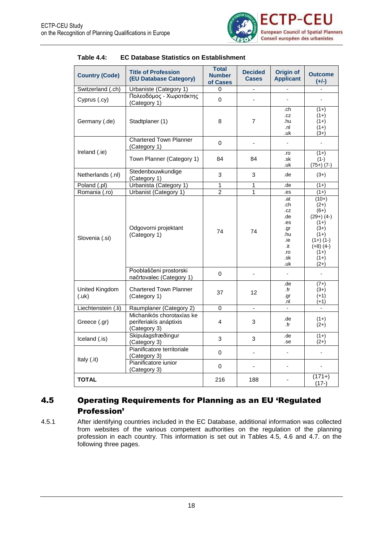![](_page_21_Picture_1.jpeg)

| <b>Country (Code)</b>        | <b>Title of Profession</b><br>(EU Database Category)                | <b>Total</b><br><b>Number</b><br>of Cases | <b>Decided</b><br><b>Cases</b> | <b>Origin of</b><br><b>Applicant</b>                                             | <b>Outcome</b><br>$(+/-)$                                                                                                             |
|------------------------------|---------------------------------------------------------------------|-------------------------------------------|--------------------------------|----------------------------------------------------------------------------------|---------------------------------------------------------------------------------------------------------------------------------------|
| Switzerland (.ch)            | Urbaniste (Category 1)                                              | 0                                         | $\blacksquare$                 | $\mathbf{r}$                                                                     |                                                                                                                                       |
| Cyprus (.cy)                 | Πολεοδόμος - Χωροτάκτης<br>(Category 1)                             | $\mathbf 0$                               | ÷,                             | ä,                                                                               | $\overline{a}$                                                                                                                        |
| Germany (.de)                | Stadtplaner (1)                                                     | 8                                         | $\overline{7}$                 | .ch<br>.cz<br>.hu<br>.nl<br>.uk                                                  | $(1+)$<br>$(1+)$<br>$(1+)$<br>$(1+)$<br>$(3+)$                                                                                        |
|                              | <b>Chartered Town Planner</b><br>(Category 1)                       | $\mathbf 0$                               | $\blacksquare$                 | ä,                                                                               | $\mathbf{r}$                                                                                                                          |
| Ireland (.ie)                | Town Planner (Category 1)                                           | 84                                        | 84                             | .ro<br>.sk<br>.uk                                                                | $(1+)$<br>$(1-)$<br>$(75+) (7-)$                                                                                                      |
| Netherlands (.nl)            | Stedenbouwkundige<br>(Category 1)                                   | 3                                         | 3                              | .de                                                                              | $(3+)$                                                                                                                                |
| Poland (.pl)                 | Urbanista (Category 1)                                              | 1                                         | 1                              | .de                                                                              | $(1+)$                                                                                                                                |
| Romania (.ro)                | Urbanist (Category 1)                                               | $\overline{2}$                            | 1                              | .es                                                                              | $(1+)$                                                                                                                                |
| Slovenia (.si)               | Odgovorni projektant<br>(Category 1)                                | 74                                        | 74                             | .at<br>.ch<br>.cz<br>.de<br>.es<br>.gr<br>.hu<br>.ie<br>.it<br>.ro<br>.sk<br>.uk | $(10+)$<br>$(2+)$<br>$(6+)$<br>$(29+) (4-)$<br>$(1+)$<br>$(3+)$<br>$(1+)$<br>$(1+) (1-)$<br>$(+8)$ (4-)<br>$(1+)$<br>$(1+)$<br>$(2+)$ |
|                              | Pooblaščeni prostorski<br>načrtovalec (Category 1)                  | $\mathbf 0$                               |                                | $\overline{a}$                                                                   |                                                                                                                                       |
| United Kingdom<br>$(.\nuk)$  | <b>Chartered Town Planner</b><br>(Category 1)                       | 37                                        | $12 \overline{ }$              | .de<br>.fr<br>.gr<br>.nl                                                         | $(7+)$<br>$(3+)$<br>$(+1)$<br>(+1)                                                                                                    |
| Liechtenstein (.li)          | Raumplaner (Category 2)                                             | $\Omega$                                  | ä,                             |                                                                                  |                                                                                                                                       |
| Greece (.gr)                 | Michanikós chorotaxías ke<br>periferiakís anáptixis<br>(Category 3) | 4                                         | 3                              | .de<br>.fr                                                                       | $(1+)$<br>$(2+)$                                                                                                                      |
| Iceland (.is)                | Skipulagsfræðingur<br>(Category 3)                                  | 3                                         | 3                              | .de<br>.se                                                                       | $(1+)$<br>$(2+)$                                                                                                                      |
| Italy (.it)                  | Pianificatore territoriale<br>(Category 3)<br>Pianificatore iunior  | $\Omega$<br>0                             | $\blacksquare$                 | $\blacksquare$<br>$\blacksquare$                                                 |                                                                                                                                       |
| (Category 3)<br><b>TOTAL</b> |                                                                     | 216                                       | 188                            |                                                                                  | $(171+)$<br>$(17-)$                                                                                                                   |

<span id="page-21-1"></span>

### <span id="page-21-0"></span>4.5 Operating Requirements for Planning as an EU 'Regulated Profession'

4.5.1 After identifying countries included in the EC Database, additional information was collected from websites of the various competent authorities on the regulation of the planning profession in each country. This information is set out in Tables 4.5, 4.6 and 4.7. on the following three pages.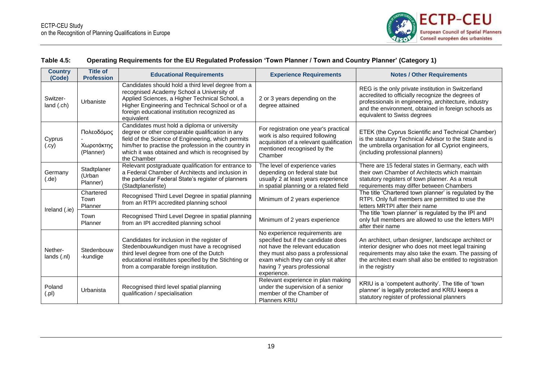![](_page_22_Picture_1.jpeg)

#### **Table 4.5: Operating Requirements for the EU Regulated Profession 'Town Planner / Town and Country Planner' (Category 1)**

<span id="page-22-0"></span>

| <b>Country</b><br>(Code) | <b>Title of</b><br><b>Profession</b>  | <b>Educational Requirements</b>                                                                                                                                                                                                                                                  | <b>Experience Requirements</b>                                                                                                                                                                                                     | <b>Notes / Other Requirements</b>                                                                                                                                                                                                                     |
|--------------------------|---------------------------------------|----------------------------------------------------------------------------------------------------------------------------------------------------------------------------------------------------------------------------------------------------------------------------------|------------------------------------------------------------------------------------------------------------------------------------------------------------------------------------------------------------------------------------|-------------------------------------------------------------------------------------------------------------------------------------------------------------------------------------------------------------------------------------------------------|
| Switzer-<br>land (.ch)   | Urbaniste                             | Candidates should hold a third level degree from a<br>recognised Academy School a University of<br>Applied Sciences, a Higher Technical School, a<br>Higher Engineering and Technical School or of a<br>foreign educational institution recognized as<br>equivalent              | 2 or 3 years depending on the<br>degree attained                                                                                                                                                                                   | REG is the only private institution in Switzerland<br>accredited to officially recognize the degrees of<br>professionals in engineering, architecture, industry<br>and the environment, obtained in foreign schools as<br>equivalent to Swiss degrees |
| Cyprus<br>(.cy)          | Πολεοδόμος<br>Χωροτάκτης<br>(Planner) | Candidates must hold a diploma or university<br>degree or other comparable qualification in any<br>field of the Science of Engineering, which permits<br>him/her to practise the profession in the country in<br>which it was obtained and which is recognised by<br>the Chamber | For registration one year's practical<br>work is also required following<br>acquisition of a relevant qualification<br>mentioned recognised by the<br>Chamber                                                                      | ETEK (the Cyprus Scientific and Technical Chamber)<br>is the statutory Technical Advisor to the State and is<br>the umbrella organisation for all Cypriot engineers,<br>(including professional planners)                                             |
| Germany<br>(de)          | Stadtplaner<br>(Urban<br>Planner)     | Relevant postgraduate qualification for entrance to<br>a Federal Chamber of Architects and inclusion in<br>the particular Federal State's register of planners<br>(Stadtplanerliste)                                                                                             | The level of experience varies<br>depending on federal state but<br>usually 2 at least years experience<br>in spatial planning or a related field                                                                                  | There are 15 federal states in Germany, each with<br>their own Chamber of Architects which maintain<br>statutory registers of town planner. As a result<br>requirements may differ between Chambers                                                   |
| Ireland (.ie)            | Chartered<br>Town<br>Planner          | Recognised Third Level Degree in spatial planning<br>from an RTPI accredited planning school                                                                                                                                                                                     | Minimum of 2 years experience                                                                                                                                                                                                      | The title 'Chartered town planner' is regulated by the<br>RTPI. Only full members are permitted to use the<br>letters MRTPI after their name                                                                                                          |
|                          | Town<br>Planner                       | Recognised Third Level Degree in spatial planning<br>from an IPI accredited planning school                                                                                                                                                                                      | Minimum of 2 years experience                                                                                                                                                                                                      | The title 'town planner' is regulated by the IPI and<br>only full members are allowed to use the letters MIPI<br>after their name                                                                                                                     |
| Nether-<br>lands(.nl)    | Stedenbouw<br>-kundige                | Candidates for inclusion in the register of<br>Stedenbouwkundigen must have a recognised<br>third level degree from one of the Dutch<br>educational institutes specified by the Stichting or<br>from a comparable foreign institution.                                           | No experience requirements are<br>specified but if the candidate does<br>not have the relevant education<br>they must also pass a professional<br>exam which they can only sit after<br>having 7 years professional<br>experience. | An architect, urban designer, landscape architect or<br>interior designer who does not meet legal training<br>requirements may also take the exam. The passing of<br>the architect exam shall also be entitled to registration<br>in the registry     |
| Poland<br>(.pl)          | Urbanista                             | Recognised third level spatial planning<br>qualification / specialisation                                                                                                                                                                                                        | Relevant experience in plan making<br>under the supervision of a senior<br>member of the Chamber of<br><b>Planners KRIU</b>                                                                                                        | KRIU is a 'competent authority'. The title of 'town<br>planner' is legally protected and KRIU keeps a<br>statutory register of professional planners                                                                                                  |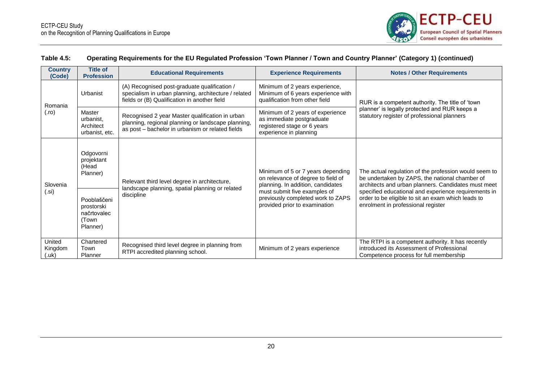![](_page_23_Picture_1.jpeg)

### **Table 4.5: Operating Requirements for the EU Regulated Profession 'Town Planner / Town and Country Planner' (Category 1) (continued)**

| <b>Country</b><br>(Code)        | <b>Title of</b><br><b>Profession</b>                          | <b>Educational Requirements</b>                                                                                                                           | <b>Experience Requirements</b>                                                                                                                                                                                     | <b>Notes / Other Requirements</b>                                                                                                                                                                                                                                                                                  |
|---------------------------------|---------------------------------------------------------------|-----------------------------------------------------------------------------------------------------------------------------------------------------------|--------------------------------------------------------------------------------------------------------------------------------------------------------------------------------------------------------------------|--------------------------------------------------------------------------------------------------------------------------------------------------------------------------------------------------------------------------------------------------------------------------------------------------------------------|
| Romania                         | Urbanist                                                      | (A) Recognised post-graduate qualification /<br>specialism in urban planning, architecture / related<br>fields or (B) Qualification in another field      | Minimum of 2 years experience,<br>Minimum of 6 years experience with<br>qualification from other field                                                                                                             | RUR is a competent authority. The title of 'town                                                                                                                                                                                                                                                                   |
| (.ro)                           | Master<br>urbanist,<br>Architect<br>urbanist, etc.            | Recognised 2 year Master qualification in urban<br>planning, regional planning or landscape planning,<br>as post – bachelor in urbanism or related fields | Minimum of 2 years of experience<br>as immediate postgraduate<br>registered stage or 6 years<br>experience in planning                                                                                             | planner' is legally protected and RUR keeps a<br>statutory register of professional planners                                                                                                                                                                                                                       |
| Slovenia<br>(.si)               | Odgovorni<br>projektant<br>(Head<br>Planner)                  | Relevant third level degree in architecture,                                                                                                              | Minimum of 5 or 7 years depending<br>on relevance of degree to field of<br>planning. In addition, candidates<br>must submit five examples of<br>previously completed work to ZAPS<br>provided prior to examination | The actual regulation of the profession would seem to<br>be undertaken by ZAPS, the national chamber of<br>architects and urban planners. Candidates must meet<br>specified educational and experience requirements in<br>order to be eligible to sit an exam which leads to<br>enrolment in professional register |
|                                 | Pooblaščeni<br>prostorski<br>načrtovalec<br>(Town<br>Planner) | landscape planning, spatial planning or related<br>discipline                                                                                             |                                                                                                                                                                                                                    |                                                                                                                                                                                                                                                                                                                    |
| United<br>Kingdom<br>$(.\u{k})$ | Chartered<br>Town<br>Planner                                  | Recognised third level degree in planning from<br>RTPI accredited planning school.                                                                        | Minimum of 2 years experience                                                                                                                                                                                      | The RTPI is a competent authority. It has recently<br>introduced its Assessment of Professional<br>Competence process for full membership                                                                                                                                                                          |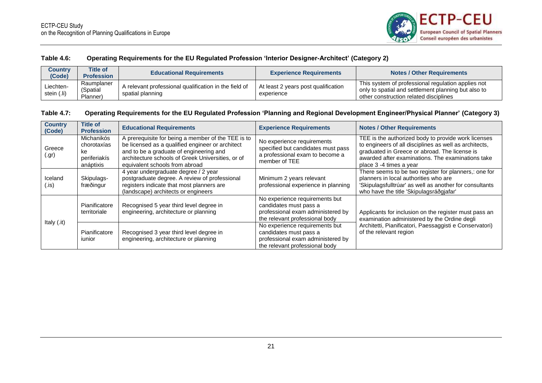![](_page_24_Picture_1.jpeg)

#### **Table 4.6: Operating Requirements for the EU Regulated Profession 'Interior Designer-Architect' (Category 2)**

| Country<br>(Code)        | <b>Title of</b><br><b>Profession</b> | <b>Educational Requirements</b>                                           | <b>Experience Requirements</b>                    | <b>Notes / Other Requirements</b>                                                                                                                   |
|--------------------------|--------------------------------------|---------------------------------------------------------------------------|---------------------------------------------------|-----------------------------------------------------------------------------------------------------------------------------------------------------|
| Liechten-<br>stein (.li) | Raumplaner<br>(Spatial<br>Planner)   | A relevant professional qualification in the field of<br>spatial planning | At least 2 years post qualification<br>experience | This system of professional regulation applies not<br>only to spatial and settlement planning but also to<br>other construction related disciplines |

#### **Table 4.7: Operating Requirements for the EU Regulated Profession 'Planning and Regional Development Engineer/Physical Planner' (Category 3)**

<span id="page-24-1"></span><span id="page-24-0"></span>

| <b>Country</b><br>(Code) | Title of<br><b>Profession</b>                                | <b>Educational Requirements</b>                                                                                                                                                                                                          | <b>Experience Requirements</b>                                                                                                  | <b>Notes / Other Requirements</b>                                                                                                                                                                                                              |  |
|--------------------------|--------------------------------------------------------------|------------------------------------------------------------------------------------------------------------------------------------------------------------------------------------------------------------------------------------------|---------------------------------------------------------------------------------------------------------------------------------|------------------------------------------------------------------------------------------------------------------------------------------------------------------------------------------------------------------------------------------------|--|
| Greece<br>(.gr)          | Michanikós<br>chorotaxías<br>ke<br>periferiakís<br>anáptixis | A prerequisite for being a member of the TEE is to<br>be licensed as a qualified engineer or architect<br>and to be a graduate of engineering and<br>architecture schools of Greek Universities, or of<br>equivalent schools from abroad | No experience requirements<br>specified but candidates must pass<br>a professional exam to become a<br>member of TEE            | TEE is the authorized body to provide work licenses<br>to engineers of all disciplines as well as architects,<br>graduated in Greece or abroad. The license is<br>awarded after examinations. The examinations take<br>place 3 -4 times a year |  |
| Iceland<br>(.is)         | Skipulags-<br>fræðingur                                      | 4 year undergraduate degree / 2 year<br>postgraduate degree. A review of professional<br>registers indicate that most planners are<br>(landscape) architects or engineers                                                                | Minimum 2 years relevant<br>professional experience in planning                                                                 | There seems to be two register for planners,: one for<br>planners in local authorities who are<br>'Skipulagsfulltrúar' as well as another for consultants<br>who have the title 'Skipulagsráðgjafar'                                           |  |
| Italy (.it)              | Pianificatore<br>territoriale                                | Recognised 5 year third level degree in<br>engineering, architecture or planning                                                                                                                                                         | No experience requirements but<br>candidates must pass a<br>professional exam administered by<br>the relevant professional body | Applicants for inclusion on the register must pass an<br>examination administered by the Ordine degli                                                                                                                                          |  |
|                          | Pianificatore<br>junior                                      | Recognised 3 year third level degree in<br>engineering, architecture or planning                                                                                                                                                         | No experience requirements but<br>candidates must pass a<br>professional exam administered by<br>the relevant professional body | Architetti, Pianificatori, Paessaggisti e Conservatori)<br>of the relevant region                                                                                                                                                              |  |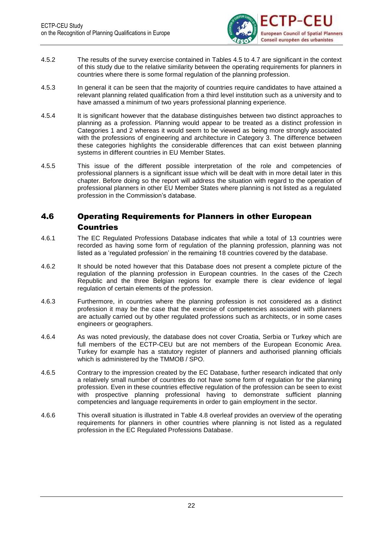![](_page_25_Picture_1.jpeg)

- 4.5.2 The results of the survey exercise contained in Tables 4.5 to 4.7 are significant in the context of this study due to the relative similarity between the operating requirements for planners in countries where there is some formal regulation of the planning profession.
- 4.5.3 In general it can be seen that the majority of countries require candidates to have attained a relevant planning related qualification from a third level institution such as a university and to have amassed a minimum of two years professional planning experience.
- 4.5.4 It is significant however that the database distinguishes between two distinct approaches to planning as a profession. Planning would appear to be treated as a distinct profession in Categories 1 and 2 whereas it would seem to be viewed as being more strongly associated with the professions of engineering and architecture in Category 3. The difference between these categories highlights the considerable differences that can exist between planning systems in different countries in EU Member States.
- 4.5.5 This issue of the different possible interpretation of the role and competencies of professional planners is a significant issue which will be dealt with in more detail later in this chapter. Before doing so the report will address the situation with regard to the operation of professional planners in other EU Member States where planning is not listed as a regulated profession in the Commission's database.

### <span id="page-25-0"></span>4.6 Operating Requirements for Planners in other European Countries

- 4.6.1 The EC Regulated Professions Database indicates that while a total of 13 countries were recorded as having some form of regulation of the planning profession, planning was not listed as a 'regulated profession' in the remaining 18 countries covered by the database.
- 4.6.2 It should be noted however that this Database does not present a complete picture of the regulation of the planning profession in European countries. In the cases of the Czech Republic and the three Belgian regions for example there is clear evidence of legal regulation of certain elements of the profession.
- 4.6.3 Furthermore, in countries where the planning profession is not considered as a distinct profession it may be the case that the exercise of competencies associated with planners are actually carried out by other regulated professions such as architects, or in some cases engineers or geographers.
- 4.6.4 As was noted previously, the database does not cover Croatia, Serbia or Turkey which are full members of the ECTP-CEU but are not members of the European Economic Area. Turkey for example has a statutory register of planners and authorised planning officials which is administered by the TMMOB / SPO.
- 4.6.5 Contrary to the impression created by the EC Database, further research indicated that only a relatively small number of countries do not have some form of regulation for the planning profession. Even in these countries effective regulation of the profession can be seen to exist with prospective planning professional having to demonstrate sufficient planning competencies and language requirements in order to gain employment in the sector.
- 4.6.6 This overall situation is illustrated in Table 4.8 overleaf provides an overview of the operating requirements for planners in other countries where planning is not listed as a regulated profession in the EC Regulated Professions Database.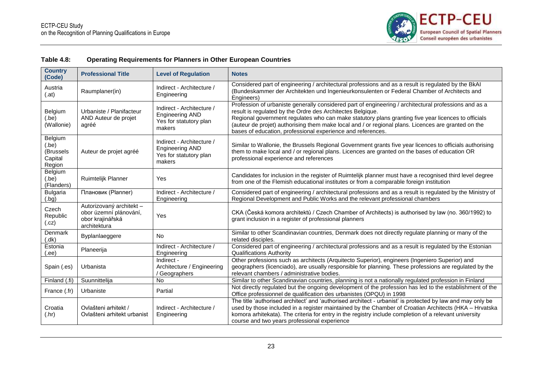![](_page_26_Picture_1.jpeg)

| Table 4.8: | <b>Operating Requirements for Planners in Other European Countries</b> |
|------------|------------------------------------------------------------------------|
|------------|------------------------------------------------------------------------|

<span id="page-26-0"></span>

| <b>Country</b><br>(Code)                          | <b>Professional Title</b>                                                              | <b>Level of Regulation</b>                                                              | <b>Notes</b>                                                                                                                                                                                                                                                                                                                                                                                                                                                                                                                                                                                                                                                                                                                                                                                                                                                                                                                |  |
|---------------------------------------------------|----------------------------------------------------------------------------------------|-----------------------------------------------------------------------------------------|-----------------------------------------------------------------------------------------------------------------------------------------------------------------------------------------------------------------------------------------------------------------------------------------------------------------------------------------------------------------------------------------------------------------------------------------------------------------------------------------------------------------------------------------------------------------------------------------------------------------------------------------------------------------------------------------------------------------------------------------------------------------------------------------------------------------------------------------------------------------------------------------------------------------------------|--|
| Austria<br>(.at)                                  | Raumplaner(in)                                                                         | Indirect - Architecture /<br>Engineering                                                | Considered part of engineering / architectural professions and as a result is regulated by the BkAI<br>(Bundeskammer der Architekten und Ingenieurkonsulenten or Federal Chamber of Architects and<br>Engineers)<br>Profession of urbaniste generally considered part of engineering / architectural professions and as a<br>result is regulated by the Ordre des Architectes Belgique.<br>Regional government regulates who can make statutory plans granting five year licences to officials<br>(auteur de projet) authorising them make local and / or regional plans. Licences are granted on the<br>bases of education, professional experience and references.<br>Similar to Wallonie, the Brussels Regional Government grants five year licences to officials authorising<br>them to make local and / or regional plans. Licences are granted on the bases of education OR<br>professional experience and references |  |
| Belgium<br>(be)<br>(Wallonie)                     | Urbaniste / Planifacteur<br>AND Auteur de projet<br>agréé                              | Indirect - Architecture /<br><b>Engineering AND</b><br>Yes for statutory plan<br>makers |                                                                                                                                                                                                                                                                                                                                                                                                                                                                                                                                                                                                                                                                                                                                                                                                                                                                                                                             |  |
| Belgium<br>(be)<br>(Brussels<br>Capital<br>Region | Auteur de projet agréé                                                                 | Indirect - Architecture /<br><b>Engineering AND</b><br>Yes for statutory plan<br>makers |                                                                                                                                                                                                                                                                                                                                                                                                                                                                                                                                                                                                                                                                                                                                                                                                                                                                                                                             |  |
| Belgium<br>(be)<br>(Flanders)                     | Ruimtelijk Planner                                                                     | Yes                                                                                     | Candidates for inclusion in the register of Ruimtelijk planner must have a recognised third level degree<br>from one of the Flemish educational institutes or from a comparable foreign institution                                                                                                                                                                                                                                                                                                                                                                                                                                                                                                                                                                                                                                                                                                                         |  |
| <b>Bulgaria</b><br>(hq)                           | Плановик (Planner)                                                                     | Indirect - Architecture /<br>Engineering                                                | Considered part of engineering / architectural professions and as a result is regulated by the Ministry of<br>Regional Development and Public Works and the relevant professional chambers                                                                                                                                                                                                                                                                                                                                                                                                                                                                                                                                                                                                                                                                                                                                  |  |
| Czech<br>Republic<br>(cz)                         | Autorizovaný architekt -<br>obor územní plánování,<br>obor krajinářská<br>architektura | Yes                                                                                     | CKA (Česká komora architektů / Czech Chamber of Architects) is authorised by law (no. 360/1992) to<br>grant inclusion in a register of professional planners                                                                                                                                                                                                                                                                                                                                                                                                                                                                                                                                                                                                                                                                                                                                                                |  |
| Denmark<br>(dk)                                   | Byplanlaeggere                                                                         | <b>No</b>                                                                               | Similar to other Scandinavian countries, Denmark does not directly regulate planning or many of the<br>related disciples.                                                                                                                                                                                                                                                                                                                                                                                                                                                                                                                                                                                                                                                                                                                                                                                                   |  |
| Estonia<br>(.ee)                                  | Planeerija                                                                             | Indirect - Architecture /<br>Engineering                                                | Considered part of engineering / architectural professions and as a result is regulated by the Estonian<br><b>Qualifications Authority</b>                                                                                                                                                                                                                                                                                                                                                                                                                                                                                                                                                                                                                                                                                                                                                                                  |  |
| Spain (.es)                                       | Urbanista                                                                              | Indirect -<br>Architecture / Engineering<br>Geographers                                 | Other professions such as architects (Arquitecto Superior), engineers (Ingeniero Superior) and<br>geographers (licenciado), are usually responsible for planning. These professions are regulated by the<br>relevant chambers / administrative bodies.                                                                                                                                                                                                                                                                                                                                                                                                                                                                                                                                                                                                                                                                      |  |
| Finland (.fi)                                     | Suunnittelija                                                                          | No                                                                                      | Similar to other Scandinavian countries, planning is not a nationally regulated profession in Finland                                                                                                                                                                                                                                                                                                                                                                                                                                                                                                                                                                                                                                                                                                                                                                                                                       |  |
| France (.fr)                                      | Urbaniste                                                                              | Partial                                                                                 | Not directly regulated but the ongoing development of the profession has led to the establishment of the<br>Office professionnel de qualification des urbanistes (OPQU) in 1998                                                                                                                                                                                                                                                                                                                                                                                                                                                                                                                                                                                                                                                                                                                                             |  |
| Croatia<br>(Ar)                                   | Ovlašteni arhitekt /<br>Ovlašteni arhitekt urbanist                                    | Indirect - Architecture /<br>Engineering                                                | The title 'authorised architect' and 'authorised architect - urbanist' is protected by law and may only be<br>used by those included in a register maintained by the Chamber of Croatian Architects (HKA - Hrvatska<br>komora arhitekata). The criteria for entry in the registry include completion of a relevant university<br>course and two years professional experience                                                                                                                                                                                                                                                                                                                                                                                                                                                                                                                                               |  |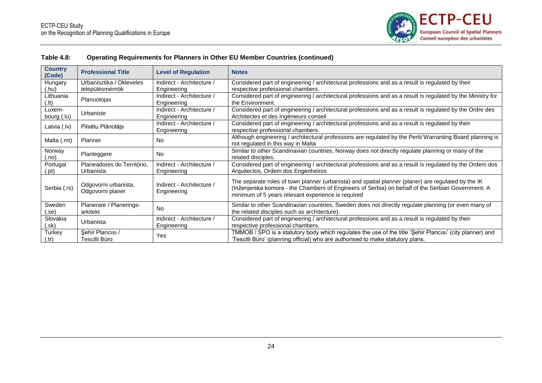![](_page_27_Picture_1.jpeg)

| Table 4.8: | Operating Requirements for Planners in Other EU Member Countries (continued) |
|------------|------------------------------------------------------------------------------|
|------------|------------------------------------------------------------------------------|

| <b>Country</b><br>(Code) | <b>Professional Title</b>                | <b>Level of Regulation</b>               | <b>Notes</b>                                                                                                                                                                                                                                                   |  |
|--------------------------|------------------------------------------|------------------------------------------|----------------------------------------------------------------------------------------------------------------------------------------------------------------------------------------------------------------------------------------------------------------|--|
| Hungary                  | Urbanisztika / Okleveles                 | Indirect - Architecture /                | Considered part of engineering / architectural professions and as a result is regulated by their                                                                                                                                                               |  |
| (.hu)                    | településmérnök                          | Engineering                              | respective professional chambers.                                                                                                                                                                                                                              |  |
| Lithuania                | Planuotojas                              | Indirect - Architecture /                | Considered part of engineering / architectural professions and as a result is regulated by the Ministry for                                                                                                                                                    |  |
| $(.$ lt $)$              |                                          | Engineering                              | the Environment.                                                                                                                                                                                                                                               |  |
| Luxem-                   | Urbaniste                                | Indirect - Architecture /                | Considered part of engineering / architectural professions and as a result is regulated by the Ordre des                                                                                                                                                       |  |
| bourg (.lu)              |                                          | Engineering                              | Architectes et des Ingénieurs-conseil                                                                                                                                                                                                                          |  |
| Latvia (.lv)             | Pilsētu Plānotājs                        | Indirect - Architecture /<br>Engineering | Considered part of engineering / architectural professions and as a result is regulated by their<br>respective professional chambers.                                                                                                                          |  |
| Malta (.mt)              | Planner                                  | <b>No</b>                                | Although engineering / architectural professions are regulated by the Periti Warranting Board planning is<br>not regulated in this way in Malta                                                                                                                |  |
| Norway<br>(no.)          | Planleggere                              | <b>No</b>                                | Similar to other Scandinavian countries, Norway does not directly regulate planning or many of the<br>related disciples.                                                                                                                                       |  |
| Portugal                 | Planeadores do Território.               | Indirect - Architecture /                | Considered part of engineering / architectural professions and as a result is regulated by the Ordem dos                                                                                                                                                       |  |
| (.pt)                    | Urbanista                                | Engineering                              | Arquitectos, Ordem dos Engenheiros                                                                                                                                                                                                                             |  |
| Serbia (.rs)             | Odgovorni urbanista,<br>Odgovorni planer | Indirect - Architecture /<br>Engineering | The separate roles of town planner (urbanista) and spatial planner (planer) are regulated by the IK<br>(Inženjerska komora - the Chambers of Engineers of Serbia) on behalf of the Serbian Government. A<br>minimum of 5 years relevant experience is required |  |
| Sweden                   | Planerare / Planerings-                  | <b>No</b>                                | Similar to other Scandinavian countries, Sweden does not directly regulate planning (or even many of                                                                                                                                                           |  |
| (.se)                    | arkitekt                                 |                                          | the related disciples such as architecture).                                                                                                                                                                                                                   |  |
| Slovakia                 | Urbanista                                | Indirect - Architecture /                | Considered part of engineering / architectural professions and as a result is regulated by their                                                                                                                                                               |  |
| (.sk)                    |                                          | Engineering                              | respective professional chambers.                                                                                                                                                                                                                              |  |
| Turkey                   | Sehir Plancisi /                         | Yes                                      | TMMOB / SPO is a statutory body which regulates the use of the title 'Sehir Plancisi' (city planner) and                                                                                                                                                       |  |
| (.tr)                    | Tescilli Büro                            |                                          | 'Tescilli Büro' (planning official) who are authorised to make statutory plans.                                                                                                                                                                                |  |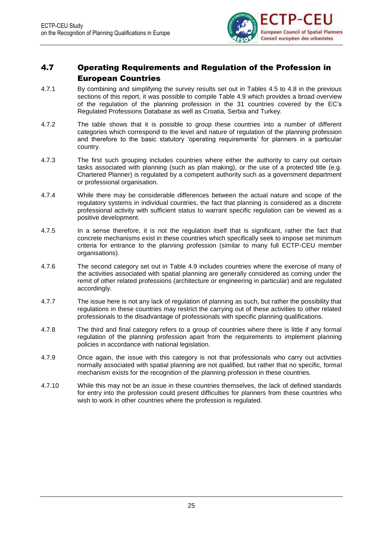![](_page_28_Picture_1.jpeg)

### <span id="page-28-0"></span>4.7 Operating Requirements and Regulation of the Profession in European Countries

- 4.7.1 By combining and simplifying the survey results set out in Tables 4.5 to 4.8 in the previous sections of this report, it was possible to compile Table 4.9 which provides a broad overview of the regulation of the planning profession in the 31 countries covered by the EC's Regulated Professions Database as well as Croatia, Serbia and Turkey.
- 4.7.2 The table shows that it is possible to group these countries into a number of different categories which correspond to the level and nature of regulation of the planning profession and therefore to the basic statutory 'operating requirements' for planners in a particular country.
- 4.7.3 The first such grouping includes countries where either the authority to carry out certain tasks associated with planning (such as plan making), or the use of a protected title (e.g. Chartered Planner) is regulated by a competent authority such as a government department or professional organisation.
- 4.7.4 While there may be considerable differences between the actual nature and scope of the regulatory systems in individual countries, the fact that planning is considered as a discrete professional activity with sufficient status to warrant specific regulation can be viewed as a positive development.
- 4.7.5 In a sense therefore, it is not the regulation itself that is significant, rather the fact that concrete mechanisms exist in these countries which specifically seek to impose set minimum criteria for entrance to the planning profession (similar to many full ECTP-CEU member organisations).
- 4.7.6 The second category set out in Table 4.9 includes countries where the exercise of many of the activities associated with spatial planning are generally considered as coming under the remit of other related professions (architecture or engineering in particular) and are regulated accordingly.
- 4.7.7 The issue here is not any lack of regulation of planning as such, but rather the possibility that regulations in these countries may restrict the carrying out of these activities to other related professionals to the disadvantage of professionals with specific planning qualifications.
- 4.7.8 The third and final category refers to a group of countries where there is little if any formal regulation of the planning profession apart from the requirements to implement planning policies in accordance with national legislation.
- 4.7.9 Once again, the issue with this category is not that professionals who carry out activities normally associated with spatial planning are not qualified, but rather that no specific, formal mechanism exists for the recognition of the planning profession in these countries.
- 4.7.10 While this may not be an issue in these countries themselves, the lack of defined standards for entry into the profession could present difficulties for planners from these countries who wish to work in other countries where the profession is regulated.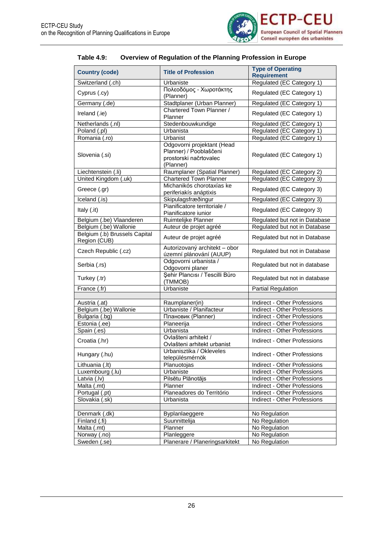![](_page_29_Picture_1.jpeg)

| <b>Table 4.9:</b> | Overview of Regulation of the Planning Profession in Europe |
|-------------------|-------------------------------------------------------------|
|-------------------|-------------------------------------------------------------|

<span id="page-29-0"></span>

| <b>Country (code)</b>                         | <b>Title of Profession</b>                                                                  | <b>Type of Operating</b><br><b>Requirement</b> |
|-----------------------------------------------|---------------------------------------------------------------------------------------------|------------------------------------------------|
| Switzerland (.ch)                             | Urbaniste                                                                                   | Regulated (EC Category 1)                      |
| Cyprus (.cy)                                  | Πολεοδόμος - Χωροτάκτης<br>(Planner)                                                        | Regulated (EC Category 1)                      |
| Germany (.de)                                 | Stadtplaner (Urban Planner)                                                                 | Regulated (EC Category 1)                      |
| Ireland (.ie)                                 | Chartered Town Planner /<br>Planner                                                         | Regulated (EC Category 1)                      |
| Netherlands (.nl)                             | Stedenbouwkundige                                                                           | Regulated (EC Category 1)                      |
| Poland (.pl)                                  | Urbanista                                                                                   | Regulated (EC Category 1)                      |
| Romania (.ro)                                 | Urbanist                                                                                    | Regulated (EC Category 1)                      |
| Slovenia (.si)                                | Odgovorni projektant (Head<br>Planner) / Pooblaščeni<br>prostorski načrtovalec<br>(Planner) | Regulated (EC Category 1)                      |
| Liechtenstein (.li)                           | Raumplaner (Spatial Planner)                                                                | Regulated (EC Category 2)                      |
| United Kingdom (.uk)                          | <b>Chartered Town Planner</b>                                                               | Regulated (EC Category 3)                      |
| Greece (.gr)                                  | Michanikós chorotaxías ke<br>periferiakís anáptixis                                         | Regulated (EC Category 3)                      |
| Iceland $\overline{(\mathsf{.is})}$           | Skipulagsfræðingur                                                                          | Regulated (EC Category 3)                      |
| Italy (.it)                                   | Pianificatore territoriale /<br>Pianificatore iunior                                        | Regulated (EC Category 3)                      |
| Belgium (.be) Vlaanderen                      | Ruimtelijke Planner                                                                         | Regulated but not in Database                  |
| Belgium (.be) Wallonie                        | Auteur de projet agréé                                                                      | Regulated but not in Database                  |
| Belgium (.b) Brussels Capital<br>Region (CUB) | Auteur de projet agréé                                                                      | Regulated but not in Database                  |
| Czech Republic (.cz)                          | Autorizovaný architekt - obor<br>územní plánování (AUUP)                                    | Regulated but not in Database                  |
| Serbia (.rs)                                  | Odgovorni urbanista /<br>Odgovorni planer                                                   | Regulated but not in database                  |
| Turkey (.tr)                                  | Şehir Plancısı / Tescilli Büro<br>(TMMOB)                                                   | Regulated but not in database                  |
| France (.fr)                                  | Urbaniste                                                                                   | <b>Partial Regulation</b>                      |
|                                               |                                                                                             |                                                |
| Austria (.at)                                 | Raumplaner(in)                                                                              | Indirect - Other Professions                   |
| Belgium (.be) Wallonie                        | Urbaniste / Planifacteur                                                                    | Indirect - Other Professions                   |
| Bulgaria (.bg)                                | Плановик (Planner)                                                                          | Indirect - Other Professions                   |
| Estonia (.ee)                                 | Planeerija                                                                                  | <b>Indirect - Other Professions</b>            |
| Spain (.es)                                   | Urbanista                                                                                   | Indirect - Other Professions                   |
| Croatia (.hr)                                 | Ovlašteni arhitekt /<br>Ovlašteni arhitekt urbanist                                         | Indirect - Other Professions                   |
| Hungary (.hu)                                 | Urbanisztika / Okleveles<br>településmérnök                                                 | Indirect - Other Professions                   |
| Lithuania (.lt)                               | Planuotojas                                                                                 | Indirect - Other Professions                   |
| Luxembourg (.lu)                              | Urbaniste                                                                                   | Indirect - Other Professions                   |
| Latvia (.lv)                                  | Pilsētu Plānotājs                                                                           | Indirect - Other Professions                   |
| Malta (.mt)                                   | Planner                                                                                     | Indirect - Other Professions                   |
| Portugal (.pt)                                | Planeadores do Território                                                                   | Indirect - Other Professions                   |
| Slovakia (.sk)                                | Urbanista                                                                                   | Indirect - Other Professions                   |
|                                               |                                                                                             |                                                |
| Denmark (.dk)                                 | Byplanlaeggere                                                                              | No Regulation                                  |
| Finland (.fi)                                 | Suunnittelija                                                                               | No Regulation                                  |
| Malta (.mt)                                   | Planner                                                                                     | No Regulation                                  |
| Norway (.no)                                  | Planleggere                                                                                 | No Regulation                                  |
| Sweden (.se)                                  | Planerare / Planeringsarkitekt                                                              | No Regulation                                  |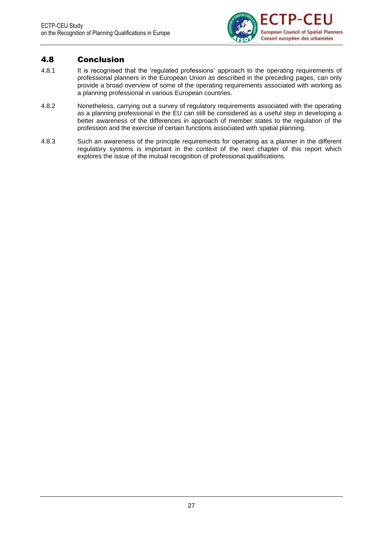![](_page_30_Picture_1.jpeg)

### <span id="page-30-0"></span>4.8 Conclusion

- 4.8.1 It is recognised that the 'regulated professions' approach to the operating requirements of professional planners in the European Union as described in the preceding pages, can only provide a broad overview of some of the operating requirements associated with working as a planning professional in various European countries.
- 4.8.2 Nonetheless, carrying out a survey of regulatory requirements associated with the operating as a planning professional in the EU can still be considered as a useful step in developing a better awareness of the differences in approach of member states to the regulation of the profession and the exercise of certain functions associated with spatial planning.
- 4.8.3 Such an awareness of the principle requirements for operating as a planner in the different regulatory systems is important in the context of the next chapter of this report which explores the issue of the mutual recognition of professional qualifications.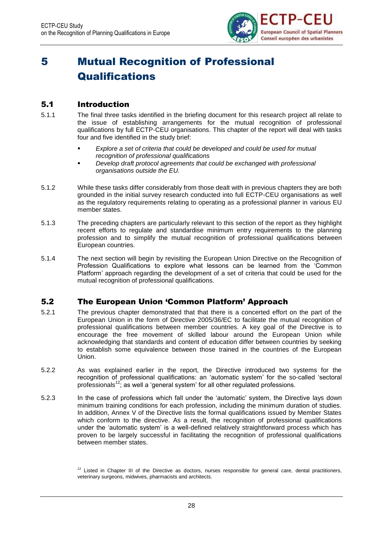![](_page_31_Picture_1.jpeg)

# <span id="page-31-0"></span>5 Mutual Recognition of Professional **Qualifications**

### <span id="page-31-1"></span>5.1 Introduction

- 5.1.1 The final three tasks identified in the briefing document for this research project all relate to the issue of establishing arrangements for the mutual recognition of professional qualifications by full ECTP-CEU organisations. This chapter of the report will deal with tasks four and five identified in the study brief:
	- *Explore a set of criteria that could be developed and could be used for mutual recognition of professional qualifications*
	- *Develop draft protocol agreements that could be exchanged with professional organisations outside the EU.*
- 5.1.2 While these tasks differ considerably from those dealt with in previous chapters they are both grounded in the initial survey research conducted into full ECTP-CEU organisations as well as the regulatory requirements relating to operating as a professional planner in various EU member states.
- 5.1.3 The preceding chapters are particularly relevant to this section of the report as they highlight recent efforts to regulate and standardise minimum entry requirements to the planning profession and to simplify the mutual recognition of professional qualifications between European countries.
- 5.1.4 The next section will begin by revisiting the European Union Directive on the Recognition of Profession Qualifications to explore what lessons can be learned from the 'Common Platform' approach regarding the development of a set of criteria that could be used for the mutual recognition of professional qualifications.

### <span id="page-31-2"></span>5.2 The European Union 'Common Platform' Approach

- 5.2.1 The previous chapter demonstrated that that there is a concerted effort on the part of the European Union in the form of Directive 2005/36/EC to facilitate the mutual recognition of professional qualifications between member countries. A key goal of the Directive is to encourage the free movement of skilled labour around the European Union while acknowledging that standards and content of education differ between countries by seeking to establish some equivalence between those trained in the countries of the European Union.
- 5.2.2 As was explained earlier in the report, the Directive introduced two systems for the recognition of professional qualifications: an 'automatic system' for the so-called 'sectoral professionals<sup>12</sup>; as well a 'general system' for all other regulated professions.
- 5.2.3 In the case of professions which fall under the 'automatic' system, the Directive lays down minimum training conditions for each profession, including the minimum duration of studies. In addition, Annex V of the Directive lists the formal qualifications issued by Member States which conform to the directive. As a result, the recognition of professional qualifications under the 'automatic system' is a well-defined relatively straightforward process which has proven to be largely successful in facilitating the recognition of professional qualifications between member states.

 $12$  Listed in Chapter III of the Directive as doctors, nurses responsible for general care, dental practitioners, veterinary surgeons, midwives, pharmacists and architects.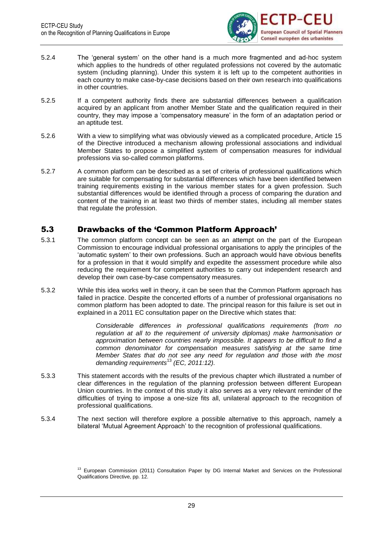![](_page_32_Picture_1.jpeg)

- 5.2.4 The 'general system' on the other hand is a much more fragmented and ad-hoc system which applies to the hundreds of other regulated professions not covered by the automatic system (including planning). Under this system it is left up to the competent authorities in each country to make case-by-case decisions based on their own research into qualifications in other countries.
- 5.2.5 If a competent authority finds there are substantial differences between a qualification acquired by an applicant from another Member State and the qualification required in their country, they may impose a 'compensatory measure' in the form of an adaptation period or an aptitude test.
- 5.2.6 With a view to simplifying what was obviously viewed as a complicated procedure, Article 15 of the Directive introduced a mechanism allowing professional associations and individual Member States to propose a simplified system of compensation measures for individual professions via so-called common platforms.
- 5.2.7 A common platform can be described as a set of criteria of professional qualifications which are suitable for compensating for substantial differences which have been identified between training requirements existing in the various member states for a given profession. Such substantial differences would be identified through a process of comparing the duration and content of the training in at least two thirds of member states, including all member states that regulate the profession.

### <span id="page-32-0"></span>5.3 Drawbacks of the 'Common Platform Approach'

- 5.3.1 The common platform concept can be seen as an attempt on the part of the European Commission to encourage individual professional organisations to apply the principles of the 'automatic system' to their own professions. Such an approach would have obvious benefits for a profession in that it would simplify and expedite the assessment procedure while also reducing the requirement for competent authorities to carry out independent research and develop their own case-by-case compensatory measures.
- 5.3.2 While this idea works well in theory, it can be seen that the Common Platform approach has failed in practice. Despite the concerted efforts of a number of professional organisations no common platform has been adopted to date. The principal reason for this failure is set out in explained in a 2011 EC consultation paper on the Directive which states that:

*Considerable differences in professional qualifications requirements (from no regulation at all to the requirement of university diplomas) make harmonisation or approximation between countries nearly impossible. It appears to be difficult to find a common denominator for compensation measures satisfying at the same time Member States that do not see any need for regulation and those with the most demanding requirements*<sup>13</sup> *(EC, 2011:12).*

- 5.3.3 This statement accords with the results of the previous chapter which illustrated a number of clear differences in the regulation of the planning profession between different European Union countries. In the context of this study it also serves as a very relevant reminder of the difficulties of trying to impose a one-size fits all, unilateral approach to the recognition of professional qualifications.
- 5.3.4 The next section will therefore explore a possible alternative to this approach, namely a bilateral 'Mutual Agreement Approach' to the recognition of professional qualifications.

<sup>&</sup>lt;sup>13</sup> European Commission (2011) Consultation Paper by DG Internal Market and Services on the Professional Qualifications Directive, pp. 12.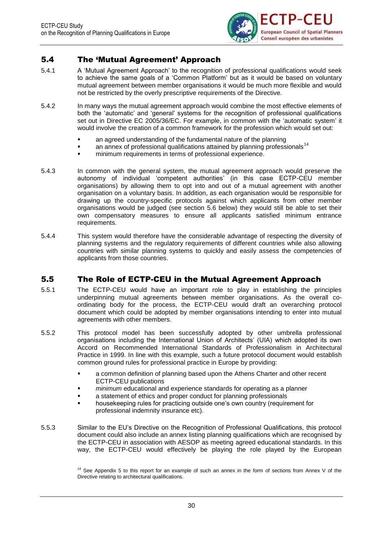![](_page_33_Picture_1.jpeg)

### <span id="page-33-0"></span>5.4 The 'Mutual Agreement' Approach

- 5.4.1 A 'Mutual Agreement Approach' to the recognition of professional qualifications would seek to achieve the same goals of a 'Common Platform' but as it would be based on voluntary mutual agreement between member organisations it would be much more flexible and would not be restricted by the overly prescriptive requirements of the Directive.
- 5.4.2 In many ways the mutual agreement approach would combine the most effective elements of both the 'automatic' and 'general' systems for the recognition of professional qualifications set out in Directive EC 2005/36/EC. For example, in common with the 'automatic system' it would involve the creation of a common framework for the profession which would set out:
	- an agreed understanding of the fundamental nature of the planning
	- an annex of professional qualifications attained by planning professionals $^{14}$
	- minimum requirements in terms of professional experience.
- 5.4.3 In common with the general system, the mutual agreement approach would preserve the autonomy of individual 'competent authorities' (in this case ECTP-CEU member organisations) by allowing them to opt into and out of a mutual agreement with another organisation on a voluntary basis. In addition, as each organisation would be responsible for drawing up the country-specific protocols against which applicants from other member organisations would be judged (see section 5.6 below) they would still be able to set their own compensatory measures to ensure all applicants satisfied minimum entrance requirements.
- 5.4.4 This system would therefore have the considerable advantage of respecting the diversity of planning systems and the regulatory requirements of different countries while also allowing countries with similar planning systems to quickly and easily assess the competencies of applicants from those countries.

### <span id="page-33-1"></span>5.5 The Role of ECTP-CEU in the Mutual Agreement Approach

- 5.5.1 The ECTP-CEU would have an important role to play in establishing the principles underpinning mutual agreements between member organisations. As the overall coordinating body for the process, the ECTP-CEU would draft an overarching protocol document which could be adopted by member organisations intending to enter into mutual agreements with other members.
- 5.5.2 This protocol model has been successfully adopted by other umbrella professional organisations including the International Union of Architects' (UIA) which adopted its own Accord on Recommended International Standards of Professionalism in Architectural Practice in 1999. In line with this example, such a future protocol document would establish common ground rules for professional practice in Europe by providing:
	- a common definition of planning based upon the Athens Charter and other recent ECTP-CEU publications
	- *minimum* educational and experience standards for operating as a planner
	- a statement of ethics and proper conduct for planning professionals
	- housekeeping rules for practicing outside one's own country (requirement for professional indemnity insurance etc).
- 5.5.3 Similar to the EU's Directive on the Recognition of Professional Qualifications, this protocol document could also include an annex listing planning qualifications which are recognised by the ECTP-CEU in association with AESOP as meeting agreed educational standards. In this way, the ECTP-CEU would effectively be playing the role played by the European

<sup>&</sup>lt;sup>14</sup> See Appendix 5 to this report for an example of such an annex in the form of sections from Annex V of the Directive relating to architectural qualifications.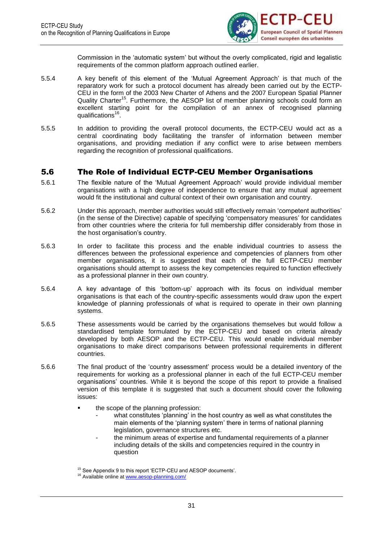![](_page_34_Picture_1.jpeg)

Commission in the 'automatic system' but without the overly complicated, rigid and legalistic requirements of the common platform approach outlined earlier.

- 5.5.4 A key benefit of this element of the 'Mutual Agreement Approach' is that much of the reparatory work for such a protocol document has already been carried out by the ECTP-CEU in the form of the 2003 New Charter of Athens and the 2007 European Spatial Planner Quality Charter<sup>15</sup>. Furthermore, the AESOP list of member planning schools could form an excellent starting point for the compilation of an annex of recognised planning qualifications<sup>16</sup>.
- 5.5.5 In addition to providing the overall protocol documents, the ECTP-CEU would act as a central coordinating body facilitating the transfer of information between member organisations, and providing mediation if any conflict were to arise between members regarding the recognition of professional qualifications.

### <span id="page-34-0"></span>5.6 The Role of Individual ECTP-CEU Member Organisations

- 5.6.1 The flexible nature of the 'Mutual Agreement Approach' would provide individual member organisations with a high degree of independence to ensure that any mutual agreement would fit the institutional and cultural context of their own organisation and country.
- 5.6.2 Under this approach, member authorities would still effectively remain 'competent authorities' (in the sense of the Directive) capable of specifying 'compensatory measures' for candidates from other countries where the criteria for full membership differ considerably from those in the host organisation's country.
- 5.6.3 In order to facilitate this process and the enable individual countries to assess the differences between the professional experience and competencies of planners from other member organisations, it is suggested that each of the full ECTP-CEU member organisations should attempt to assess the key competencies required to function effectively as a professional planner in their own country.
- 5.6.4 A key advantage of this 'bottom-up' approach with its focus on individual member organisations is that each of the country-specific assessments would draw upon the expert knowledge of planning professionals of what is required to operate in their own planning systems.
- 5.6.5 These assessments would be carried by the organisations themselves but would follow a standardised template formulated by the ECTP-CEU and based on criteria already developed by both AESOP and the ECTP-CEU. This would enable individual member organisations to make direct comparisons between professional requirements in different countries.
- 5.6.6 The final product of the 'country assessment' process would be a detailed inventory of the requirements for working as a professional planner in each of the full ECTP-CEU member organisations' countries. While it is beyond the scope of this report to provide a finalised version of this template it is suggested that such a document should cover the following issues:
	- the scope of the planning profession:
		- what constitutes 'planning' in the host country as well as what constitutes the main elements of the 'planning system' there in terms of national planning legislation, governance structures etc.
		- the minimum areas of expertise and fundamental requirements of a planner including details of the skills and competencies required in the country in question

<sup>&</sup>lt;sup>15</sup> See Appendix 9 to this report 'ECTP-CEU and AESOP documents'.

<sup>&</sup>lt;sup>16</sup> Available online a[t www.aesop-planning.com/](http://www.aesop-planning.com/)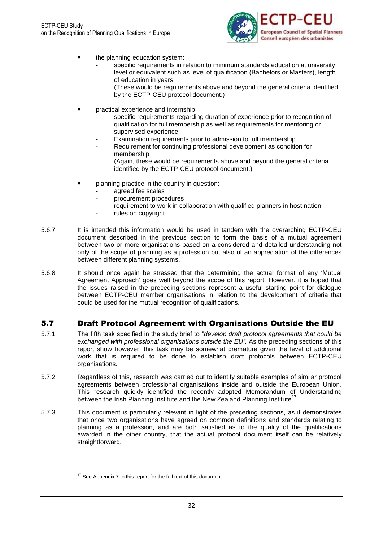![](_page_35_Picture_1.jpeg)

- the planning education system:
	- specific requirements in relation to minimum standards education at university level or equivalent such as level of qualification (Bachelors or Masters), length of education in years

(These would be requirements above and beyond the general criteria identified by the ECTP-CEU protocol document.)

- practical experience and internship:
	- specific requirements regarding duration of experience prior to recognition of qualification for full membership as well as requirements for mentoring or supervised experience
	- Examination requirements prior to admission to full membership
	- Requirement for continuing professional development as condition for membership (Again, these would be requirements above and beyond the general criteria identified by the ECTP-CEU protocol document.)
- planning practice in the country in question:
	- agreed fee scales
	- procurement procedures
	- requirement to work in collaboration with qualified planners in host nation
	- rules on copyright.
- 5.6.7 It is intended this information would be used in tandem with the overarching ECTP-CEU document described in the previous section to form the basis of a mutual agreement between two or more organisations based on a considered and detailed understanding not only of the scope of planning as a profession but also of an appreciation of the differences between different planning systems.
- 5.6.8 It should once again be stressed that the determining the actual format of any 'Mutual Agreement Approach' goes well beyond the scope of this report. However, it is hoped that the issues raised in the preceding sections represent a useful starting point for dialogue between ECTP-CEU member organisations in relation to the development of criteria that could be used for the mutual recognition of qualifications.

### <span id="page-35-0"></span>5.7 Draft Protocol Agreement with Organisations Outside the EU

- 5.7.1 The fifth task specified in the study brief to "*develop draft protocol agreements that could be exchanged with professional organisations outside the EU".* As the preceding sections of this report show however, this task may be somewhat premature given the level of additional work that is required to be done to establish draft protocols between ECTP-CEU organisations.
- 5.7.2 Regardless of this, research was carried out to identify suitable examples of similar protocol agreements between professional organisations inside and outside the European Union. This research quickly identified the recently adopted Memorandum of Understanding between the Irish Planning Institute and the New Zealand Planning Institute<sup>17</sup>.
- 5.7.3 This document is particularly relevant in light of the preceding sections, as it demonstrates that once two organisations have agreed on common definitions and standards relating to planning as a profession, and are both satisfied as to the quality of the qualifications awarded in the other country, that the actual protocol document itself can be relatively straightforward.

 $17$  See Appendix 7 to this report for the full text of this document.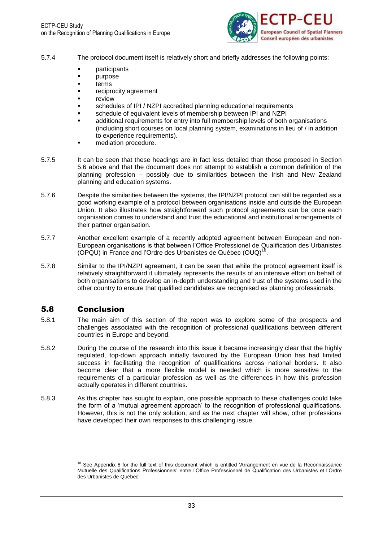

- 5.7.4 The protocol document itself is relatively short and briefly addresses the following points:
	- participants
	- purpose
	- terms
	- reciprocity agreement
	- review
	- schedules of IPI / NZPI accredited planning educational requirements
	- schedule of equivalent levels of membership between IPI and NZPI
	- additional requirements for entry into full membership levels of both organisations (including short courses on local planning system, examinations in lieu of / in addition to experience requirements).
	- mediation procedure.
- 5.7.5 It can be seen that these headings are in fact less detailed than those proposed in Section 5.6 above and that the document does not attempt to establish a common definition of the planning profession – possibly due to similarities between the Irish and New Zealand planning and education systems.
- 5.7.6 Despite the similarities between the systems, the IPI/NZPI protocol can still be regarded as a good working example of a protocol between organisations inside and outside the European Union. It also illustrates how straightforward such protocol agreements can be once each organisation comes to understand and trust the educational and institutional arrangements of their partner organisation.
- 5.7.7 Another excellent example of a recently adopted agreement between European and non-European organisations is that between l'Office Professionel de Qualification des Urbanistes (OPQU) in France and l'Ordre des Urbanistes de Québec (OUQ)<sup>18</sup>.
- 5.7.8 Similar to the IPI/NZPI agreement, it can be seen that while the protocol agreement itself is relatively straightforward it ultimately represents the results of an intensive effort on behalf of both organisations to develop an in-depth understanding and trust of the systems used in the other country to ensure that qualified candidates are recognised as planning professionals.

## 5.8 Conclusion

- 5.8.1 The main aim of this section of the report was to explore some of the prospects and challenges associated with the recognition of professional qualifications between different countries in Europe and beyond.
- 5.8.2 During the course of the research into this issue it became increasingly clear that the highly regulated, top-down approach initially favoured by the European Union has had limited success in facilitating the recognition of qualifications across national borders. It also become clear that a more flexible model is needed which is more sensitive to the requirements of a particular profession as well as the differences in how this profession actually operates in different countries.
- 5.8.3 As this chapter has sought to explain, one possible approach to these challenges could take the form of a 'mutual agreement approach' to the recognition of professional qualifications. However, this is not the only solution, and as the next chapter will show, other professions have developed their own responses to this challenging issue.

 $18$  See Appendix 8 for the full text of this document which is entitled 'Arrangement en vue de la Reconnaissance Mutuelle des Qualifications Professionnels' entre l'Office Professionnel de Qualification des Urbanistes et l'Ordre des Urbanistes de Québec'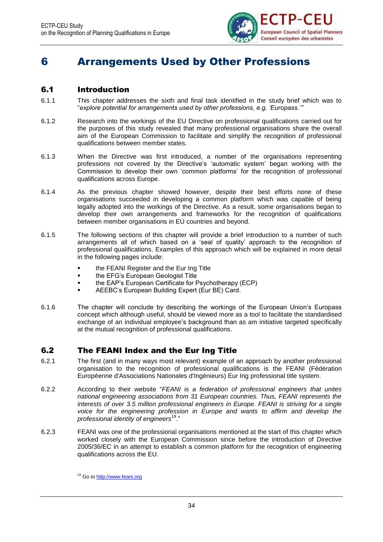

# 6 Arrangements Used by Other Professions

## 6.1 Introduction

- 6.1.1 This chapter addresses the sixth and final task identified in the study brief which was to "*explore potential for arrangements used by other professions, e.g. 'Europass.'"*
- 6.1.2 Research into the workings of the EU Directive on professional qualifications carried out for the purposes of this study revealed that many professional organisations share the overall aim of the European Commission to facilitate and simplify the recognition of professional qualifications between member states.
- 6.1.3 When the Directive was first introduced, a number of the organisations representing professions not covered by the Directive's 'automatic system' began working with the Commission to develop their own 'common platforms' for the recognition of professional qualifications across Europe.
- 6.1.4 As the previous chapter showed however, despite their best efforts none of these organisations succeeded in developing a common platform which was capable of being legally adopted into the workings of the Directive. As a result, some organisations began to develop their own arrangements and frameworks for the recognition of qualifications between member organisations in EU countries and beyond.
- 6.1.5 The following sections of this chapter will provide a brief introduction to a number of such arrangements all of which based on a 'seal of quality' approach to the recognition of professional qualifications. Examples of this approach which will be explained in more detail in the following pages include:
	- **the FEANI Register and the Eur Ing Title**
	- **the EFG's European Geologist Title**
	- the EAP's European Certificate for Psychotherapy (ECP)
	- AEEBC's European Building Expert (Eur BE) Card.
- 6.1.6 The chapter will conclude by describing the workings of the European Union's Europass concept which although useful, should be viewed more as a tool to facilitate the standardised exchange of an individual employee's background than as am initiative targeted specifically at the mutual recognition of professional qualifications.

## 6.2 The FEANI Index and the Eur Ing Title

- 6.2.1 The first (and in many ways most relevant) example of an approach by another professional organisation to the recognition of professional qualifications is the FEANI (Fédération Européenne d'Associations Nationales d'Ingénieurs) Eur Ing professional title system.
- 6.2.2 According to their website "*FEANI is a federation of professional engineers that unites national engineering associations from 31 European countries. Thus, FEANI represents the interests of over 3.5 million professional engineers in Europe. FEANI is striving for a single voice for the engineering profession in Europe and wants to affirm and develop the professional identity of engineers*<sup>19</sup>."
- 6.2.3 FEANI was one of the professional organisations mentioned at the start of this chapter which worked closely with the European Commission since before the introduction of Directive 2005/36/EC in an attempt to establish a common platform for the recognition of engineering qualifications across the EU.

<sup>&</sup>lt;sup>19</sup> Go to [http://www.feani.org](http://www.feani.org/)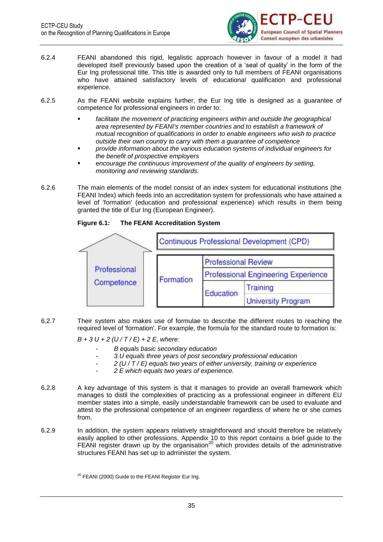

- 6.2.4 FEANI abandoned this rigid, legalistic approach however in favour of a model it had developed itself previously based upon the creation of a 'seal of quality' in the form of the Eur Ing professional title. This title is awarded only to full members of FEANI organisations who have attained satisfactory levels of educational qualification and professional experience.
- 6.2.5 As the FEANI website explains further, the Eur Ing title is designed as a guarantee of competence for professional engineers in order to:
	- **Facilitate the movement of practicing engineers within and outside the geographical** *area represented by FEANI's member countries and to establish a framework of mutual recognition of qualifications in order to enable engineers who wish to practice outside their own country to carry with them a guarantee of competence*
	- *provide information about the various education systems of individual engineers for the benefit of prospective employers*
	- *encourage the continuous improvement of the quality of engineers by setting, monitoring and reviewing standards.*
- 6.2.6 The main elements of the model consist of an index system for educational institutions (the FEANI Index) which feeds into an accreditation system for professionals who have attained a level of 'formation' (education and professional experience) which results in them being granted the title of Eur Ing (European Engineer).

#### **Figure 6.1: The FEANI Accreditation System**



6.2.7 Their system also makes use of formulae to describe the different routes to reaching the required level of 'formation'. For example, the formula for the standard route to formation is:

*B + 3 U + 2 (U / T / E) + 2 E, where:*

- *B equals basic secondary education*
- *3 U equals three years of post secondary professional education*
- *2 (U / T / E) equals two years of either university, training or experience*
- *2 E which equals two years of experience.*
- 6.2.8 A key advantage of this system is that it manages to provide an overall framework which manages to distil the complexities of practicing as a professional engineer in different EU member states into a simple, easily understandable framework can be used to evaluate and attest to the professional competence of an engineer regardless of where he or she comes from.
- 6.2.9 In addition, the system appears relatively straightforward and should therefore be relatively easily applied to other professions. Appendix 10 to this report contains a brief guide to the FEANI register drawn up by the organisation<sup>20</sup> which provides details of the administrative structures FEANI has set up to administer the system.

<sup>20</sup> FEANI (2000) Guide to the FEANI Register Eur Ing.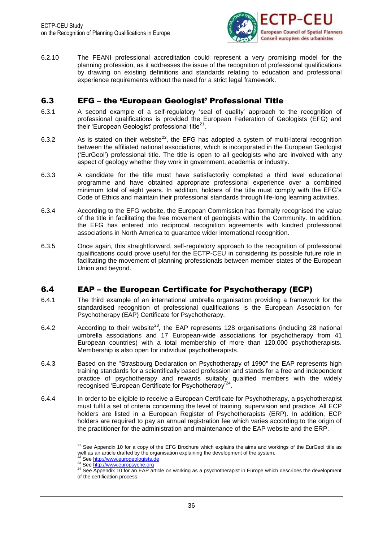

6.2.10 The FEANI professional accreditation could represent a very promising model for the planning profession, as it addresses the issue of the recognition of professional qualifications by drawing on existing definitions and standards relating to education and professional experience requirements without the need for a strict legal framework.

## 6.3 EFG – the 'European Geologist' Professional Title

- 6.3.1 A second example of a self-regulatory 'seal of quality' approach to the recognition of professional qualifications is provided the European Federation of Geologists (EFG) and .<br>their 'European Geologist' professional title<sup>21</sup>.
- 6.3.2 As is stated on their website<sup>22</sup>, the EFG has adopted a system of multi-lateral recognition between the affiliated national associations, which is incorporated in the European Geologist ('EurGeol') professional title. The title is open to all geologists who are involved with any aspect of geology whether they work in government, academia or industry.
- 6.3.3 A candidate for the title must have satisfactorily completed a third level educational programme and have obtained appropriate professional experience over a combined minimum total of eight years. In addition, holders of the title must comply with the EFG's Code of Ethics and maintain their professional standards through life-long learning activities.
- 6.3.4 According to the EFG website, the European Commission has formally recognised the value of the title in facilitating the free movement of geologists within the Community. In addition, the EFG has entered into reciprocal recognition agreements with kindred professional associations in North America to guarantee wider international recognition.
- 6.3.5 Once again, this straightforward, self-regulatory approach to the recognition of professional qualifications could prove useful for the ECTP-CEU in considering its possible future role in facilitating the movement of planning professionals between member states of the European Union and beyond.

## 6.4 EAP – the European Certificate for Psychotherapy (ECP)

- 6.4.1 The third example of an international umbrella organisation providing a framework for the standardised recognition of professional qualifications is the European Association for Psychotherapy (EAP) Certificate for Psychotherapy.
- 6.4.2 According to their website<sup>23</sup>, the EAP represents 128 organisations (including 28 national [umbrella associations](http://www.europsyche.org/nuo) and [17 European-wide associations for psychotherapy](http://www.europsyche.org/ewao) from [41](http://www.europsyche.org/regional_eap)  [European countries\)](http://www.europsyche.org/regional_eap) with a total membership of more than 120,000 psychotherapists. Membership is also open for individual psychotherapists.
- 6.4.3 Based on the ["Strasbourg Declaration on Psychotherapy of 1990"](http://www.europsyche.org/contents/13247/strasbourg-declaration-on-psychotherapy-of-1990) the EAP represents high training standards for a scientifically based profession and stands for a free and independent practice of psychotherapy and rewards suitably qualified members with the widely recognised 'European Certificate for Psychotherapy<sup>'24</sup>.
- 6.4.4 In order to be eligible to receive a European Certificate for Psychotherapy, a psychotherapist must fulfil a set of criteria concerning the level of training, supervision and practice. All ECP holders are listed in a European Register of Psychotherapists (ERP). In addition, ECP holders are required to pay an annual registration fee which varies according to the origin of the practitioner for the administration and maintenance of the EAP website and the ERP.

 $21$  See Appendix 10 for a copy of the EFG Brochure which explains the aims and workings of the EurGeol title as well as an article drafted by the organisation explaining the development of the system.

Se[e http://www.eurogeologists.de](http://www.eurogeologists.de/) 23 Se[e http://www.europsyche.org](http://www.europsyche.org/)

<sup>&</sup>lt;sup>24</sup> See Appendix 10 for an EAP article on working as a psychotherapist in Europe which describes the development of the certification process.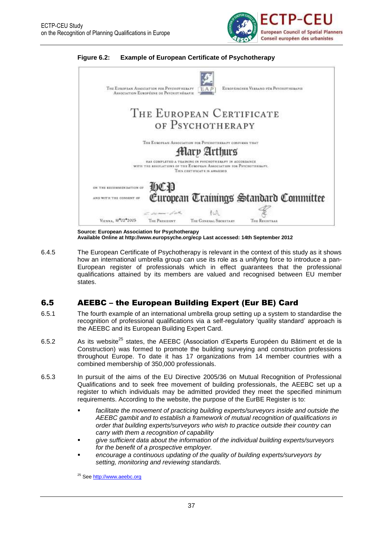





**Source: European Association for Psychotherapy Available Online a[t http://www.europsyche.org/ecp](http://www.europsyche.org/ecp) Last accessed: 14th September 2012**

6.4.5 The European Certificate of Psychotherapy is relevant in the context of this study as it shows how an international umbrella group can use its role as a unifying force to introduce a pan-European register of professionals which in effect guarantees that the professional qualifications attained by its members are valued and recognised between EU member states.

## 6.5 AEEBC – the European Building Expert (Eur BE) Card

- 6.5.1 The fourth example of an international umbrella group setting up a system to standardise the recognition of professional qualifications via a self-regulatory 'quality standard' approach is the AEEBC and its European Building Expert Card.
- 6.5.2 As its website<sup>25</sup> states, the AEEBC (Association d'Experts Européen du Bâtiment et de la Construction) was formed to promote the building surveying and construction professions throughout Europe. To date it has 17 organizations from 14 member countries with a combined membership of 350,000 professionals.
- 6.5.3 In pursuit of the aims of the EU Directive 2005/36 on Mutual Recognition of Professional Qualifications and to seek free movement of building professionals, the AEEBC set up a register to which individuals may be admitted provided they meet the specified minimum requirements. According to the website, the purpose of the EurBE Register is to:
	- facilitate the movement of practicing building experts/surveyors inside and outside the *AEEBC gambit and to establish a framework of mutual recognition of qualifications in order that building experts/surveyors who wish to practice outside their country can carry with them a recognition of capability*
	- *give sufficient data about the information of the individual building experts/surveyors for the benefit of a prospective employer.*
	- *encourage a continuous updating of the quality of building experts/surveyors by setting, monitoring and reviewing standards.*

<sup>25</sup> Se[e http://www.aeebc.org](http://www.aeebc.org/)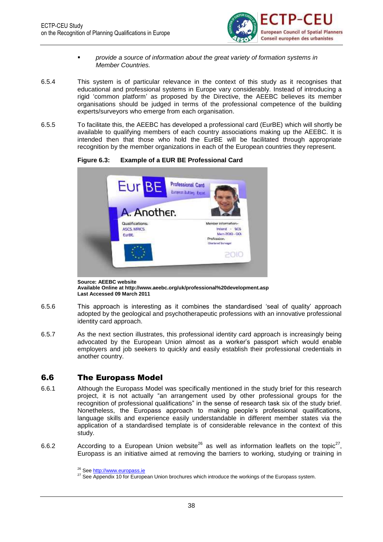

- *provide a source of information about the great variety of formation systems in Member Countries.*
- 6.5.4 This system is of particular relevance in the context of this study as it recognises that educational and professional systems in Europe vary considerably. Instead of introducing a rigid 'common platform' as proposed by the Directive, the AEEBC believes its member organisations should be judged in terms of the professional competence of the building experts/surveyors who emerge from each organisation.
- 6.5.5 To facilitate this, the AEEBC has developed a professional card (EurBE) which will shortly be available to qualifying members of each country associations making up the AEEBC. It is intended then that those who hold the EurBE will be facilitated through appropriate recognition by the member organizations in each of the European countries they represent.



**Figure 6.3: Example of a EUR BE Professional Card**

**Source: AEEBC website Available Online a[t http://www.aeebc.org/uk/professional%20development.asp](http://www.aeebc.org/uk/professional%20development.asp) Last Accessed 09 March 2011**

- 6.5.6 This approach is interesting as it combines the standardised 'seal of quality' approach adopted by the geological and psychotherapeutic professions with an innovative professional identity card approach.
- 6.5.7 As the next section illustrates, this professional identity card approach is increasingly being advocated by the European Union almost as a worker's passport which would enable employers and job seekers to quickly and easily establish their professional credentials in another country.

## 6.6 The Europass Model

- 6.6.1 Although the Europass Model was specifically mentioned in the study brief for this research project, it is not actually "an arrangement used by other professional groups for the recognition of professional qualifications" in the sense of research task six of the study brief. Nonetheless, the Europass approach to making people's professional qualifications, language skills and experience easily understandable in different member states via the application of a standardised template is of considerable relevance in the context of this study.
- 6.6.2 According to a European Union website<sup>26</sup> as well as information leaflets on the topic<sup>27</sup>, Europass is an initiative aimed at removing the barriers to working, studying or training in

<sup>&</sup>lt;sup>26</sup> Se[e http://www.europass.ie](http://www.europass.ie/)

<sup>&</sup>lt;sup>27</sup> See Appendix 10 for European Union brochures which introduce the workings of the Europass system.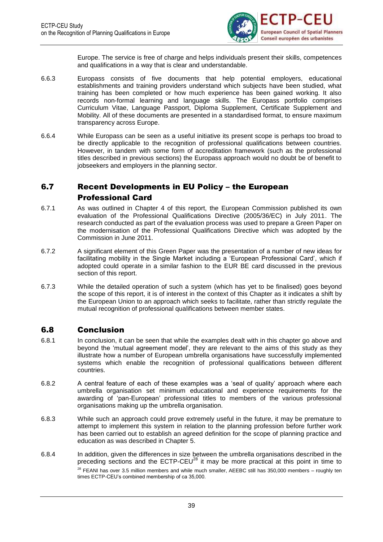

Europe. The service is free of charge and helps individuals present their skills, competences and qualifications in a way that is clear and understandable.

- 6.6.3 Europass consists of [five documents](http://www.uknec.org.uk/Individuals/Documents/default.aspx) that help potential employers, educational establishments and training providers understand which subjects have been studied, what training has been completed or how much experience has been gained working. It also records non-formal learning and language skills. The Europass portfolio comprises Curriculum Vitae, Language Passport, Diploma Supplement, Certificate Supplement and Mobility. All of these documents are presented in a standardised format, to ensure maximum transparency across Europe.
- 6.6.4 While Europass can be seen as a useful initiative its present scope is perhaps too broad to be directly applicable to the recognition of professional qualifications between countries. However, in tandem with some form of accreditation framework (such as the professional titles described in previous sections) the Europass approach would no doubt be of benefit to jobseekers and employers in the planning sector.

## 6.7 Recent Developments in EU Policy – the European

## Professional Card

- 6.7.1 As was outlined in Chapter 4 of this report, the European Commission published its own evaluation of the Professional Qualifications Directive (2005/36/EC) in July 2011. The research conducted as part of the evaluation process was used to prepare a Green Paper on the modernisation of the Professional Qualifications Directive which was adopted by the Commission in June 2011.
- 6.7.2 A significant element of this Green Paper was the presentation of a number of new ideas for facilitating mobility in the Single Market including a 'European Professional Card', which if adopted could operate in a similar fashion to the EUR BE card discussed in the previous section of this report.
- 6.7.3 While the detailed operation of such a system (which has yet to be finalised) goes beyond the scope of this report, it is of interest in the context of this Chapter as it indicates a shift by the European Union to an approach which seeks to facilitate, rather than strictly regulate the mutual recognition of professional qualifications between member states.

## 6.8 Conclusion

- 6.8.1 In conclusion, it can be seen that while the examples dealt with in this chapter go above and beyond the 'mutual agreement model', they are relevant to the aims of this study as they illustrate how a number of European umbrella organisations have successfully implemented systems which enable the recognition of professional qualifications between different countries.
- 6.8.2 A central feature of each of these examples was a 'seal of quality' approach where each umbrella organisation set minimum educational and experience requirements for the awarding of 'pan-European' professional titles to members of the various professional organisations making up the umbrella organisation.
- 6.8.3 While such an approach could prove extremely useful in the future, it may be premature to attempt to implement this system in relation to the planning profession before further work has been carried out to establish an agreed definition for the scope of planning practice and education as was described in Chapter 5.
- 6.8.4 In addition, given the differences in size between the umbrella organisations described in the preceding sections and the  $ECTP-CEU<sup>28</sup>$  it may be more practical at this point in time to  $28$  FEANI has over 3.5 million members and while much smaller, AEEBC still has 350,000 members – roughly ten times ECTP-CEU's combined membership of ca 35,000.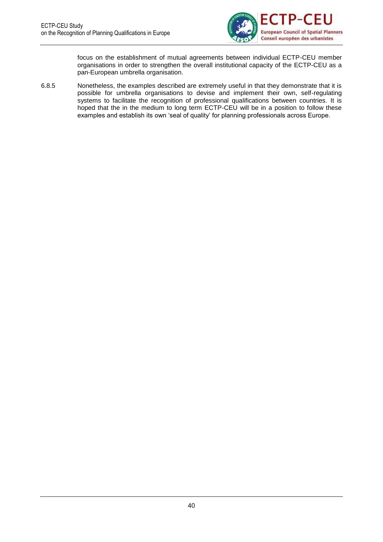

focus on the establishment of mutual agreements between individual ECTP-CEU member organisations in order to strengthen the overall institutional capacity of the ECTP-CEU as a pan-European umbrella organisation.

6.8.5 Nonetheless, the examples described are extremely useful in that they demonstrate that it is possible for umbrella organisations to devise and implement their own, self-regulating systems to facilitate the recognition of professional qualifications between countries. It is hoped that the in the medium to long term ECTP-CEU will be in a position to follow these examples and establish its own 'seal of quality' for planning professionals across Europe.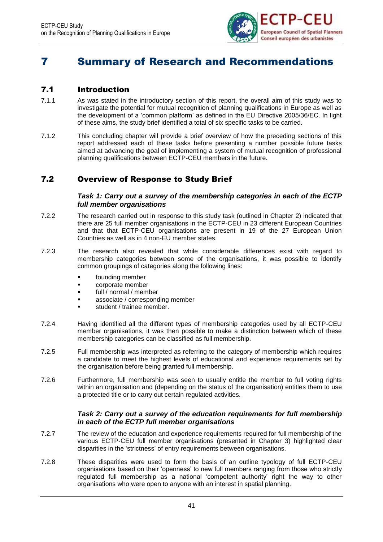

# 7 Summary of Research and Recommendations

## 7.1 Introduction

- 7.1.1 As was stated in the introductory section of this report, the overall aim of this study was to investigate the potential for mutual recognition of planning qualifications in Europe as well as the development of a 'common platform' as defined in the EU Directive 2005/36/EC. In light of these aims, the study brief identified a total of six specific tasks to be carried.
- 7.1.2 This concluding chapter will provide a brief overview of how the preceding sections of this report addressed each of these tasks before presenting a number possible future tasks aimed at advancing the goal of implementing a system of mutual recognition of professional planning qualifications between ECTP-CEU members in the future.

## 7.2 Overview of Response to Study Brief

#### *Task 1: Carry out a survey of the membership categories in each of the ECTP full member organisations*

- 7.2.2 The research carried out in response to this study task (outlined in Chapter 2) indicated that there are 25 full member organisations in the ECTP-CEU in 23 different European Countries and that that ECTP-CEU organisations are present in 19 of the 27 European Union Countries as well as in 4 non-EU member states.
- 7.2.3 The research also revealed that while considerable differences exist with regard to membership categories between some of the organisations, it was possible to identify common groupings of categories along the following lines:
	- **founding member**
	- corporate member
	- full / normal / member
	- associate / corresponding member
	- student / trainee member.
- 7.2.4 Having identified all the different types of membership categories used by all ECTP-CEU member organisations, it was then possible to make a distinction between which of these membership categories can be classified as full membership.
- 7.2.5 Full membership was interpreted as referring to the category of membership which requires a candidate to meet the highest levels of educational and experience requirements set by the organisation before being granted full membership.
- 7.2.6 Furthermore, full membership was seen to usually entitle the member to full voting rights within an organisation and (depending on the status of the organisation) entitles them to use a protected title or to carry out certain regulated activities.

### *Task 2: Carry out a survey of the education requirements for full membership in each of the ECTP full member organisations*

- 7.2.7 The review of the education and experience requirements required for full membership of the various ECTP-CEU full member organisations (presented in Chapter 3) highlighted clear disparities in the 'strictness' of entry requirements between organisations.
- 7.2.8 These disparities were used to form the basis of an outline typology of full ECTP-CEU organisations based on their 'openness' to new full members ranging from those who strictly regulated full membership as a national 'competent authority' right the way to other organisations who were open to anyone with an interest in spatial planning.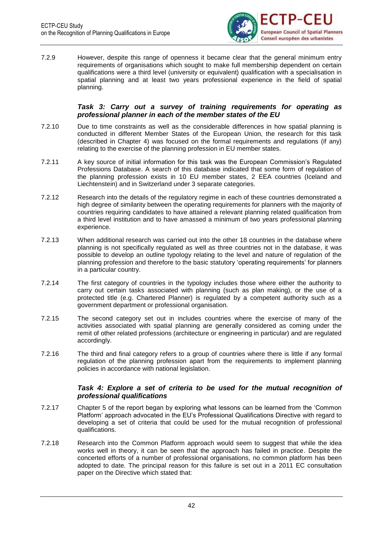

7.2.9 However, despite this range of openness it became clear that the general minimum entry requirements of organisations which sought to make full membership dependent on certain qualifications were a third level (university or equivalent) qualification with a specialisation in spatial planning and at least two years professional experience in the field of spatial planning.

#### *Task 3: Carry out a survey of training requirements for operating as professional planner in each of the member states of the EU*

- 7.2.10 Due to time constraints as well as the considerable differences in how spatial planning is conducted in different Member States of the European Union, the research for this task (described in Chapter 4) was focused on the formal requirements and regulations (if any) relating to the exercise of the planning profession in EU member states.
- 7.2.11 A key source of initial information for this task was the European Commission's Regulated Professions Database. A search of this database indicated that some form of regulation of the planning profession exists in 10 EU member states, 2 EEA countries (Iceland and Liechtenstein) and in Switzerland under 3 separate categories.
- 7.2.12 Research into the details of the regulatory regime in each of these countries demonstrated a high degree of similarity between the operating requirements for planners with the majority of countries requiring candidates to have attained a relevant planning related qualification from a third level institution and to have amassed a minimum of two years professional planning experience.
- 7.2.13 When additional research was carried out into the other 18 countries in the database where planning is not specifically regulated as well as three countries not in the database, it was possible to develop an outline typology relating to the level and nature of regulation of the planning profession and therefore to the basic statutory 'operating requirements' for planners in a particular country.
- 7.2.14 The first category of countries in the typology includes those where either the authority to carry out certain tasks associated with planning (such as plan making), or the use of a protected title (e.g. Chartered Planner) is regulated by a competent authority such as a government department or professional organisation.
- 7.2.15 The second category set out in includes countries where the exercise of many of the activities associated with spatial planning are generally considered as coming under the remit of other related professions (architecture or engineering in particular) and are regulated accordingly.
- 7.2.16 The third and final category refers to a group of countries where there is little if any formal regulation of the planning profession apart from the requirements to implement planning policies in accordance with national legislation.

#### *Task 4: Explore a set of criteria to be used for the mutual recognition of professional qualifications*

- 7.2.17 Chapter 5 of the report began by exploring what lessons can be learned from the 'Common Platform' approach advocated in the EU's Professional Qualifications Directive with regard to developing a set of criteria that could be used for the mutual recognition of professional qualifications.
- 7.2.18 Research into the Common Platform approach would seem to suggest that while the idea works well in theory, it can be seen that the approach has failed in practice. Despite the concerted efforts of a number of professional organisations, no common platform has been adopted to date. The principal reason for this failure is set out in a 2011 EC consultation paper on the Directive which stated that: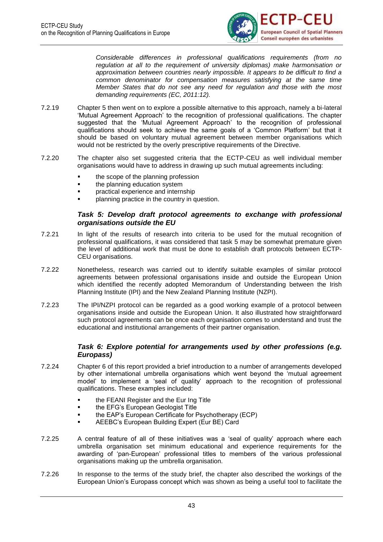

*Considerable differences in professional qualifications requirements (from no regulation at all to the requirement of university diplomas) make harmonisation or approximation between countries nearly impossible. It appears to be difficult to find a common denominator for compensation measures satisfying at the same time Member States that do not see any need for regulation and those with the most demanding requirements (EC, 2011:12).*

- 7.2.19 Chapter 5 then went on to explore a possible alternative to this approach, namely a bi-lateral 'Mutual Agreement Approach' to the recognition of professional qualifications. The chapter suggested that the 'Mutual Agreement Approach' to the recognition of professional qualifications should seek to achieve the same goals of a 'Common Platform' but that it should be based on voluntary mutual agreement between member organisations which would not be restricted by the overly prescriptive requirements of the Directive.
- 7.2.20 The chapter also set suggested criteria that the ECTP-CEU as well individual member organisations would have to address in drawing up such mutual agreements including:
	- **the scope of the planning profession**
	- **the planning education system**
	- practical experience and internship
	- planning practice in the country in question.

#### *Task 5: Develop draft protocol agreements to exchange with professional organisations outside the EU*

- 7.2.21 In light of the results of research into criteria to be used for the mutual recognition of professional qualifications, it was considered that task 5 may be somewhat premature given the level of additional work that must be done to establish draft protocols between ECTP-CEU organisations.
- 7.2.22 Nonetheless, research was carried out to identify suitable examples of similar protocol agreements between professional organisations inside and outside the European Union which identified the recently adopted Memorandum of Understanding between the Irish Planning Institute (IPI) and the New Zealand Planning Institute (NZPI).
- 7.2.23 The IPI/NZPI protocol can be regarded as a good working example of a protocol between organisations inside and outside the European Union. It also illustrated how straightforward such protocol agreements can be once each organisation comes to understand and trust the educational and institutional arrangements of their partner organisation.

#### *Task 6: Explore potential for arrangements used by other professions (e.g. Europass)*

- 7.2.24 Chapter 6 of this report provided a brief introduction to a number of arrangements developed by other international umbrella organisations which went beyond the 'mutual agreement model' to implement a 'seal of quality' approach to the recognition of professional qualifications. These examples included:
	- **the FEANI Register and the Eur Ing Title**
	- the EFG's European Geologist Title
	- the EAP's European Certificate for Psychotherapy (ECP)
	- AEEBC's European Building Expert (Eur BE) Card
- 7.2.25 A central feature of all of these initiatives was a 'seal of quality' approach where each umbrella organisation set minimum educational and experience requirements for the awarding of 'pan-European' professional titles to members of the various professional organisations making up the umbrella organisation.
- 7.2.26 In response to the terms of the study brief, the chapter also described the workings of the European Union's Europass concept which was shown as being a useful tool to facilitate the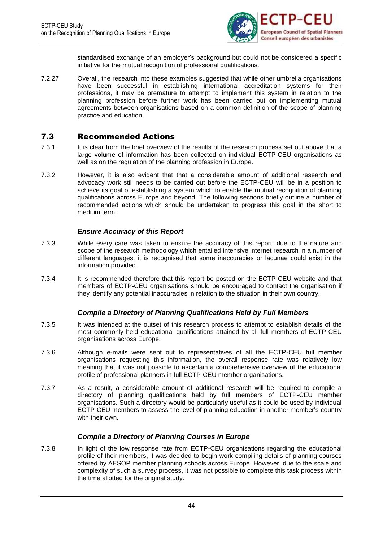

standardised exchange of an employer's background but could not be considered a specific initiative for the mutual recognition of professional qualifications.

7.2.27 Overall, the research into these examples suggested that while other umbrella organisations have been successful in establishing international accreditation systems for their professions, it may be premature to attempt to implement this system in relation to the planning profession before further work has been carried out on implementing mutual agreements between organisations based on a common definition of the scope of planning practice and education.

### 7.3 Recommended Actions

- 7.3.1 It is clear from the brief overview of the results of the research process set out above that a large volume of information has been collected on individual ECTP-CEU organisations as well as on the regulation of the planning profession in Europe.
- 7.3.2 However, it is also evident that that a considerable amount of additional research and advocacy work still needs to be carried out before the ECTP-CEU will be in a position to achieve its goal of establishing a system which to enable the mutual recognition of planning qualifications across Europe and beyond. The following sections briefly outline a number of recommended actions which should be undertaken to progress this goal in the short to medium term.

### *Ensure Accuracy of this Report*

- 7.3.3 While every care was taken to ensure the accuracy of this report, due to the nature and scope of the research methodology which entailed intensive internet research in a number of different languages, it is recognised that some inaccuracies or lacunae could exist in the information provided.
- 7.3.4 It is recommended therefore that this report be posted on the ECTP-CEU website and that members of ECTP-CEU organisations should be encouraged to contact the organisation if they identify any potential inaccuracies in relation to the situation in their own country.

## *Compile a Directory of Planning Qualifications Held by Full Members*

- 7.3.5 It was intended at the outset of this research process to attempt to establish details of the most commonly held educational qualifications attained by all full members of ECTP-CEU organisations across Europe.
- 7.3.6 Although e-mails were sent out to representatives of all the ECTP-CEU full member organisations requesting this information, the overall response rate was relatively low meaning that it was not possible to ascertain a comprehensive overview of the educational profile of professional planners in full ECTP-CEU member organisations.
- 7.3.7 As a result, a considerable amount of additional research will be required to compile a directory of planning qualifications held by full members of ECTP-CEU member organisations. Such a directory would be particularly useful as it could be used by individual ECTP-CEU members to assess the level of planning education in another member's country with their own.

### *Compile a Directory of Planning Courses in Europe*

7.3.8 In light of the low response rate from ECTP-CEU organisations regarding the educational profile of their members, it was decided to begin work compiling details of planning courses offered by AESOP member planning schools across Europe. However, due to the scale and complexity of such a survey process, it was not possible to complete this task process within the time allotted for the original study.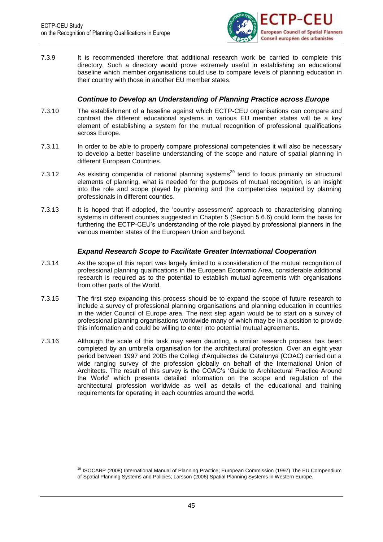

7.3.9 It is recommended therefore that additional research work be carried to complete this directory. Such a directory would prove extremely useful in establishing an educational baseline which member organisations could use to compare levels of planning education in their country with those in another EU member states.

### *Continue to Develop an Understanding of Planning Practice across Europe*

- 7.3.10 The establishment of a baseline against which ECTP-CEU organisations can compare and contrast the different educational systems in various EU member states will be a key element of establishing a system for the mutual recognition of professional qualifications across Europe.
- 7.3.11 In order to be able to properly compare professional competencies it will also be necessary to develop a better baseline understanding of the scope and nature of spatial planning in different European Countries.
- 7.3.12 As existing compendia of national planning systems<sup>29</sup> tend to focus primarily on structural elements of planning, what is needed for the purposes of mutual recognition, is an insight into the role and scope played by planning and the competencies required by planning professionals in different counties.
- 7.3.13 It is hoped that if adopted, the 'country assessment' approach to characterising planning systems in different counties suggested in Chapter 5 (Section 5.6.6) could form the basis for furthering the ECTP-CEU's understanding of the role played by professional planners in the various member states of the European Union and beyond.

### *Expand Research Scope to Facilitate Greater International Cooperation*

- 7.3.14 As the scope of this report was largely limited to a consideration of the mutual recognition of professional planning qualifications in the European Economic Area, considerable additional research is required as to the potential to establish mutual agreements with organisations from other parts of the World.
- 7.3.15 The first step expanding this process should be to expand the scope of future research to include a survey of professional planning organisations and planning education in countries in the wider Council of Europe area. The next step again would be to start on a survey of professional planning organisations worldwide many of which may be in a position to provide this information and could be willing to enter into potential mutual agreements.
- 7.3.16 Although the scale of this task may seem daunting, a similar research process has been completed by an umbrella organisation for the architectural profession. Over an eight year period between 1997 and 2005 the Collegi d'Arquitectes de Catalunya (COAC) carried out a wide ranging survey of the profession globally on behalf of the International Union of Architects. The result of this survey is the COAC's 'Guide to Architectural Practice Around the World' which presents detailed information on the scope and regulation of the architectural profession worldwide as well as details of the educational and training requirements for operating in each countries around the world.

<sup>&</sup>lt;sup>29</sup> ISOCARP (2008) International Manual of Planning Practice; European Commission (1997) The EU Compendium of Spatial Planning Systems and Policies; Larsson (2006) Spatial Planning Systems in Western Europe.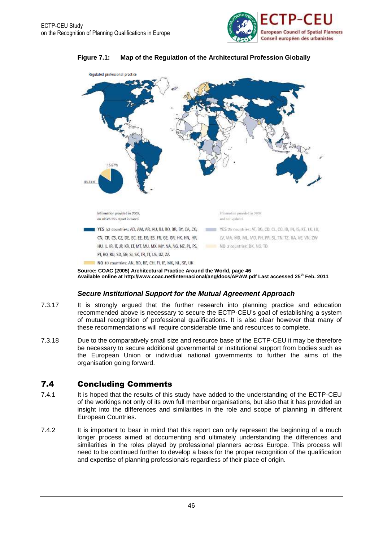



#### **Figure 7.1: Map of the Regulation of the Architectural Profession Globally**

**Source: COAC (2005) Architectural Practice Around the World, page 46 Available online at<http://www.coac.net/internacional/ang/docs/APAW.pdf> Last accessed 25th Feb. 2011**

### *Secure Institutional Support for the Mutual Agreement Approach*

- 7.3.17 It is strongly argued that the further research into planning practice and education recommended above is necessary to secure the ECTP-CEU's goal of establishing a system of mutual recognition of professional qualifications. It is also clear however that many of these recommendations will require considerable time and resources to complete.
- 7.3.18 Due to the comparatively small size and resource base of the ECTP-CEU it may be therefore be necessary to secure additional governmental or institutional support from bodies such as the European Union or individual national governments to further the aims of the organisation going forward.

## 7.4 Concluding Comments

- 7.4.1 It is hoped that the results of this study have added to the understanding of the ECTP-CEU of the workings not only of its own full member organisations, but also that it has provided an insight into the differences and similarities in the role and scope of planning in different European Countries.
- 7.4.2 It is important to bear in mind that this report can only represent the beginning of a much longer process aimed at documenting and ultimately understanding the differences and similarities in the roles played by professional planners across Europe. This process will need to be continued further to develop a basis for the proper recognition of the qualification and expertise of planning professionals regardless of their place of origin.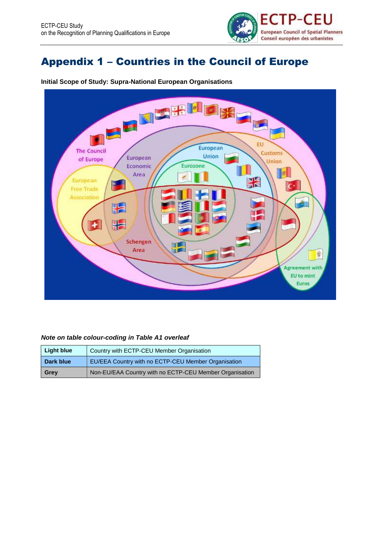

# Appendix 1 – Countries in the Council of Europe



**Initial Scope of Study: Supra-National European Organisations**

#### *Note on table colour-coding in Table A1 overleaf*

| Light blue | Country with ECTP-CEU Member Organisation               |
|------------|---------------------------------------------------------|
| Dark blue  | EU/EEA Country with no ECTP-CEU Member Organisation     |
| Grey       | Non-EU/EAA Country with no ECTP-CEU Member Organisation |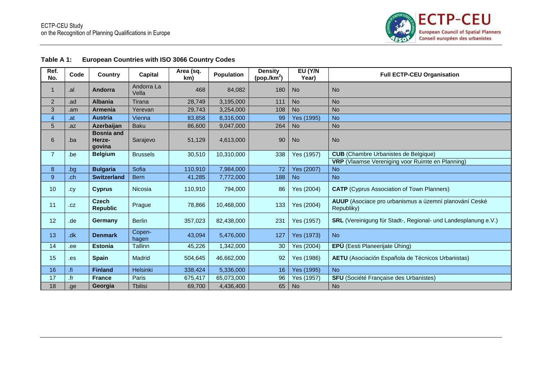

| Table A 1: | <b>European Countries with ISO 3066 Country Codes</b> |
|------------|-------------------------------------------------------|
|------------|-------------------------------------------------------|

| Ref.<br>No.    | Code | <b>Country</b>                        | Capital             | Area (sq.<br>km) | <b>Population</b> | <b>Density</b><br>$(pop./km^2)$ | EU (Y/N<br>Year) | <b>Full ECTP-CEU Organisation</b>                                           |
|----------------|------|---------------------------------------|---------------------|------------------|-------------------|---------------------------------|------------------|-----------------------------------------------------------------------------|
|                | .al  | Andorra                               | Andorra La<br>Vella | 468              | 84,082            | 180                             | <b>No</b>        | <b>No</b>                                                                   |
| $\overline{2}$ | .ad  | <b>Albania</b>                        | Tirana              | 28,749           | 3,195,000         | 111                             | <b>No</b>        | <b>No</b>                                                                   |
| 3              | .am  | <b>Armenia</b>                        | Yerevan             | 29,743           | 3,254,000         | 108                             | <b>No</b>        | <b>No</b>                                                                   |
| 4              | .at  | <b>Austria</b>                        | Vienna              | 83,858           | 8,316,000         | 99                              | Yes (1995)       | <b>No</b>                                                                   |
| 5              | .az  | Azerbaijan                            | <b>Baku</b>         | 86,600           | 9,047,000         | 264                             | <b>No</b>        | <b>No</b>                                                                   |
| 6              | .ba  | <b>Bosnia and</b><br>Herze-<br>govina | Sarajevo            | 51,129           | 4,613,000         | 90                              | <b>No</b>        | <b>No</b>                                                                   |
| $\overline{7}$ | .be  | <b>Belgium</b>                        | <b>Brussels</b>     | 30,510           | 10,310,000        | 338                             | Yes (1957)       | <b>CUB</b> (Chambre Urbanistes de Belgique)                                 |
|                |      |                                       |                     |                  |                   |                                 |                  | <b>VRP</b> (Vlaamse Vereniging voor Ruimte en Planning)                     |
| 8              | .bg  | <b>Bulgaria</b>                       | Sofia               | 110,910          | 7,984,000         | 72                              | Yes (2007)       | <b>No</b>                                                                   |
| 9              | .ch  | <b>Switzerland</b>                    | <b>Bern</b>         | 41,285           | 7,772,000         | 188                             | <b>No</b>        | <b>No</b>                                                                   |
| 10             | .cy  | Cyprus                                | Nicosia             | 110,910          | 794,000           | 86                              | Yes (2004)       | <b>CATP</b> (Cyprus Association of Town Planners)                           |
| 11             | .CZ  | <b>Czech</b><br><b>Republic</b>       | Prague              | 78,866           | 10,468,000        | 133                             | Yes (2004)       | <b>AUUP</b> (Asociace pro urbanismus a územní planování Ceské<br>Republiky) |
| 12             | .de  | Germany                               | <b>Berlin</b>       | 357,023          | 82,438,000        | 231                             | Yes (1957)       | <b>SRL</b> (Vereinigung für Stadt-, Regional- und Landesplanung e.V.)       |
| 13             | .dk  | <b>Denmark</b>                        | Copen-<br>hagen     | 43,094           | 5,476,000         | 127                             | Yes (1973)       | <b>No</b>                                                                   |
| 14             | ee.  | <b>Estonia</b>                        | Tallinn             | 45,226           | 1,342,000         | 30                              | Yes (2004)       | EPÜ (Eesti Planeerijate Ühing)                                              |
| 15             | .es  | <b>Spain</b>                          | Madrid              | 504,645          | 46,662,000        | 92                              | Yes (1986)       | <b>AETU</b> (Asociación Española de Técnicos Urbanistas)                    |
| 16             | .fi  | <b>Finland</b>                        | Helsinki            | 338,424          | 5,336,000         | 16                              | Yes (1995)       | <b>No</b>                                                                   |
| 17             | .fr  | <b>France</b>                         | Paris               | 675,417          | 65,073,000        | 96                              | Yes (1957)       | <b>SFU</b> (Société Française des Urbanistes)                               |
| 18             | .ge  | Georgia                               | <b>Thilisi</b>      | 69,700           | 4,436,400         | 65                              | <b>No</b>        | <b>No</b>                                                                   |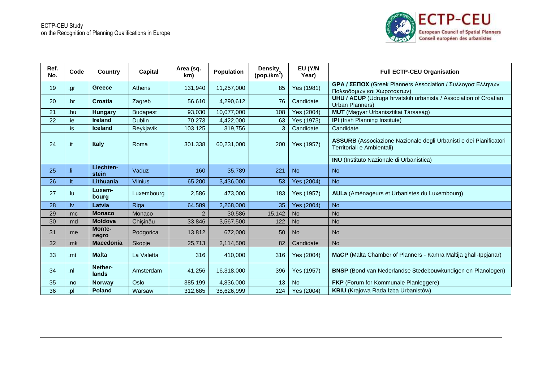

| Ref.<br>No. | Code | <b>Country</b>            | Capital         | Area (sq.<br>km) | Population | <b>Density</b><br>(pop./km <sup>2</sup> ) | EU (Y/N<br>Year) | <b>Full ECTP-CEU Organisation</b>                                                                       |  |
|-------------|------|---------------------------|-----------------|------------------|------------|-------------------------------------------|------------------|---------------------------------------------------------------------------------------------------------|--|
| 19          | .gr  | <b>Greece</b>             | Athens          | 131,940          | 11,257,000 | 85                                        | Yes (1981)       | GPA / ΣΕΠΟΧ (Greek Planners Association / Συλλογοσ Ελληνων<br>Πολεοδομων και Χωροτακτων)                |  |
| 20          | .hr  | <b>Croatia</b>            | Zagreb          | 56,610           | 4,290,612  | 76                                        | Candidate        | <b>UHU / ACUP</b> (Udruga hrvatskih urbanista / Association of Croatian<br>Urban Planners)              |  |
| 21          | .hu  | <b>Hungary</b>            | <b>Budapest</b> | 93,030           | 10,077,000 | 108                                       | Yes (2004)       | <b>MUT</b> (Magyar Urbanisztikai Társaság)                                                              |  |
| 22          | .ie  | <b>Ireland</b>            | <b>Dublin</b>   | 70,273           | 4,422,000  | 63                                        | Yes (1973)       | <b>IPI</b> (Irish Planning Institute)                                                                   |  |
|             | .is  | <b>Iceland</b>            | Reykjavik       | 103,125          | 319,756    | 3                                         | Candidate        | Candidate                                                                                               |  |
| 24          | .it  | <b>Italy</b>              | Roma            | 301,338          | 60,231,000 | 200                                       | Yes (1957)       | <b>ASSURB</b> (Associazione Nazionale degli Urbanisti e dei Pianificatori<br>Territoriali e Ambientali) |  |
|             |      |                           |                 |                  |            |                                           |                  | <b>INU</b> (Instituto Nazionale di Urbanistica)                                                         |  |
| 25          | Ji.  | Liechten-<br><b>stein</b> | Vaduz           | 160              | 35,789     | 221                                       | <b>No</b>        | <b>No</b>                                                                                               |  |
| 26          | .lt  | Lithuania                 | <b>Vilnius</b>  | 65,200           | 3,436,000  | 53                                        | Yes (2004)       | <b>No</b>                                                                                               |  |
| 27          | .lu  | Luxem-<br>bourg           | Luxembourg      | 2,586            | 473,000    | 183                                       | Yes (1957)       | <b>AULa</b> (Aménageurs et Urbanistes du Luxembourg)                                                    |  |
| 28          | .lv  | Latvia                    | Riga            | 64,589           | 2,268,000  | 35                                        | Yes (2004)       | <b>No</b>                                                                                               |  |
| 29          | .mc  | <b>Monaco</b>             | Monaco          | 2                | 30,586     | 15,142                                    | <b>No</b>        | <b>No</b>                                                                                               |  |
| 30          | .md  | <b>Moldova</b>            | Chişinău        | 33,846           | 3,567,500  | 122                                       | <b>No</b>        | <b>No</b>                                                                                               |  |
| 31          | .me  | <b>Monte-</b><br>negro    | Podgorica       | 13,812           | 672,000    | 50                                        | N <sub>o</sub>   | <b>No</b>                                                                                               |  |
| 32          | .mk  | <b>Macedonia</b>          | Skopje          | 25,713           | 2,114,500  | 82                                        | Candidate        | <b>No</b>                                                                                               |  |
| 33          | .mt  | <b>Malta</b>              | La Valetta      | 316              | 410,000    | 316                                       | Yes (2004)       | MaCP (Malta Chamber of Planners - Kamra Maltija ghall-Ippjanar)                                         |  |
| 34          | .nl  | Nether-<br>lands          | Amsterdam       | 41,256           | 16,318,000 | 396                                       | Yes (1957)       | <b>BNSP</b> (Bond van Nederlandse Stedebouwkundigen en Planologen)                                      |  |
| 35          | .no  | <b>Norway</b>             | Oslo            | 385,199          | 4,836,000  | 13                                        | <b>No</b>        | <b>FKP</b> (Forum for Kommunale Planleggere)                                                            |  |
| 36          | .pl  | <b>Poland</b>             | Warsaw          | 312,685          | 38,626,999 | 124                                       | Yes (2004)       | KRIU (Krajowa Rada Izba Urbanistów)                                                                     |  |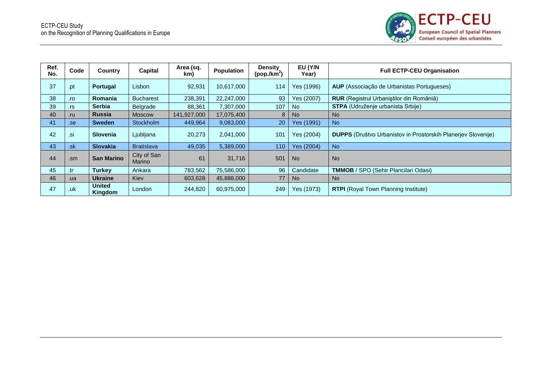

| Ref.<br>No. | Code | Country           | Capital               | Area (sq.<br>km) | <b>Population</b> | <b>Density</b><br>(pop./km <sup>2</sup> ) | EU (Y/N<br>Year) | <b>Full ECTP-CEU Organisation</b>                                    |
|-------------|------|-------------------|-----------------------|------------------|-------------------|-------------------------------------------|------------------|----------------------------------------------------------------------|
| 37          | .pt  | Portugal          | Lisbon                | 92,931           | 10,617,000        | 114                                       | Yes (1996)       | AUP (Associação de Urbanistas Portugueses)                           |
| 38          | .ro  | <b>Romania</b>    | <b>Bucharest</b>      | 238,391          | 22,247,000        | 93                                        | Yes (2007)       | <b>RUR</b> (Registrul Urbanistilor din Romăniă)                      |
| 39          | .rs  | <b>Serbia</b>     | Belgrade              | 88,361           | 7,307,000         | 107                                       | <b>No</b>        | <b>STPA</b> (Udruženje urbanista Srbije)                             |
| 40          | .ru  | <b>Russia</b>     | <b>Moscow</b>         | 141,927,000      | 17,075,400        | 8                                         | No.              | <b>No</b>                                                            |
| 41          | .se  | <b>Sweden</b>     | Stockholm             | 449,964          | 9,083,000         | 20                                        | Yes (1991)       | No                                                                   |
| 42          | .si  | <b>Slovenia</b>   | Ljubljana             | 20,273           | 2,041,000         | 101                                       | Yes (2004)       | <b>DUPPS</b> (Društvo Urbanistov in Prostorskih Planerjev Slovenije) |
| 43          | .sk  | <b>Slovakia</b>   | <b>Bratislava</b>     | 49,035           | 5,389,000         | 110                                       | Yes (2004)       | No                                                                   |
| 44          | .sm  | <b>San Marino</b> | City of San<br>Marino | 61               | 31,716            | 501                                       | <b>No</b>        | <b>No</b>                                                            |
| 45          | .tr  | <b>Turkey</b>     | Ankara                | 783,562          | 75,586,000        | 96                                        | Candidate        | <b>TMMOB</b> / SPO (Sehir Plancilari Odasi)                          |
| 46          | .ua  | <b>Ukraine</b>    | Kiev                  | 603,628          | 45,888,000        | 77                                        | No.              | N <sub>o</sub>                                                       |
| 47          | .uk  | United<br>Kingdom | London                | 244,820          | 60,975,000        | 249                                       | Yes (1973)       | <b>RTPI</b> (Royal Town Planning Institute)                          |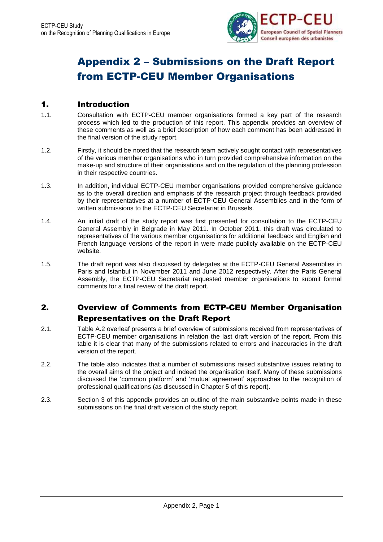

# Appendix 2 – Submissions on the Draft Report from ECTP-CEU Member Organisations

## 1. Introduction

- 1.1. Consultation with ECTP-CEU member organisations formed a key part of the research process which led to the production of this report. This appendix provides an overview of these comments as well as a brief description of how each comment has been addressed in the final version of the study report.
- 1.2. Firstly, it should be noted that the research team actively sought contact with representatives of the various member organisations who in turn provided comprehensive information on the make-up and structure of their organisations and on the regulation of the planning profession in their respective countries.
- 1.3. In addition, individual ECTP-CEU member organisations provided comprehensive guidance as to the overall direction and emphasis of the research project through feedback provided by their representatives at a number of ECTP-CEU General Assemblies and in the form of written submissions to the ECTP-CEU Secretariat in Brussels.
- 1.4. An initial draft of the study report was first presented for consultation to the ECTP-CEU General Assembly in Belgrade in May 2011. In October 2011, this draft was circulated to representatives of the various member organisations for additional feedback and English and French language versions of the report in were made publicly available on the ECTP-CEU website.
- 1.5. The draft report was also discussed by delegates at the ECTP-CEU General Assemblies in Paris and Istanbul in November 2011 and June 2012 respectively. After the Paris General Assembly, the ECTP-CEU Secretariat requested member organisations to submit formal comments for a final review of the draft report.

## 2. Overview of Comments from ECTP-CEU Member Organisation Representatives on the Draft Report

- 2.1. Table A.2 overleaf presents a brief overview of submissions received from representatives of ECTP-CEU member organisations in relation the last draft version of the report. From this table it is clear that many of the submissions related to errors and inaccuracies in the draft version of the report.
- 2.2. The table also indicates that a number of submissions raised substantive issues relating to the overall aims of the project and indeed the organisation itself. Many of these submissions discussed the 'common platform' and 'mutual agreement' approaches to the recognition of professional qualifications (as discussed in Chapter 5 of this report).
- 2.3. Section 3 of this appendix provides an outline of the main substantive points made in these submissions on the final draft version of the study report.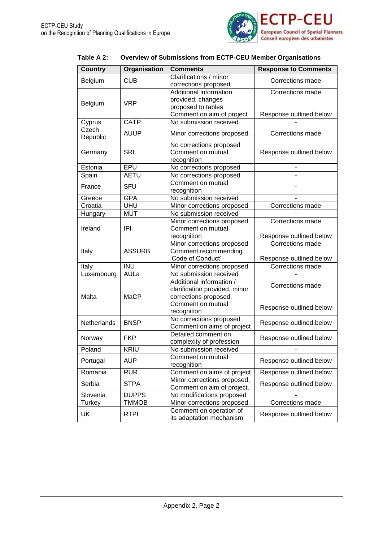

## **Table A 2: Overview of Submissions from ECTP-CEU Member Organisations**

| <b>Country</b>    | Organisation  | <b>Comments</b>                                                                        | <b>Response to Comments</b>                                                   |
|-------------------|---------------|----------------------------------------------------------------------------------------|-------------------------------------------------------------------------------|
| Belgium           | <b>CUB</b>    | Clarifications / minor<br>corrections proposed                                         | Corrections made                                                              |
| Belgium           | <b>VRP</b>    | Additional information<br>provided, changes<br>proposed to tables                      | Corrections made                                                              |
| Cyprus            | <b>CATP</b>   | Comment on aim of project<br>No submission received                                    | Response outlined below                                                       |
| Czech<br>Republic | <b>AUUP</b>   | Minor corrections proposed.                                                            | Corrections made                                                              |
| Germany           | <b>SRL</b>    | No corrections proposed<br>Comment on mutual<br>recognition                            | Response outlined below                                                       |
| Estonia           | EPU           | No corrections proposed                                                                |                                                                               |
| Spain             | <b>AETU</b>   | No corrections proposed                                                                |                                                                               |
| France            | <b>SFU</b>    | Comment on mutual<br>recognition                                                       |                                                                               |
| Greece            | <b>GPA</b>    | No submission received                                                                 |                                                                               |
| Croatia           | <b>UHU</b>    | Minor corrections proposed                                                             | Corrections made                                                              |
| Hungary           | <b>MUT</b>    | No submission received                                                                 |                                                                               |
| Ireland           | IPI           | Minor corrections proposed.<br>Comment on mutual                                       | Corrections made                                                              |
| Italy             | <b>ASSURB</b> | recognition<br>Minor corrections proposed<br>Comment recommending<br>'Code of Conduct' | Response outlined below<br><b>Corrections made</b><br>Response outlined below |
| Italy             | INU           | Minor corrections proposed.                                                            | Corrections made                                                              |
| Luxembourg        | AULa          | No submission received                                                                 |                                                                               |
| Malta             | <b>MaCP</b>   | Additional information /<br>clarification provided, minor<br>corrections proposed.     | Corrections made                                                              |
|                   |               | Comment on mutual<br>recognition                                                       | Response outlined below                                                       |
| Netherlands       | <b>BNSP</b>   | No corrections proposed<br>Comment on aims of project                                  | Response outlined below                                                       |
| Norway            | <b>FKP</b>    | Detailed comment on<br>complexity of profession                                        | Response outlined below                                                       |
| Poland            | <b>KRIU</b>   | No submission received                                                                 |                                                                               |
| Portugal          | <b>AUP</b>    | Comment on mutual<br>recognition                                                       | Response outlined below                                                       |
| Romania           | <b>RUR</b>    | Comment on aims of project                                                             | Response outlined below                                                       |
| Serbia            | <b>STPA</b>   | Minor corrections proposed,<br>Comment on aim of project.                              | Response outlined below                                                       |
| Slovenia          | <b>DUPPS</b>  | No modifications proposed                                                              |                                                                               |
| <b>Turkey</b>     | <b>TMMOB</b>  | Minor corrections proposed.                                                            | Corrections made                                                              |
| UK                | <b>RTPI</b>   | Comment on operation of<br>its adaptation mechanism                                    | Response outlined below                                                       |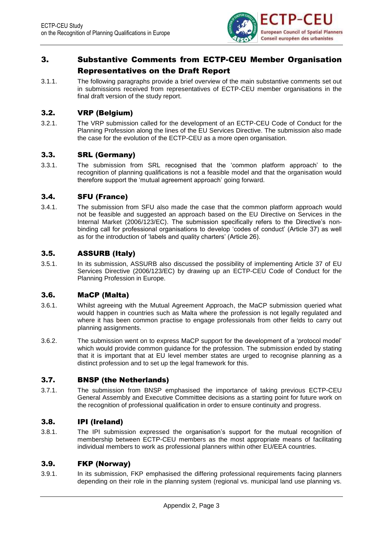

## 3. Substantive Comments from ECTP-CEU Member Organisation Representatives on the Draft Report

3.1.1. The following paragraphs provide a brief overview of the main substantive comments set out in submissions received from representatives of ECTP-CEU member organisations in the final draft version of the study report.

## 3.2. VRP (Belgium)

3.2.1. The VRP submission called for the development of an ECTP-CEU Code of Conduct for the Planning Profession along the lines of the EU Services Directive. The submission also made the case for the evolution of the ECTP-CEU as a more open organisation.

## 3.3. SRL (Germany)

3.3.1. The submission from SRL recognised that the 'common platform approach' to the recognition of planning qualifications is not a feasible model and that the organisation would therefore support the 'mutual agreement approach' going forward.

## 3.4. SFU (France)

3.4.1. The submission from SFU also made the case that the common platform approach would not be feasible and suggested an approach based on the EU Directive on Services in the Internal Market (2006/123/EC). The submission specifically refers to the Directive's nonbinding call for professional organisations to develop 'codes of conduct' (Article 37) as well as for the introduction of 'labels and quality charters' (Article 26).

## 3.5. ASSURB (Italy)

3.5.1. In its submission, ASSURB also discussed the possibility of implementing Article 37 of EU Services Directive (2006/123/EC) by drawing up an ECTP-CEU Code of Conduct for the Planning Profession in Europe.

## 3.6. MaCP (Malta)

- 3.6.1. Whilst agreeing with the Mutual Agreement Approach, the MaCP submission queried what would happen in countries such as Malta where the profession is not legally regulated and where it has been common practise to engage professionals from other fields to carry out planning assignments.
- 3.6.2. The submission went on to express MaCP support for the development of a 'protocol model' which would provide common guidance for the profession. The submission ended by stating that it is important that at EU level member states are urged to recognise planning as a distinct profession and to set up the legal framework for this.

## 3.7. BNSP (the Netherlands)

3.7.1. The submission from BNSP emphasised the importance of taking previous ECTP-CEU General Assembly and Executive Committee decisions as a starting point for future work on the recognition of professional qualification in order to ensure continuity and progress.

## 3.8. IPI (Ireland)

3.8.1. The IPI submission expressed the organisation's support for the mutual recognition of membership between ECTP-CEU members as the most appropriate means of facilitating individual members to work as professional planners within other EU/EEA countries.

## 3.9. FKP (Norway)

3.9.1. In its submission, FKP emphasised the differing professional requirements facing planners depending on their role in the planning system (regional vs. municipal land use planning vs.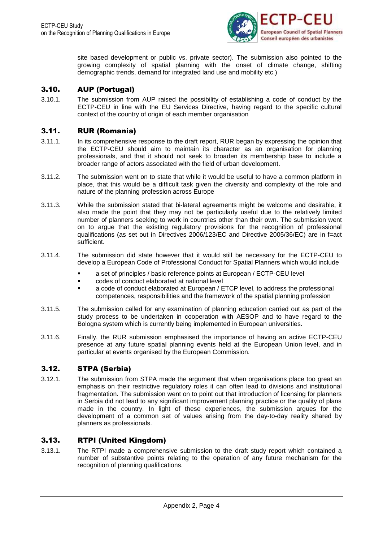

site based development or public vs. private sector). The submission also pointed to the growing complexity of spatial planning with the onset of climate change, shifting demographic trends, demand for integrated land use and mobility etc.)

### 3.10. AUP (Portugal)

3.10.1. The submission from AUP raised the possibility of establishing a code of conduct by the ECTP-CEU in line with the EU Services Directive, having regard to the specific cultural context of the country of origin of each member organisation

### 3.11. RUR (Romania)

- 3.11.1. In its comprehensive response to the draft report, RUR began by expressing the opinion that the ECTP-CEU should aim to maintain its character as an organisation for planning professionals, and that it should not seek to broaden its membership base to include a broader range of actors associated with the field of urban development.
- 3.11.2. The submission went on to state that while it would be useful to have a common platform in place, that this would be a difficult task given the diversity and complexity of the role and nature of the planning profession across Europe
- 3.11.3. While the submission stated that bi-lateral agreements might be welcome and desirable, it also made the point that they may not be particularly useful due to the relatively limited number of planners seeking to work in countries other than their own. The submission went on to argue that the existing regulatory provisions for the recognition of professional qualifications (as set out in Directives 2006/123/EC and Directive 2005/36/EC) are in f=act sufficient.
- 3.11.4. The submission did state however that it would still be necessary for the ECTP-CEU to develop a European Code of Professional Conduct for Spatial Planners which would include
	- a set of principles / basic reference points at European / ECTP-CEU level
	- codes of conduct elaborated at national level
	- a code of conduct elaborated at European / ETCP level, to address the professional competences, responsibilities and the framework of the spatial planning profession
- 3.11.5. The submission called for any examination of planning education carried out as part of the study process to be undertaken in cooperation with AESOP and to have regard to the Bologna system which is currently being implemented in European universities.
- 3.11.6. Finally, the RUR submission emphasised the importance of having an active ECTP-CEU presence at any future spatial planning events held at the European Union level, and in particular at events organised by the European Commission.

## 3.12. STPA (Serbia)

3.12.1. The submission from STPA made the argument that when organisations place too great an emphasis on their restrictive regulatory roles it can often lead to divisions and institutional fragmentation. The submission went on to point out that introduction of licensing for planners in Serbia did not lead to any significant improvement planning practice or the quality of plans made in the country. In light of these experiences, the submission argues for the development of a common set of values arising from the day-to-day reality shared by planners as professionals.

## 3.13. RTPI (United Kingdom)

3.13.1. The RTPI made a comprehensive submission to the draft study report which contained a number of substantive points relating to the operation of any future mechanism for the recognition of planning qualifications.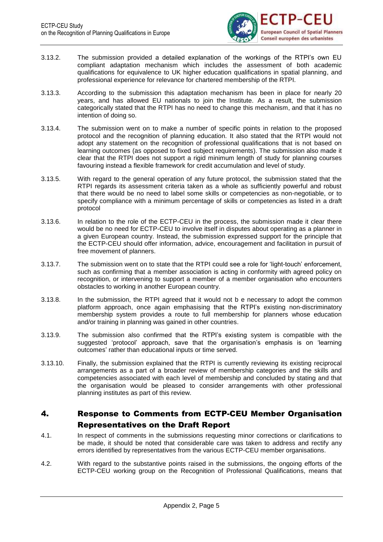

- 3.13.2. The submission provided a detailed explanation of the workings of the RTPI's own EU compliant adaptation mechanism which includes the assessment of both academic qualifications for equivalence to UK higher education qualifications in spatial planning, and professional experience for relevance for chartered membership of the RTPI.
- 3.13.3. According to the submission this adaptation mechanism has been in place for nearly 20 years, and has allowed EU nationals to join the Institute. As a result, the submission categorically stated that the RTPI has no need to change this mechanism, and that it has no intention of doing so.
- 3.13.4. The submission went on to make a number of specific points in relation to the proposed protocol and the recognition of planning education. It also stated that the RTPI would not adopt any statement on the recognition of professional qualifications that is not based on learning outcomes (as opposed to fixed subject requirements). The submission also made it clear that the RTPI does not support a rigid minimum length of study for planning courses favouring instead a flexible framework for credit accumulation and level of study.
- 3.13.5. With regard to the general operation of any future protocol, the submission stated that the RTPI regards its assessment criteria taken as a whole as sufficiently powerful and robust that there would be no need to label some skills or competencies as non-negotiable, or to specify compliance with a minimum percentage of skills or competencies as listed in a draft protocol
- 3.13.6. In relation to the role of the ECTP-CEU in the process, the submission made it clear there would be no need for ECTP-CEU to involve itself in disputes about operating as a planner in a given European country. Instead, the submission expressed support for the principle that the ECTP-CEU should offer information, advice, encouragement and facilitation in pursuit of free movement of planners.
- 3.13.7. The submission went on to state that the RTPI could see a role for 'light-touch' enforcement, such as confirming that a member association is acting in conformity with agreed policy on recognition, or intervening to support a member of a member organisation who encounters obstacles to working in another European country.
- 3.13.8. In the submission, the RTPI agreed that it would not b e necessary to adopt the common platform approach, once again emphasising that the RTPI's existing non-discriminatory membership system provides a route to full membership for planners whose education and/or training in planning was gained in other countries.
- 3.13.9. The submission also confirmed that the RTPI's existing system is compatible with the suggested 'protocol' approach, save that the organisation's emphasis is on 'learning outcomes' rather than educational inputs or time served.
- 3.13.10. Finally, the submission explained that the RTPI is currently reviewing its existing reciprocal arrangements as a part of a broader review of membership categories and the skills and competencies associated with each level of membership and concluded by stating and that the organisation would be pleased to consider arrangements with other professional planning institutes as part of this review.

## 4. Response to Comments from ECTP-CEU Member Organisation Representatives on the Draft Report

- 4.1. In respect of comments in the submissions requesting minor corrections or clarifications to be made, it should be noted that considerable care was taken to address and rectify any errors identified by representatives from the various ECTP-CEU member organisations.
- 4.2. With regard to the substantive points raised in the submissions, the ongoing efforts of the ECTP-CEU working group on the Recognition of Professional Qualifications, means that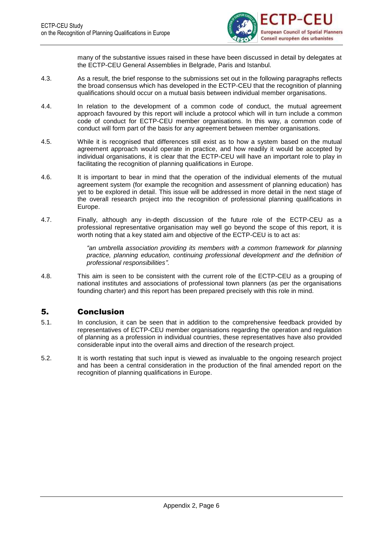

many of the substantive issues raised in these have been discussed in detail by delegates at the ECTP-CEU General Assemblies in Belgrade, Paris and Istanbul.

- 4.3. As a result, the brief response to the submissions set out in the following paragraphs reflects the broad consensus which has developed in the ECTP-CEU that the recognition of planning qualifications should occur on a mutual basis between individual member organisations.
- 4.4. In relation to the development of a common code of conduct, the mutual agreement approach favoured by this report will include a protocol which will in turn include a common code of conduct for ECTP-CEU member organisations. In this way, a common code of conduct will form part of the basis for any agreement between member organisations.
- 4.5. While it is recognised that differences still exist as to how a system based on the mutual agreement approach would operate in practice, and how readily it would be accepted by individual organisations, it is clear that the ECTP-CEU will have an important role to play in facilitating the recognition of planning qualifications in Europe.
- 4.6. It is important to bear in mind that the operation of the individual elements of the mutual agreement system (for example the recognition and assessment of planning education) has yet to be explored in detail. This issue will be addressed in more detail in the next stage of the overall research project into the recognition of professional planning qualifications in Europe.
- 4.7. Finally, although any in-depth discussion of the future role of the ECTP-CEU as a professional representative organisation may well go beyond the scope of this report, it is worth noting that a key stated aim and objective of the ECTP-CEU is to act as:

*"an umbrella association providing its members with a common framework for planning practice, planning education, continuing professional development and the definition of professional responsibilities".*

4.8. This aim is seen to be consistent with the current role of the ECTP-CEU as a grouping of national institutes and associations of professional town planners (as per the organisations founding charter) and this report has been prepared precisely with this role in mind.

## 5. Conclusion

- 5.1. In conclusion, it can be seen that in addition to the comprehensive feedback provided by representatives of ECTP-CEU member organisations regarding the operation and regulation of planning as a profession in individual countries, these representatives have also provided considerable input into the overall aims and direction of the research project.
- 5.2. It is worth restating that such input is viewed as invaluable to the ongoing research project and has been a central consideration in the production of the final amended report on the recognition of planning qualifications in Europe.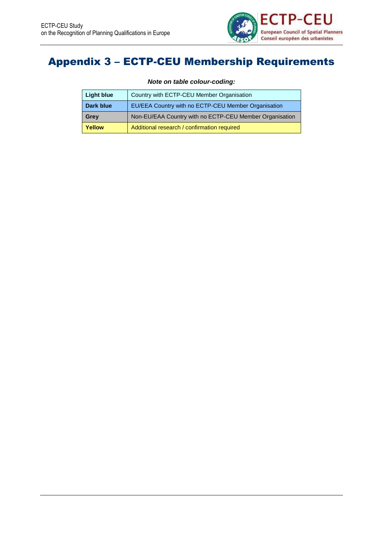

# Appendix 3 – ECTP-CEU Membership Requirements

*Note on table colour-coding:*

| <b>Light blue</b> | Country with ECTP-CEU Member Organisation               |
|-------------------|---------------------------------------------------------|
| Dark blue         | EU/EEA Country with no ECTP-CEU Member Organisation     |
| Grey              | Non-EU/EAA Country with no ECTP-CEU Member Organisation |
| Yellow            | Additional research / confirmation required             |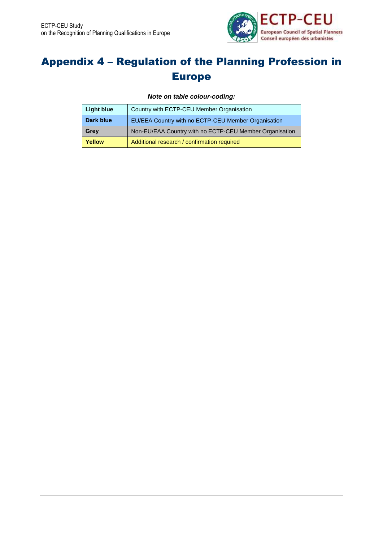

# Appendix 4 – Regulation of the Planning Profession in Europe

*Note on table colour-coding:*

| Light blue | Country with ECTP-CEU Member Organisation               |
|------------|---------------------------------------------------------|
| Dark blue  | EU/EEA Country with no ECTP-CEU Member Organisation     |
| Grey       | Non-EU/EAA Country with no ECTP-CEU Member Organisation |
| Yellow     | Additional research / confirmation required             |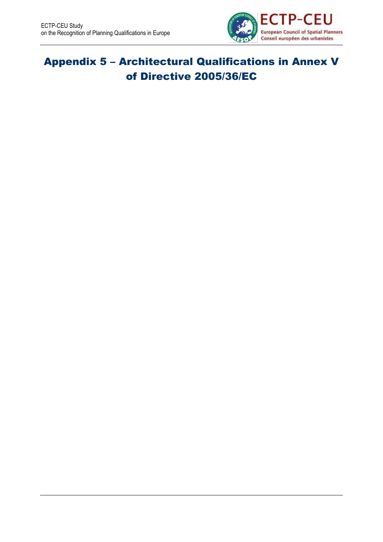

# Appendix 5 – Architectural Qualifications in Annex V of Directive 2005/36/EC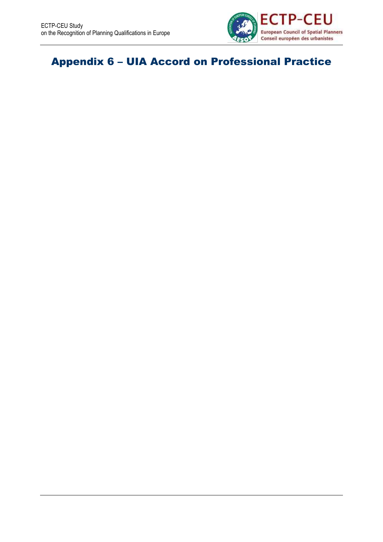

# Appendix 6 – UIA Accord on Professional Practice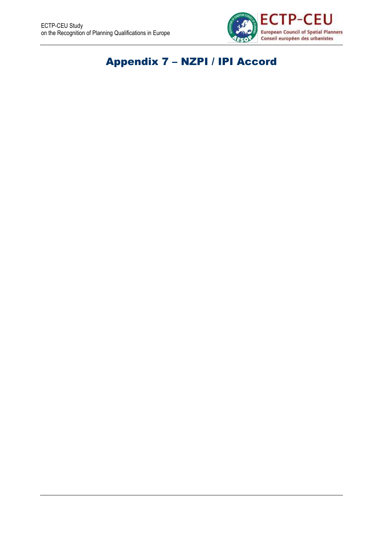

# Appendix 7 – NZPI / IPI Accord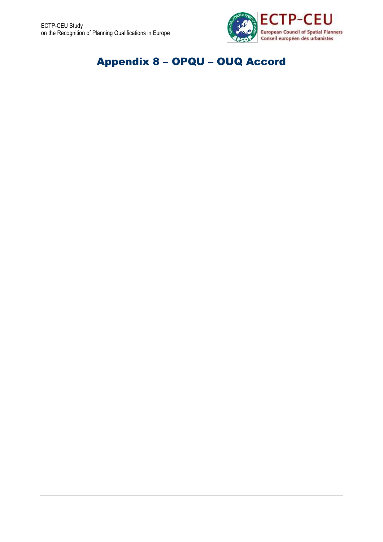

# Appendix 8 – OPQU – OUQ Accord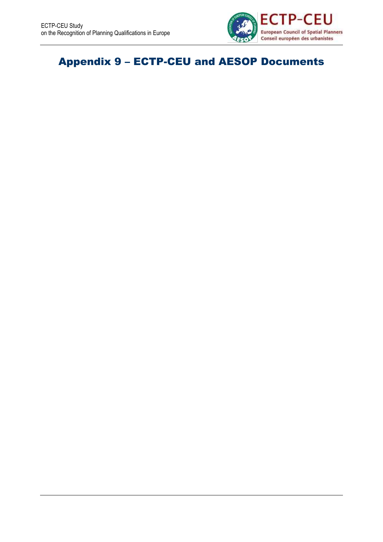

# Appendix 9 – ECTP-CEU and AESOP Documents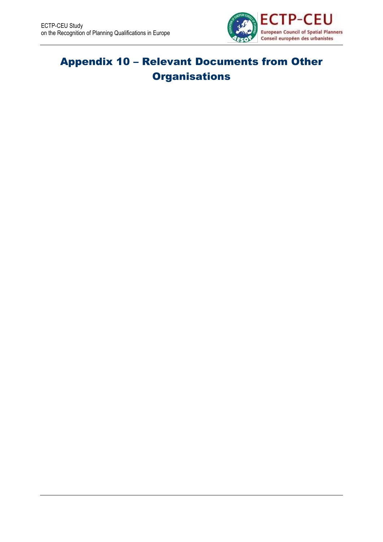

# Appendix 10 – Relevant Documents from Other **Organisations**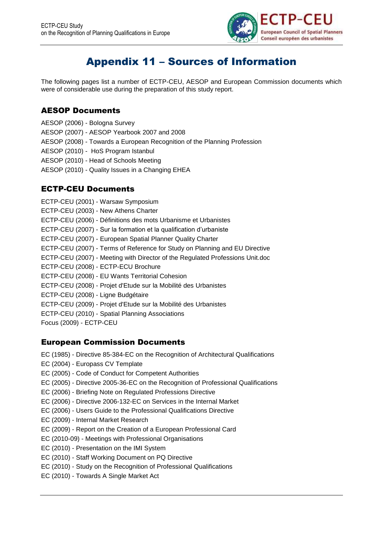

# Appendix 11 – Sources of Information

The following pages list a number of ECTP-CEU, AESOP and European Commission documents which were of considerable use during the preparation of this study report.

## AESOP Documents

AESOP (2006) - Bologna Survey AESOP (2007) - AESOP Yearbook 2007 and 2008 AESOP (2008) - Towards a European Recognition of the Planning Profession AESOP (2010) - HoS Program Istanbul AESOP (2010) - Head of Schools Meeting AESOP (2010) - Quality Issues in a Changing EHEA

## ECTP-CEU Documents

ECTP-CEU (2001) - Warsaw Symposium ECTP-CEU (2003) - New Athens Charter ECTP-CEU (2006) - Définitions des mots Urbanisme et Urbanistes ECTP-CEU (2007) - Sur la formation et la qualification d'urbaniste ECTP-CEU (2007) - European Spatial Planner Quality Charter ECTP-CEU (2007) - Terms of Reference for Study on Planning and EU Directive ECTP-CEU (2007) - Meeting with Director of the Regulated Professions Unit.doc ECTP-CEU (2008) - ECTP-ECU Brochure ECTP-CEU (2008) - EU Wants Territorial Cohesion ECTP-CEU (2008) - Projet d'Etude sur la Mobilité des Urbanistes ECTP-CEU (2008) - Ligne Budgétaire ECTP-CEU (2009) - Projet d'Etude sur la Mobilité des Urbanistes ECTP-CEU (2010) - Spatial Planning Associations Focus (2009) - ECTP-CEU

## European Commission Documents

- EC (1985) Directive 85-384-EC on the Recognition of Architectural Qualifications
- EC (2004) Europass CV Template
- EC (2005) Code of Conduct for Competent Authorities
- EC (2005) Directive 2005-36-EC on the Recognition of Professional Qualifications
- EC (2006) Briefing Note on Regulated Professions Directive
- EC (2006) Directive 2006-132-EC on Services in the Internal Market
- EC (2006) Users Guide to the Professional Qualifications Directive
- EC (2009) Internal Market Research
- EC (2009) Report on the Creation of a European Professional Card
- EC (2010-09) Meetings with Professional Organisations
- EC (2010) Presentation on the IMI System
- EC (2010) Staff Working Document on PQ Directive
- EC (2010) Study on the Recognition of Professional Qualifications
- EC (2010) Towards A Single Market Act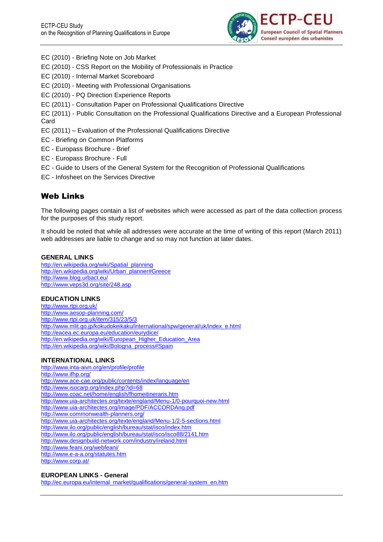

- EC (2010) Briefing Note on Job Market
- EC (2010) CSS Report on the Mobility of Professionals in Practice
- EC (2010) Internal Market Scoreboard
- EC (2010) Meeting with Professional Organisations
- EC (2010) PQ Direction Experience Reports
- EC (2011) Consultation Paper on Professional Qualifications Directive
- EC (2011) Public Consultation on the Professional Qualifications Directive and a European Professional Card
- EC (2011) Evaluation of the Professional Qualifications Directive
- EC Briefing on Common Platforms
- EC Europass Brochure Brief
- EC Europass Brochure Full
- EC Guide to Users of the General System for the Recognition of Professional Qualifications
- EC Infosheet on the Services Directive

## Web Links

The following pages contain a list of websites which were accessed as part of the data collection process for the purposes of this study report.

It should be noted that while all addresses were accurate at the time of writing of this report (March 2011) web addresses are liable to change and so may not function at later dates.

#### **GENERAL LINKS**

[http://en.wikipedia.org/wiki/Spatial\\_planning](http://en.wikipedia.org/wiki/Spatial_planning) [http://en.wikipedia.org/wiki/Urban\\_planner#Greece](http://en.wikipedia.org/wiki/Urban_planner#Greece) <http://www.blog.urbact.eu/> <http://www.veps3d.org/site/248.asp>

#### **EDUCATION LINKS**

<http://www.rtpi.org.uk/> <http://www.aesop-planning.com/> <http://www.rtpi.org.uk/item/315/23/5/3> [http://www.mlit.go.jp/kokudokeikaku/international/spw/general/uk/index\\_e.html](http://www.mlit.go.jp/kokudokeikaku/international/spw/general/uk/index_e.html) <http://eacea.ec.europa.eu/education/eurydice/> [http://en.wikipedia.org/wiki/European\\_Higher\\_Education\\_Area](http://en.wikipedia.org/wiki/European_Higher_Education_Area) [http://en.wikipedia.org/wiki/Bologna\\_process#Spain](http://en.wikipedia.org/wiki/Bologna_process#Spain)

### **INTERNATIONAL LINKS**

<http://www.inta-aivn.org/en/profile/profile> <http://www.ifhp.org/> <http://www.ace-cae.org/public/contents/index/language/en> <http://www.isocarp.org/index.php?id=68> <http://www.coac.net/home/english/fhomeitineraris.htm> <http://www.uia-architectes.org/texte/england/Menu-1/0-pourquoi-new.html> <http://www.uia-architectes.org/image/PDF/ACCORDAng.pdf> <http://www.commonwealth-planners.org/> <http://www.uia-architectes.org/texte/england/Menu-1/2-5-sections.html> <http://www.ilo.org/public/english/bureau/stat/isco/index.htm> <http://www.ilo.org/public/english/bureau/stat/isco/isco88/2141.htm> <http://www.designbuild-network.com/industry/ireland.html> <http://www.feani.org/webfeani/> <http://www.e-a-a.org/statutes.htm> <http://www.corp.at/>

#### **EUROPEAN LINKS - General**

[http://ec.europa.eu/internal\\_market/qualifications/general-system\\_en.htm](http://ec.europa.eu/internal_market/qualifications/general-system_en.htm)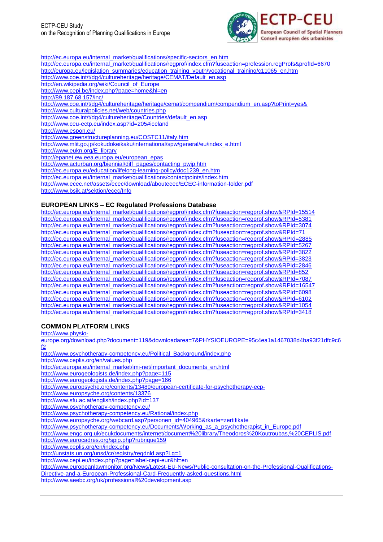

[http://ec.europa.eu/internal\\_market/qualifications/specific-sectors\\_en.htm](http://ec.europa.eu/internal_market/qualifications/specific-sectors_en.htm) [http://ec.europa.eu/internal\\_market/qualifications/regprof/index.cfm?fuseaction=profession.regProfs&profId=6670](http://ec.europa.eu/internal_market/qualifications/regprof/index.cfm?fuseaction=profession.regProfs&profId=6670) [http://europa.eu/legislation\\_summaries/education\\_training\\_youth/vocational\\_training/c11065\\_en.htm](http://europa.eu/legislation_summaries/education_training_youth/vocational_training/c11065_en.htm) [http://www.coe.int/t/dg4/cultureheritage/heritage/CEMAT/Default\\_en.asp](http://www.coe.int/t/dg4/cultureheritage/heritage/CEMAT/Default_en.asp) [http://en.wikipedia.org/wiki/Council\\_of\\_Europe](http://en.wikipedia.org/wiki/Council_of_Europe) <http://www.cepi.be/index.php?page=home&hl=en> <http://89.187.68.157/inc/> [http://www.coe.int/t/dg4/cultureheritage/heritage/cemat/compendium/compendium\\_en.asp?toPrint=yes&](http://www.coe.int/t/dg4/cultureheritage/heritage/cemat/compendium/compendium_en.asp?toPrint=yes&) <http://www.culturalpolicies.net/web/countries.php> [http://www.coe.int/t/dg4/cultureheritage/Countries/default\\_en.asp](http://www.coe.int/t/dg4/cultureheritage/Countries/default_en.asp) <http://www.ceu-ectp.eu/index.asp?id=205#iceland> <http://www.espon.eu/> <http://www.greenstructureplanning.eu/COSTC11/italy.htm> [http://www.mlit.go.jp/kokudokeikaku/international/spw/general/eu/index\\_e.html](http://www.mlit.go.jp/kokudokeikaku/international/spw/general/eu/index_e.html) [http://www.eukn.org/E\\_library](http://www.eukn.org/E_library) [http://epanet.ew.eea.europa.eu/european\\_epas](http://epanet.ew.eea.europa.eu/european_epas) [http://www.acturban.org/biennial/diff\\_pages/contacting\\_pwip.htm](http://www.acturban.org/biennial/diff_pages/contacting_pwip.htm) [http://ec.europa.eu/education/lifelong-learning-policy/doc1239\\_en.htm](http://ec.europa.eu/education/lifelong-learning-policy/doc1239_en.htm) [http://ec.europa.eu/internal\\_market/qualifications/contactpoints/index.htm](http://ec.europa.eu/internal_market/qualifications/contactpoints/index.htm) <http://www.ecec.net/assets/ecec/download/aboutecec/ECEC-information-folder.pdf> <http://www.bsik.at/sektion/ecec/Info>

#### **EUROPEAN LINKS – EC Regulated Professions Database**

[http://ec.europa.eu/internal\\_market/qualifications/regprof/index.cfm?fuseaction=regprof.show&RPId=15514](http://ec.europa.eu/internal_market/qualifications/regprof/index.cfm?fuseaction=regprof.show&RPId=15514) [http://ec.europa.eu/internal\\_market/qualifications/regprof/index.cfm?fuseaction=regprof.show&RPId=5381](http://ec.europa.eu/internal_market/qualifications/regprof/index.cfm?fuseaction=regprof.show&RPId=5381) [http://ec.europa.eu/internal\\_market/qualifications/regprof/index.cfm?fuseaction=regprof.show&RPId=3074](http://ec.europa.eu/internal_market/qualifications/regprof/index.cfm?fuseaction=regprof.show&RPId=3074) [http://ec.europa.eu/internal\\_market/qualifications/regprof/index.cfm?fuseaction=regprof.show&RPId=71](http://ec.europa.eu/internal_market/qualifications/regprof/index.cfm?fuseaction=regprof.show&RPId=71) [http://ec.europa.eu/internal\\_market/qualifications/regprof/index.cfm?fuseaction=regprof.show&RPId=2885](http://ec.europa.eu/internal_market/qualifications/regprof/index.cfm?fuseaction=regprof.show&RPId=2885) [http://ec.europa.eu/internal\\_market/qualifications/regprof/index.cfm?fuseaction=regprof.show&RPId=5267](http://ec.europa.eu/internal_market/qualifications/regprof/index.cfm?fuseaction=regprof.show&RPId=5267) [http://ec.europa.eu/internal\\_market/qualifications/regprof/index.cfm?fuseaction=regprof.show&RPId=3822](http://ec.europa.eu/internal_market/qualifications/regprof/index.cfm?fuseaction=regprof.show&RPId=3822) [http://ec.europa.eu/internal\\_market/qualifications/regprof/index.cfm?fuseaction=regprof.show&RPId=3823](http://ec.europa.eu/internal_market/qualifications/regprof/index.cfm?fuseaction=regprof.show&RPId=3823) [http://ec.europa.eu/internal\\_market/qualifications/regprof/index.cfm?fuseaction=regprof.show&RPId=2846](http://ec.europa.eu/internal_market/qualifications/regprof/index.cfm?fuseaction=regprof.show&RPId=2846) [http://ec.europa.eu/internal\\_market/qualifications/regprof/index.cfm?fuseaction=regprof.show&RPId=852](http://ec.europa.eu/internal_market/qualifications/regprof/index.cfm?fuseaction=regprof.show&RPId=852) [http://ec.europa.eu/internal\\_market/qualifications/regprof/index.cfm?fuseaction=regprof.show&RPId=7087](http://ec.europa.eu/internal_market/qualifications/regprof/index.cfm?fuseaction=regprof.show&RPId=7087) [http://ec.europa.eu/internal\\_market/qualifications/regprof/index.cfm?fuseaction=regprof.show&RPId=16547](http://ec.europa.eu/internal_market/qualifications/regprof/index.cfm?fuseaction=regprof.show&RPId=16547) [http://ec.europa.eu/internal\\_market/qualifications/regprof/index.cfm?fuseaction=regprof.show&RPId=6098](http://ec.europa.eu/internal_market/qualifications/regprof/index.cfm?fuseaction=regprof.show&RPId=6098) [http://ec.europa.eu/internal\\_market/qualifications/regprof/index.cfm?fuseaction=regprof.show&RPId=6102](http://ec.europa.eu/internal_market/qualifications/regprof/index.cfm?fuseaction=regprof.show&RPId=6102) [http://ec.europa.eu/internal\\_market/qualifications/regprof/index.cfm?fuseaction=regprof.show&RPId=1054](http://ec.europa.eu/internal_market/qualifications/regprof/index.cfm?fuseaction=regprof.show&RPId=1054) [http://ec.europa.eu/internal\\_market/qualifications/regprof/index.cfm?fuseaction=regprof.show&RPId=3418](http://ec.europa.eu/internal_market/qualifications/regprof/index.cfm?fuseaction=regprof.show&RPId=3418)

#### **COMMON PLATFORM LINKS**

[http://www.physio-](http://www.physio-europe.org/download.php?document=119&downloadarea=7&PHYSIOEUROPE=95c4ea1a1467038d4ba93f21dfc9c6f2)

[europe.org/download.php?document=119&downloadarea=7&PHYSIOEUROPE=95c4ea1a1467038d4ba93f21dfc9c6](http://www.physio-europe.org/download.php?document=119&downloadarea=7&PHYSIOEUROPE=95c4ea1a1467038d4ba93f21dfc9c6f2) [f2](http://www.physio-europe.org/download.php?document=119&downloadarea=7&PHYSIOEUROPE=95c4ea1a1467038d4ba93f21dfc9c6f2)

[http://www.psychotherapy-competency.eu/Political\\_Background/index.php](http://www.psychotherapy-competency.eu/Political_Background/index.php) <http://www.ceplis.org/en/values.php> [http://ec.europa.eu/internal\\_market/imi-net/important\\_documents\\_en.html](http://ec.europa.eu/internal_market/imi-net/important_documents_en.html) <http://www.eurogeologists.de/index.php?page=115> <http://www.eurogeologists.de/index.php?page=166> [http://www.europsyche.org/contents/13489/european-certificate-for-psychotherapy-ecp](http://www.europsyche.org/contents/13489/european-certificate-for-psychotherapy-ecp-)<http://www.europsyche.org/contents/13376> <http://www.sfu.ac.at/english/index.php?id=137> <http://www.psychotherapy-competency.eu/> <http://www.psychotherapy-competency.eu/Rational/index.php> [http://www.europsyche.org/webcard.asp?personen\\_id=404965&rkarte=zertifikate](http://www.europsyche.org/webcard.asp?personen_id=404965&rkarte=zertifikate) [http://www.psychotherapy-competency.eu/Documents/Working\\_as\\_a\\_psychotherapist\\_in\\_Europe.pdf](http://www.psychotherapy-competency.eu/Documents/Working_as_a_psychotherapist_in_Europe.pdf) <http://www.engc.org.uk/ecukdocuments/internet/document%20library/Theodoros%20Koutroubas,%20CEPLIS.pdf> <http://www.eurocadres.org/spip.php?rubrique159> <http://www.ceplis.org/en/index.php> <http://unstats.un.org/unsd/cr/registry/regdnld.asp?Lg=1> <http://www.cepi.eu/index.php?page=label-cepi-eur&hl=en> [http://www.europeanlawmonitor.org/News/Latest-EU-News/Public-consultation-on-the-Professional-Qualifications-](http://www.europeanlawmonitor.org/News/Latest-EU-News/Public-consultation-on-the-Professional-Qualifications-Directive-and-a-European-Professional-Card-Frequently-asked-questions.html)[Directive-and-a-European-Professional-Card-Frequently-asked-questions.html](http://www.europeanlawmonitor.org/News/Latest-EU-News/Public-consultation-on-the-Professional-Qualifications-Directive-and-a-European-Professional-Card-Frequently-asked-questions.html) <http://www.aeebc.org/uk/professional%20development.asp>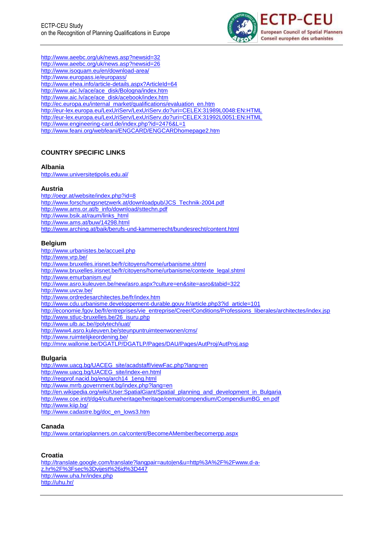

<http://www.aeebc.org/uk/news.asp?newsid=32> <http://www.aeebc.org/uk/news.asp?newsid=26> <http://www.isoquam.eu/en/download-area/> <http://www.europass.ie/europass/> <http://www.ehea.info/article-details.aspx?ArticleId=64> [http://www.aic.lv/ace/ace\\_disk/Bologna/index.htm](http://www.aic.lv/ace/ace_disk/Bologna/index.htm) [http://www.aic.lv/ace/ace\\_disk/acebook/index.htm](http://www.aic.lv/ace/ace_disk/acebook/index.htm) [http://ec.europa.eu/internal\\_market/qualifications/evaluation\\_en.htm](http://ec.europa.eu/internal_market/qualifications/evaluation_en.htm) <http://eur-lex.europa.eu/LexUriServ/LexUriServ.do?uri=CELEX:31989L0048:EN:HTML> <http://eur-lex.europa.eu/LexUriServ/LexUriServ.do?uri=CELEX:31992L0051:EN:HTML> <http://www.engineering-card.de/index.php?id=2476&L=1> <http://www.feani.org/webfeani/ENGCARD/ENGCARDhomepage2.htm>

### **COUNTRY SPECIFIC LINKS**

#### **Albania**

<http://www.universitetipolis.edu.al/>

#### **Austria**

<http://oegr.at/website/index.php?id=8> [http://www.forschungsnetzwerk.at/downloadpub/JCS\\_Technik-2004.pdf](http://www.forschungsnetzwerk.at/downloadpub/JCS_Technik-2004.pdf) [http://www.ams.or.at/b\\_info/download/sttechn.pdf](http://www.ams.or.at/b_info/download/sttechn.pdf) [http://www.bsik.at/raum/links\\_html](http://www.bsik.at/raum/links_html) <http://www.ams.at/buw/14298.html> <http://www.arching.at/baik/berufs-und-kammerrecht/bundesrecht/content.html>

#### **Belgium**

<http://www.urbanistes.be/accueil.php> <http://www.vrp.be/> <http://www.bruxelles.irisnet.be/fr/citoyens/home/urbanisme.shtml> [http://www.bruxelles.irisnet.be/fr/citoyens/home/urbanisme/contexte\\_legal.shtml](http://www.bruxelles.irisnet.be/fr/citoyens/home/urbanisme/contexte_legal.shtml) <http://www.emurbanism.eu/> <http://www.asro.kuleuven.be/new/asro.aspx?culture=en&site=asro&tabid=322> <http://www.uvcw.be/> <http://www.ordredesarchitectes.be/fr/index.htm> [http://www.cdu.urbanisme.developpement-durable.gouv.fr/article.php3?id\\_article=101](http://www.cdu.urbanisme.developpement-durable.gouv.fr/article.php3?id_article=101) [http://economie.fgov.be/fr/entreprises/vie\\_entreprise/Creer/Conditions/Professions\\_liberales/architectes/index.jsp](http://economie.fgov.be/fr/entreprises/vie_entreprise/Creer/Conditions/Professions_liberales/architectes/index.jsp) [http://www.stluc-bruxelles.be/26\\_isuru.php](http://www.stluc-bruxelles.be/26_isuru.php) [http://www.ulb.ac.be//polytech/iuat/](http://www.ulb.ac.be/polytech/iuat/) <http://www4.asro.kuleuven.be/steunpuntruimteenwonen/cms/> <http://www.ruimtelijkeordening.be/> <http://mrw.wallonie.be/DGATLP/DGATLP/Pages/DAU/Pages/AutProj/AutProj.asp>

#### **Bulgaria**

[http://www.uacg.bg/UACEG\\_site/acadstaff/viewFac.php?lang=en](http://www.uacg.bg/UACEG_site/acadstaff/viewFac.php?lang=en) [http://www.uacg.bg/UACEG\\_site/index-en.html](http://www.uacg.bg/UACEG_site/index-en.html) [http://regprof.nacid.bg/eng/arch14\\_1eng.html](http://regprof.nacid.bg/eng/arch14_1eng.html) <http://www.mrrb.government.bg/index.php?lang=en> [http://en.wikipedia.org/wiki/User:SpatialGiant/Spatial\\_planning\\_and\\_development\\_in\\_Bulgaria](http://en.wikipedia.org/wiki/User:SpatialGiant/Spatial_planning_and_development_in_Bulgaria) [http://www.coe.int/t/dg4/cultureheritage/heritage/cemat/compendium/CompendiumBG\\_en.pdf](http://www.coe.int/t/dg4/cultureheritage/heritage/cemat/compendium/CompendiumBG_en.pdf) <http://www.kiip.bg/> [http://www.cadastre.bg/doc\\_en\\_lows3.htm](http://www.cadastre.bg/doc_en_lows3.htm)

#### **Canada**

<http://www.ontarioplanners.on.ca/content/BecomeAMember/becomerpp.aspx>

#### **Croatia**

[http://translate.google.com/translate?langpair=auto|en&u=http%3A%2F%2Fwww.d-a](http://translate.google.com/translate?langpair=auto|en&u=http%3A%2F%2Fwww.d-a-z.hr%2F%3Fsec%3Dvijest%26id%3D447)[z.hr%2F%3Fsec%3Dvijest%26id%3D447](http://translate.google.com/translate?langpair=auto|en&u=http%3A%2F%2Fwww.d-a-z.hr%2F%3Fsec%3Dvijest%26id%3D447) <http://www.uha.hr/index.php> <http://uhu.hr/>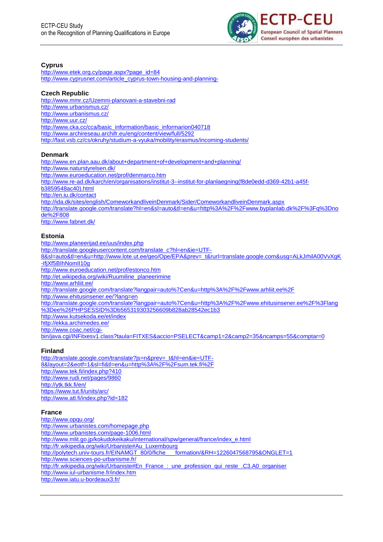

# **Cyprus**

[http://www.etek.org.cy/page.aspx?page\\_id=84](http://www.etek.org.cy/page.aspx?page_id=84) [http://www.cyprusnet.com/article\\_cyprus-town-housing-and-planning-](http://www.cyprusnet.com/article_cyprus-town-housing-and-planning-)

# **Czech Republic**

<http://www.mmr.cz/Uzemni-planovani-a-stavebni-rad> <http://www.urbanismus.cz/> <http://www.urbanismus.cz/> <http://www.uur.cz/> [http://www.cka.cc/cca/basic\\_information/basic\\_informarion040718](http://www.cka.cc/cca/basic_information/basic_informarion040718) <http://www.archireseau.archifr.eu/eng/content/view/full/5292> <http://fast.vsb.cz/cs/okruhy/studium-a-vyuka/mobility/erasmus/incoming-students/>

# **Denmark**

<http://www.en.plan.aau.dk/about+department+of+development+and+planning/> <http://www.naturstyrelsen.dk/> <http://www.euroeducation.net/prof/denmarco.htm> [http://www.re-ad.dk/karch/en/organisations/institut-3--institut-for-planlaegning\(f8de0edd-d369-42b1-a45f](http://www.re-ad.dk/karch/en/organisations/institut-3--institut-for-planlaegning(f8de0edd-d369-42b1-a45f-b3859548ac40).html)[b3859548ac40\).html](http://www.re-ad.dk/karch/en/organisations/institut-3--institut-for-planlaegning(f8de0edd-d369-42b1-a45f-b3859548ac40).html) <http://en.iu.dk/contact> <http://ida.dk/sites/english/ComeworkandliveinDenmark/Sider/ComeworkandliveinDenmark.aspx> [http://translate.google.com/translate?hl=en&sl=auto&tl=en&u=http%3A%2F%2Fwww.byplanlab.dk%2F%3Fq%3Dno](http://translate.google.com/translate?hl=en&sl=auto&tl=en&u=http%3A%2F%2Fwww.byplanlab.dk%2F%3Fq%3Dnode%2F808) [de%2F808](http://translate.google.com/translate?hl=en&sl=auto&tl=en&u=http%3A%2F%2Fwww.byplanlab.dk%2F%3Fq%3Dnode%2F808) <http://www.fabnet.dk/>

# **Estonia**

<http://www.planeerijad.ee/uus/index.php> [http://translate.googleusercontent.com/translate\\_c?hl=en&ie=UTF-](http://translate.googleusercontent.com/translate_c?hl=en&ie=UTF-8&sl=auto&tl=en&u=http://www.lote.ut.ee/geo/Ope/EPA&prev=_t&rurl=translate.google.com&usg=ALkJrhilA00VvXgK-IfjXf5BIhNomII10g)[8&sl=auto&tl=en&u=http://www.lote.ut.ee/geo/Ope/EPA&prev=\\_t&rurl=translate.google.com&usg=ALkJrhilA00VvXgK](http://translate.googleusercontent.com/translate_c?hl=en&ie=UTF-8&sl=auto&tl=en&u=http://www.lote.ut.ee/geo/Ope/EPA&prev=_t&rurl=translate.google.com&usg=ALkJrhilA00VvXgK-IfjXf5BIhNomII10g) [-IfjXf5BIhNomII10g](http://translate.googleusercontent.com/translate_c?hl=en&ie=UTF-8&sl=auto&tl=en&u=http://www.lote.ut.ee/geo/Ope/EPA&prev=_t&rurl=translate.google.com&usg=ALkJrhilA00VvXgK-IfjXf5BIhNomII10g) <http://www.euroeducation.net/prof/estonco.htm> [http://et.wikipedia.org/wiki/Ruumiline\\_planeerimine](http://et.wikipedia.org/wiki/Ruumiline_planeerimine) <http://www.arhliit.ee/> <http://translate.google.com/translate?langpair=auto%7Cen&u=http%3A%2F%2Fwww.arhliit.ee%2F> <http://www.ehitusinsener.ee/?lang=en> [http://translate.google.com/translate?langpair=auto%7Cen&u=http%3A%2F%2Fwww.ehitusinsener.ee%2F%3Flang](http://translate.google.com/translate?langpair=auto%7Cen&u=http%3A%2F%2Fwww.ehitusinsener.ee%2F%3Flang%3Dee%26PHPSESSID%3Db565319303256609b828ab28542ec1b3) [%3Dee%26PHPSESSID%3Db565319303256609b828ab28542ec1b3](http://translate.google.com/translate?langpair=auto%7Cen&u=http%3A%2F%2Fwww.ehitusinsener.ee%2F%3Flang%3Dee%26PHPSESSID%3Db565319303256609b828ab28542ec1b3) <http://www.kutsekoda.ee/et/index> <http://ekka.archimedes.ee/> [http://www.coac.net/cgi](http://www.coac.net/cgi-bin/java.cgi/INFitxesv1.class?taula=FITXES&accio=PSELECT&camp1=2&camp2=35&ncamps=55&comptar=0)[bin/java.cgi/INFitxesv1.class?taula=FITXES&accio=PSELECT&camp1=2&camp2=35&ncamps=55&comptar=0](http://www.coac.net/cgi-bin/java.cgi/INFitxesv1.class?taula=FITXES&accio=PSELECT&camp1=2&camp2=35&ncamps=55&comptar=0)

# **Finland**

[http://translate.google.com/translate?js=n&prev=\\_t&hl=en&ie=UTF-](http://translate.google.com/translate?js=n&prev=_t&hl=en&ie=UTF-8&layout=2&eotf=1&sl=fi&tl=en&u=http%3A%2F%2Fsum.tek.fi%2F)[8&layout=2&eotf=1&sl=fi&tl=en&u=http%3A%2F%2Fsum.tek.fi%2F](http://translate.google.com/translate?js=n&prev=_t&hl=en&ie=UTF-8&layout=2&eotf=1&sl=fi&tl=en&u=http%3A%2F%2Fsum.tek.fi%2F) <http://www.tek.fi/index.php?410> <http://www.rudi.net/pages/9860> <http://ytk.tkk.fi/en/> <https://www.tut.fi/units/arc/> <http://www.atl.fi/index.php?id=182>

### **France**

<http://www.opqu.org/> <http://www.urbanistes.com/homepage.php> <http://www.urbanistes.com/page-1006.html> [http://www.mlit.go.jp/kokudokeikaku/international/spw/general/france/index\\_e.html](http://www.mlit.go.jp/kokudokeikaku/international/spw/general/france/index_e.html) [http://fr.wikipedia.org/wiki/Urbaniste#Au\\_Luxembourg](http://fr.wikipedia.org/wiki/Urbaniste#Au_Luxembourg)<br>http://polytech.univ-tours.fr/EINAMGT\_80/0/fiche formation/&RH=1226047568795&ONGIFT=1 http://polytech.univ-tours.fr/EINAMGT\_80/0/fiche <http://www.sciences-po-urbanisme.fr/> http://fr.wikipedia.org/wiki/Urbaniste#En\_France : une\_profession\_qui\_reste\_.C3.A0\_organiser <http://www.iul-urbanisme.fr/index.htm> <http://www.iatu.u-bordeaux3.fr/>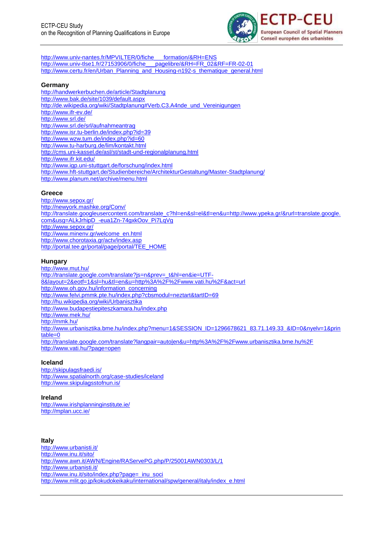

[http://www.univ-nantes.fr/MPVILTER/0/fiche\\_\\_\\_formation/&RH=ENS](http://www.univ-nantes.fr/MPVILTER/0/fiche___formation/&RH=ENS) [http://www.univ-tlse1.fr/27153906/0/fiche\\_\\_\\_pagelibre/&RH=FR\\_02&RF=FR-02-01](http://www.univ-tlse1.fr/27153906/0/fiche___pagelibre/&RH=FR_02&RF=FR-02-01) [http://www.certu.fr/en/Urban\\_Planning\\_and\\_Housing-n192-s\\_thematique\\_general.html](http://www.certu.fr/en/Urban_Planning_and_Housing-n192-s_thematique_general.html)

#### **Germany**

<http://handwerkerbuchen.de/article/Stadtplanung> <http://www.bak.de/site/1039/default.aspx> [http://de.wikipedia.org/wiki/Stadtplanung#Verb.C3.A4nde\\_und\\_Vereinigungen](http://de.wikipedia.org/wiki/Stadtplanung#Verb.C3.A4nde_und_Vereinigungen) <http://www.ifr-ev.de/> <http://www.srl.de/> <http://www.srl.de/srl/aufnahmeantrag> <http://www.isr.tu-berlin.de/index.php?id=39> <http://www.wzw.tum.de/index.php?id=60> <http://www.tu-harburg.de/lim/kontakt.html> <http://cms.uni-kassel.de/asl/st/stadt-und-regionalplanung.html> <http://www.ifr.kit.edu/> <http://www.igp.uni-stuttgart.de/forschung/index.html> <http://www.hft-stuttgart.de/Studienbereiche/ArchitekturGestaltung/Master-Stadtplanung/> <http://www.planum.net/archive/menu.html>

#### **Greece**

<http://www.sepox.gr/> <http://newyork.mashke.org/Conv/> [http://translate.googleusercontent.com/translate\\_c?hl=en&sl=el&tl=en&u=http://www.ypeka.gr/&rurl=translate.google.](http://translate.googleusercontent.com/translate_c?hl=en&sl=el&tl=en&u=http://www.ypeka.gr/&rurl=translate.google.com&usg=ALkJrhipD_-eua1Zn-74gxkOov_Pi7LqVg) [com&usg=ALkJrhipD\\_-eua1Zn-74gxkOov\\_Pi7LqVg](http://translate.googleusercontent.com/translate_c?hl=en&sl=el&tl=en&u=http://www.ypeka.gr/&rurl=translate.google.com&usg=ALkJrhipD_-eua1Zn-74gxkOov_Pi7LqVg) <http://www.sepox.gr/> [http://www.minenv.gr/welcome\\_en.html](http://www.minenv.gr/welcome_en.html) <http://www.chorotaxia.gr/actv/index.asp> [http://portal.tee.gr/portal/page/portal/TEE\\_HOME](http://portal.tee.gr/portal/page/portal/TEE_HOME)

#### **Hungary**

<http://www.mut.hu/> [http://translate.google.com/translate?js=n&prev=\\_t&hl=en&ie=UTF-](http://translate.google.com/translate?js=n&prev=_t&hl=en&ie=UTF-8&layout=2&eotf=1&sl=hu&tl=en&u=http%3A%2F%2Fwww.vati.hu%2F&act=url)[8&layout=2&eotf=1&sl=hu&tl=en&u=http%3A%2F%2Fwww.vati.hu%2F&act=url](http://translate.google.com/translate?js=n&prev=_t&hl=en&ie=UTF-8&layout=2&eotf=1&sl=hu&tl=en&u=http%3A%2F%2Fwww.vati.hu%2F&act=url) [http://www.oh.gov.hu/information\\_concerning](http://www.oh.gov.hu/information_concerning) <http://www.felvi.pmmk.pte.hu/index.php?cbsmodul=neztart&tartID=69> <http://hu.wikipedia.org/wiki/Urbanisztika> <http://www.budapestiepiteszkamara.hu/index.php> <http://www.mek.hu/> <http://mmk.hu/> [http://www.urbanisztika.bme.hu/index.php?menu=1&SESSION\\_ID=1296678621\\_83.71.149.33\\_&ID=0&nyelv=1&prin](http://www.urbanisztika.bme.hu/index.php?menu=1&SESSION_ID=1296678621_83.71.149.33_&ID=0&nyelv=1&printable=0) [table=0](http://www.urbanisztika.bme.hu/index.php?menu=1&SESSION_ID=1296678621_83.71.149.33_&ID=0&nyelv=1&printable=0) <http://translate.google.com/translate?langpair=auto|en&u=http%3A%2F%2Fwww.urbanisztika.bme.hu%2F> <http://www.vati.hu/?page=open>

### **Iceland**

<http://skipulagsfraedi.is/> <http://www.spatialnorth.org/case-studies/iceland> <http://www.skipulagsstofnun.is/>

### **Ireland**

<http://www.irishplanninginstitute.ie/> <http://mplan.ucc.ie/>

### **Italy**

<http://www.urbanisti.it/> <http://www.inu.it/sito/> <http://www.awn.it/AWN/Engine/RAServePG.php/P/25001AWN0303/L/1> <http://www.urbanisti.it/> [http://www.inu.it/sito/index.php?page=\\_inu\\_soci](http://www.inu.it/sito/index.php?page=_inu_soci) [http://www.mlit.go.jp/kokudokeikaku/international/spw/general/italy/index\\_e.html](http://www.mlit.go.jp/kokudokeikaku/international/spw/general/italy/index_e.html)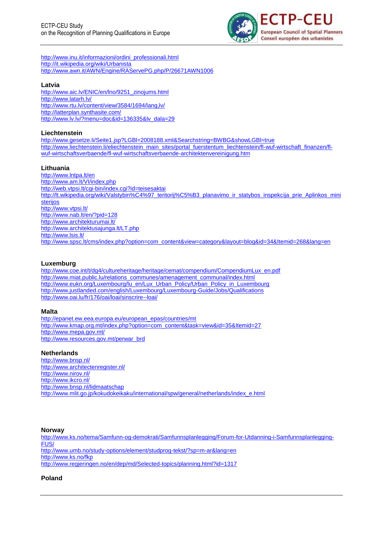

[http://www.inu.it/informazioni/ordini\\_professionali.html](http://www.inu.it/informazioni/ordini_professionali.html) <http://it.wikipedia.org/wiki/Urbanista> <http://www.awn.it/AWN/Engine/RAServePG.php/P/26671AWN1006>

### **Latvia**

[http://www.aic.lv/ENIC/en/lno/9251\\_zinojums.html](http://www.aic.lv/ENIC/en/lno/9251_zinojums.html) <http://www.latarh.lv/> <http://www.rtu.lv/content/view/3584/1694/lang,lv/> <http://latterplan.synthasite.com/> [http://www.lv.lv/?menu=doc&id=136335&lv\\_dala=29](http://www.lv.lv/?menu=doc&id=136335&lv_dala=29)

### **Liechtenstein**

<http://www.gesetze.li/Seite1.jsp?LGBl=2008188.xml&Searchstring=BWBG&showLGBl=true> [http://www.liechtenstein.li/eliechtenstein\\_main\\_sites/portal\\_fuerstentum\\_liechtenstein/fl-wuf-wirtschaft\\_finanzen/fl](http://www.liechtenstein.li/eliechtenstein_main_sites/portal_fuerstentum_liechtenstein/fl-wuf-wirtschaft_finanzen/fl-wuf-wirtschaftsverbaende/fl-wuf-wirtschaftsverbaende-architektenvereinigung.htm)[wuf-wirtschaftsverbaende/fl-wuf-wirtschaftsverbaende-architektenvereinigung.htm](http://www.liechtenstein.li/eliechtenstein_main_sites/portal_fuerstentum_liechtenstein/fl-wuf-wirtschaft_finanzen/fl-wuf-wirtschaftsverbaende/fl-wuf-wirtschaftsverbaende-architektenvereinigung.htm)

# **Lithuania**

<http://www.lntpa.lt/en> <http://www.am.lt/VI/index.php> <http://web.vtpsi.lt/cgi-bin/index.cgi?id=teisesaktai> http://lt.wikipedia.org/wiki/Valstybin%C4%97\_teritorii%C5%B3\_planavimo\_ir\_statybos\_inspekcija\_prie\_Aplinkos\_mini [sterijos](http://lt.wikipedia.org/wiki/Valstybin%C4%97_teritorij%C5%B3_planavimo_ir_statybos_inspekcija_prie_Aplinkos_ministerijos) <http://www.vtpsi.lt/> <http://www.nab.lt/en/?pid=128> <http://www.architekturumai.lt/> <http://www.architektusajunga.lt/LT.php> <http://www.lsis.lt/> [http://www.spsc.lt/cms/index.php?option=com\\_content&view=category&layout=blog&id=34&Itemid=268&lang=en](http://www.spsc.lt/cms/index.php?option=com_content&view=category&layout=blog&id=34&Itemid=268&lang=en)

### **Luxemburg**

[http://www.coe.int/t/dg4/cultureheritage/heritage/cemat/compendium/CompendiumLux\\_en.pdf](http://www.coe.int/t/dg4/cultureheritage/heritage/cemat/compendium/CompendiumLux_en.pdf) [http://www.miat.public.lu/relations\\_communes/amenagement\\_communal/index.html](http://www.miat.public.lu/relations_communes/amenagement_communal/index.html) [http://www.eukn.org/Luxembourg/lu\\_en/Lux\\_Urban\\_Policy/Urban\\_Policy\\_in\\_Luxembourg](http://www.eukn.org/Luxembourg/lu_en/Lux_Urban_Policy/Urban_Policy_in_Luxembourg) <http://www.justlanded.com/english/Luxembourg/Luxembourg-Guide/Jobs/Qualifications> <http://www.oai.lu/fr/176/oai/loai/sinscrire--loai/>

### **Malta**

[http://epanet.ew.eea.europa.eu/european\\_epas/countries/mt](http://epanet.ew.eea.europa.eu/european_epas/countries/mt) [http://www.kmap.org.mt/index.php?option=com\\_content&task=view&id=35&Itemid=27](http://www.kmap.org.mt/index.php?option=com_content&task=view&id=35&Itemid=27) <http://www.mepa.gov.mt/> [http://www.resources.gov.mt/perwar\\_brd](http://www.resources.gov.mt/perwar_brd)

### **Netherlands**

<http://www.bnsp.nl/> <http://www.architectenregister.nl/> <http://www.nirov.nl/> <http://www.ikcro.nl/> <http://www.bnsp.nl/lidmaatschap> [http://www.mlit.go.jp/kokudokeikaku/international/spw/general/netherlands/index\\_e.html](http://www.mlit.go.jp/kokudokeikaku/international/spw/general/netherlands/index_e.html)

### **Norway**

[http://www.ks.no/tema/Samfunn-og-demokrati/Samfunnsplanlegging/Forum-for-Utdanning-i-Samfunnsplanlegging-](http://www.ks.no/tema/Samfunn-og-demokrati/Samfunnsplanlegging/Forum-for-Utdanning-i-Samfunnsplanlegging-FUS/)[FUS/](http://www.ks.no/tema/Samfunn-og-demokrati/Samfunnsplanlegging/Forum-for-Utdanning-i-Samfunnsplanlegging-FUS/) <http://www.umb.no/study-options/element/studprog-tekst/?sp=m-ar&lang=en> <http://www.ks.no/fkp> <http://www.regjeringen.no/en/dep/md/Selected-topics/planning.html?id=1317>

### **Poland**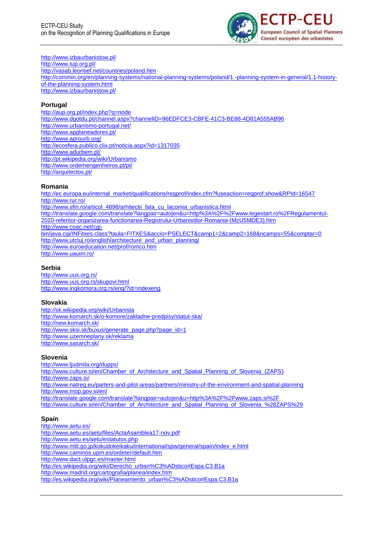

#### <http://www.izbaurbanistow.pl/> <http://www.tup.org.pl/> <http://vasab.leontief.net/countries/poland.htm>

[http://commin.org/en/planning-systems/national-planning-systems/poland/1.-planning-system-in-general/1.1-history](http://commin.org/en/planning-systems/national-planning-systems/poland/1.-planning-system-in-general/1.1-history-of-the-planning-system.html)[of-the-planning-system.html](http://commin.org/en/planning-systems/national-planning-systems/poland/1.-planning-system-in-general/1.1-history-of-the-planning-system.html) <http://www.izbaurbanistow.pl/>

# **Portugal**

<http://aup.org.pt/index.php?q=node> <http://www.dgotdu.pt/channel.aspx?channelID=96EDFCE3-CBFE-41C3-BE88-4D81A555AB96> <http://www.urbanismo-portugal.net/> <http://www.applaneadores.pt/> <http://www.aprourb.org/> <http://ecosfera.publico.clix.pt/noticia.aspx?id=1317035> <http://www.adurbem.pt/> <http://pt.wikipedia.org/wiki/Urbanismo> <http://www.ordemengenheiros.pt/pt/> <http://arquitectos.pt/>

# **Romania**

[http://ec.europa.eu/internal\\_market/qualifications/regprof/index.cfm?fuseaction=regprof.show&RPId=16547](http://ec.europa.eu/internal_market/qualifications/regprof/index.cfm?fuseaction=regprof.show&RPId=16547) <http://www.rur.ro/> [http://www.sfin.ro/articol\\_4898/arhitectii\\_fata\\_cu\\_lacomia\\_urbanistica.html](http://www.sfin.ro/articol_4898/arhitectii_fata_cu_lacomia_urbanistica.html) [http://translate.google.com/translate?langpair=auto|en&u=http%3A%2F%2Fwww.legestart.ro%2FRegulamentul-](http://translate.google.com/translate?langpair=auto|en&u=http%3A%2F%2Fwww.legestart.ro%2FRegulamentul-2010-referitor-organizarea-functionarea-Registrului-Urbanistilor-Romania-(MzU5MDE3).htm)[2010-referitor-organizarea-functionarea-Registrului-Urbanistilor-Romania-\(MzU5MDE3\).htm](http://translate.google.com/translate?langpair=auto|en&u=http%3A%2F%2Fwww.legestart.ro%2FRegulamentul-2010-referitor-organizarea-functionarea-Registrului-Urbanistilor-Romania-(MzU5MDE3).htm) [http://www.coac.net/cgi](http://www.coac.net/cgi-bin/java.cgi/INFitxes.class?taula=FITXES&accio=PSELECT&camp1=2&camp2=168&ncamps=55&comptar=0)[bin/java.cgi/INFitxes.class?taula=FITXES&accio=PSELECT&camp1=2&camp2=168&ncamps=55&comptar=0](http://www.coac.net/cgi-bin/java.cgi/INFitxes.class?taula=FITXES&accio=PSELECT&camp1=2&camp2=168&ncamps=55&comptar=0) [http://www.utcluj.ro/english/architecture\\_and\\_urban\\_planning/](http://www.utcluj.ro/english/architecture_and_urban_planning/) <http://www.euroeducation.net/prof/romco.htm> <http://www.uauim.ro/>

# **Serbia**

<http://www.uus.org.rs/> <http://www.uus.org.rs/skupovi.html> <http://www.ingkomora.org.rs/eng/?id=indexeng>

# **Slovakia**

<http://sk.wikipedia.org/wiki/Urbanista> <http://www.komarch.sk/o-komore/zakladne-predpisy/statut-ska/> <http://new.komarch.sk/> [http://www.sksi.sk/buxus/generate\\_page.php?page\\_id=1](http://www.sksi.sk/buxus/generate_page.php?page_id=1) <http://www.uzemneplany.sk/reklama> <http://www.sasarch.sk/>

# **Slovenia**

<http://www.ljudmila.org/dupps/> [http://www.culture.si/en/Chamber\\_of\\_Architecture\\_and\\_Spatial\\_Planning\\_of\\_Slovenia\\_\(ZAPS\)](http://www.culture.si/en/Chamber_of_Architecture_and_Spatial_Planning_of_Slovenia_(ZAPS) <http://www.zaps.si/> <http://www.natreg.eu/parters-and-pilot-areas/partners/ministry-of-the-environment-and-spatial-planning> <http://www.mop.gov.si/en/> <http://translate.google.com/translate?langpair=auto|en&u=http%3A%2F%2Fwww.zaps.si%2F> [http://www.culture.si/en/Chamber\\_of\\_Architecture\\_and\\_Spatial\\_Planning\\_of\\_Slovenia\\_%28ZAPS%29](http://www.culture.si/en/Chamber_of_Architecture_and_Spatial_Planning_of_Slovenia_%28ZAPS%29)

# **Spain**

<http://www.aetu.es/> <http://www.aetu.es/aetu/files/ActaAsamblea17-nov.pdf> <http://www.aetu.es/aetu/estatutos.php> [http://www.mlit.go.jp/kokudokeikaku/international/spw/general/spain/index\\_e.html](http://www.mlit.go.jp/kokudokeikaku/international/spw/general/spain/index_e.html) <http://www.caminos.upm.es/ordeter/default.htm> <http://www.dact.ulpgc.es/master.html> [http://es.wikipedia.org/wiki/Derecho\\_urban%C3%ADstico#Espa.C3.B1a](http://es.wikipedia.org/wiki/Derecho_urban%C3%ADstico#Espa.C3.B1a) <http://www.madrid.org/cartografia/planea/index.htm> [http://es.wikipedia.org/wiki/Planeamiento\\_urban%C3%ADstico#Espa.C3.B1a](http://es.wikipedia.org/wiki/Planeamiento_urban%C3%ADstico#Espa.C3.B1a)